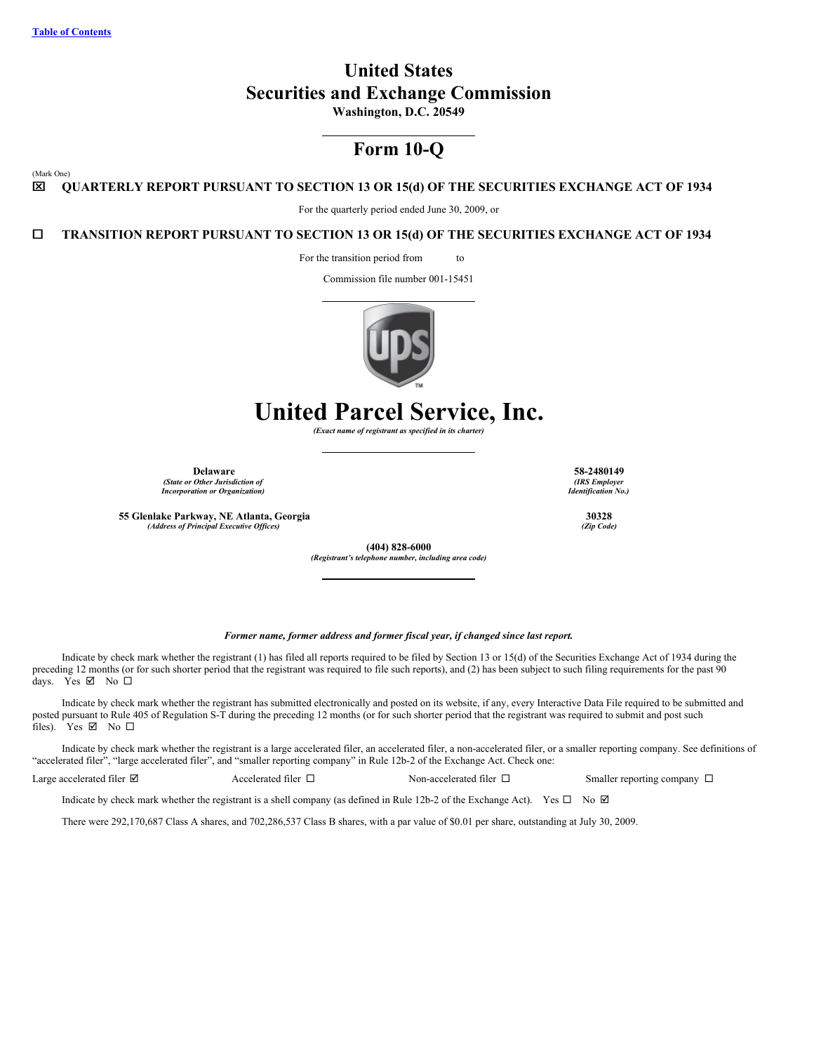# **United States Securities and Exchange Commission**

**Washington, D.C. 20549**

# **Form 10-Q**

<span id="page-0-0"></span>(Mark One)

# x **QUARTERLY REPORT PURSUANT TO SECTION 13 OR 15(d) OF THE SECURITIES EXCHANGE ACT OF 1934**

For the quarterly period ended June 30, 2009, or

# ¨ **TRANSITION REPORT PURSUANT TO SECTION 13 OR 15(d) OF THE SECURITIES EXCHANGE ACT OF 1934**

For the transition period from to

Commission file number 001-15451



# **United Parcel Service, Inc.**

*(Exact name of registrant as specified in its charter)*

**Delaware 58-2480149** *(State or Other Jurisdiction of Incorporation or Organization)*

**55 Glenlake Parkway, NE Atlanta, Georgia 30328**  $(A$ *ddress of Principal Executive Offices)* 

*(IRS Employer Identification No.)*

**(404) 828-6000** *(Registrant's telephone number, including area code)*

*Former name, former address and former fiscal year, if changed since last report.*

Indicate by check mark whether the registrant (1) has filed all reports required to be filed by Section 13 or 15(d) of the Securities Exchange Act of 1934 during the preceding 12 months (or for such shorter period that the registrant was required to file such reports), and (2) has been subject to such filing requirements for the past 90 days. Yes  $\boxtimes$  No  $\square$ 

Indicate by check mark whether the registrant has submitted electronically and posted on its website, if any, every Interactive Data File required to be submitted and posted pursuant to Rule 405 of Regulation S-T during the preceding 12 months (or for such shorter period that the registrant was required to submit and post such files). Yes  $\boxtimes$  No  $\square$ 

Indicate by check mark whether the registrant is a large accelerated filer, an accelerated filer, a non-accelerated filer, or a smaller reporting company. See definitions of "accelerated filer", "large accelerated filer", and "smaller reporting company" in Rule 12b-2 of the Exchange Act. Check one:

Large accelerated filer  $\Box$  Accelerated filer  $\Box$  Non-accelerated filer  $\Box$  Smaller reporting company  $\Box$ 

Indicate by check mark whether the registrant is a shell company (as defined in Rule 12b-2 of the Exchange Act). Yes  $\Box$  No  $\Box$ 

There were 292,170,687 Class A shares, and 702,286,537 Class B shares, with a par value of \$0.01 per share, outstanding at July 30, 2009.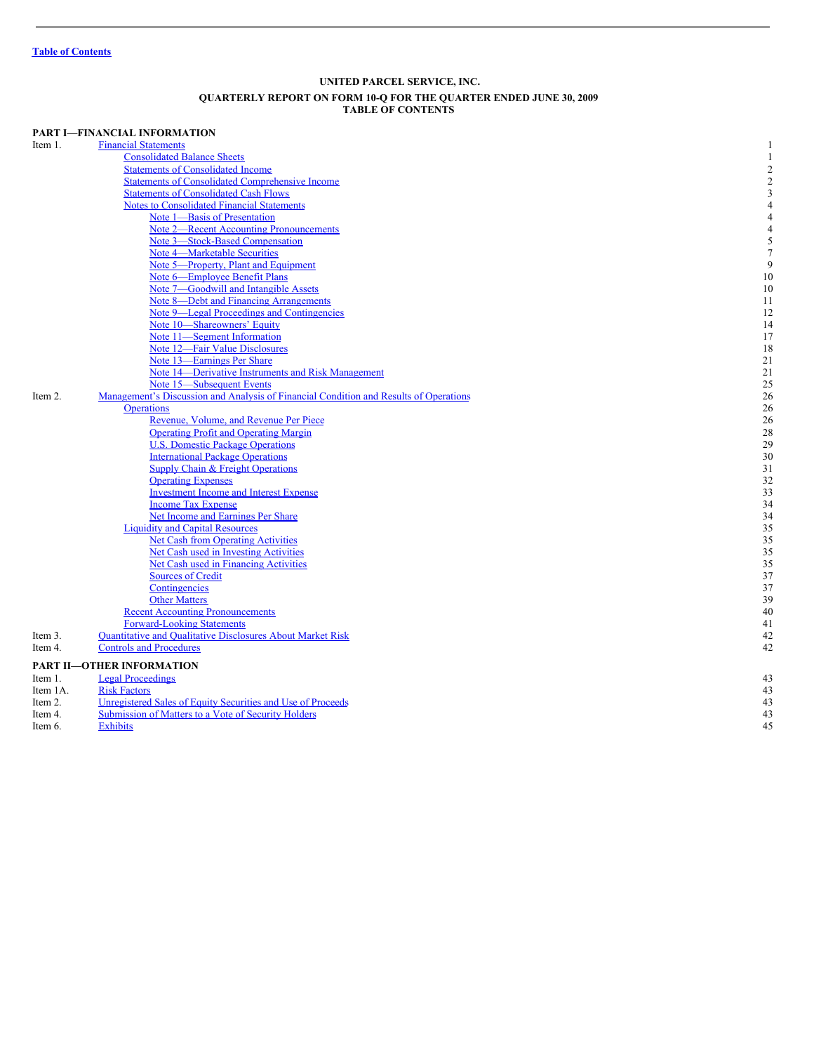# <span id="page-1-0"></span>**UNITED PARCEL SERVICE, INC.**

# **QUARTERLY REPORT ON FORM 10-Q FOR THE QUARTER ENDED JUNE 30, 2009 TABLE OF CONTENTS**

Item 6. [Exhibits](#page-46-0) 45

# **PART I—FINANCIAL INFORMATION**

| Item 1.  | <b>Financial Statements</b>                                                           | 1              |
|----------|---------------------------------------------------------------------------------------|----------------|
|          | <b>Consolidated Balance Sheets</b>                                                    | $\overline{1}$ |
|          | <b>Statements of Consolidated Income</b>                                              | $\overline{2}$ |
|          | <b>Statements of Consolidated Comprehensive Income</b>                                | $\overline{2}$ |
|          | <b>Statements of Consolidated Cash Flows</b>                                          | 3              |
|          | <b>Notes to Consolidated Financial Statements</b>                                     | $\overline{4}$ |
|          | Note 1-Basis of Presentation                                                          | $\overline{4}$ |
|          | <b>Note 2—Recent Accounting Pronouncements</b>                                        | $\overline{4}$ |
|          | Note 3-Stock-Based Compensation                                                       | 5              |
|          | <b>Note 4-Marketable Securities</b>                                                   | $\tau$         |
|          | Note 5—Property, Plant and Equipment                                                  | 9              |
|          | Note 6—Employee Benefit Plans                                                         | 10             |
|          | Note 7-Goodwill and Intangible Assets                                                 | 10             |
|          | Note 8-Debt and Financing Arrangements                                                | 11             |
|          | Note 9—Legal Proceedings and Contingencies                                            | 12             |
|          | Note 10—Shareowners' Equity                                                           | 14             |
|          | Note 11—Segment Information                                                           | 17             |
|          | Note 12-Fair Value Disclosures                                                        | 18             |
|          | Note 13-Earnings Per Share                                                            | 21             |
|          | Note 14—Derivative Instruments and Risk Management                                    | 21             |
|          | Note 15-Subsequent Events                                                             | $25\,$         |
| Item 2.  | Management's Discussion and Analysis of Financial Condition and Results of Operations | 26             |
|          | <b>Operations</b>                                                                     | 26             |
|          | Revenue, Volume, and Revenue Per Piece                                                | 26             |
|          | <b>Operating Profit and Operating Margin</b>                                          | 28             |
|          | <b>U.S. Domestic Package Operations</b>                                               | 29             |
|          | <b>International Package Operations</b>                                               | 30             |
|          | Supply Chain & Freight Operations                                                     | 31             |
|          | <b>Operating Expenses</b>                                                             | 32             |
|          | <b>Investment Income and Interest Expense</b>                                         | 33             |
|          | <b>Income Tax Expense</b>                                                             | 34             |
|          | Net Income and Earnings Per Share                                                     | 34             |
|          | <b>Liquidity and Capital Resources</b>                                                | 35             |
|          | <b>Net Cash from Operating Activities</b>                                             | 35             |
|          | Net Cash used in Investing Activities                                                 | 35             |
|          | <b>Net Cash used in Financing Activities</b>                                          | 35             |
|          | <b>Sources of Credit</b>                                                              | 37             |
|          | Contingencies                                                                         | 37             |
|          | <b>Other Matters</b>                                                                  | 39             |
|          | <b>Recent Accounting Pronouncements</b>                                               | 40             |
|          | <b>Forward-Looking Statements</b>                                                     | 41             |
| Item 3.  | Quantitative and Qualitative Disclosures About Market Risk                            | 42             |
| Item 4.  | <b>Controls and Procedures</b>                                                        | 42             |
|          | <b>PART II-OTHER INFORMATION</b>                                                      |                |
| Item 1.  | <b>Legal Proceedings</b>                                                              | 43             |
| Item 1A. | <b>Risk Factors</b>                                                                   | 43             |
| Item 2.  | Unregistered Sales of Equity Securities and Use of Proceeds                           | 43             |
| Item 4.  | Submission of Matters to a Vote of Security Holders                                   | 43             |
|          |                                                                                       |                |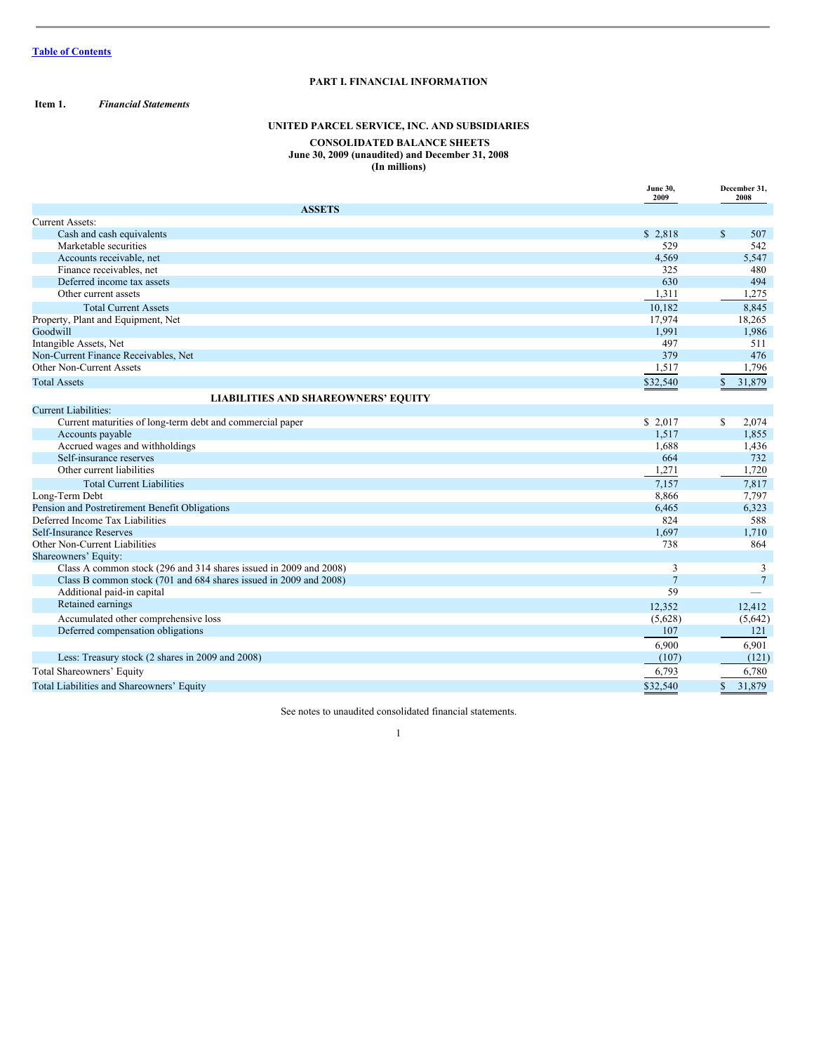# **PART I. FINANCIAL INFORMATION**

<span id="page-2-0"></span>**Item 1.** *Financial Statements*

# **UNITED PARCEL SERVICE, INC. AND SUBSIDIARIES**

# <span id="page-2-1"></span>**CONSOLIDATED BALANCE SHEETS June 30, 2009 (unaudited) and December 31, 2008**

**(In millions)**

|                                                                   | <b>June 30.</b><br>2009 | December 31,<br>2008   |
|-------------------------------------------------------------------|-------------------------|------------------------|
| <b>ASSETS</b>                                                     |                         |                        |
| <b>Current Assets:</b>                                            |                         |                        |
| Cash and cash equivalents                                         | \$2,818                 | $\mathbb{S}$<br>507    |
| Marketable securities                                             | 529                     | 542                    |
| Accounts receivable, net                                          | 4,569                   | 5,547                  |
| Finance receivables, net                                          | 325                     | 480                    |
| Deferred income tax assets                                        | 630                     | 494                    |
| Other current assets                                              | 1,311                   | 1,275                  |
| <b>Total Current Assets</b>                                       | 10,182                  | 8,845                  |
| Property, Plant and Equipment, Net                                | 17,974                  | 18,265                 |
| Goodwill                                                          | 1,991                   | 1,986                  |
| Intangible Assets, Net                                            | 497                     | 511                    |
| Non-Current Finance Receivables, Net                              | 379                     | 476                    |
| Other Non-Current Assets                                          | 1,517                   | 1,796                  |
| <b>Total Assets</b>                                               | \$32,540                | 31,879<br>\$           |
| <b>LIABILITIES AND SHAREOWNERS' EQUITY</b>                        |                         |                        |
| <b>Current Liabilities:</b>                                       |                         |                        |
| Current maturities of long-term debt and commercial paper         | \$ 2,017                | \$<br>2,074            |
| Accounts payable                                                  | 1.517                   | 1,855                  |
| Accrued wages and withholdings                                    | 1,688                   | 1,436                  |
| Self-insurance reserves                                           | 664                     | 732                    |
| Other current liabilities                                         | 1,271                   | 1,720                  |
| <b>Total Current Liabilities</b>                                  | 7,157                   | 7,817                  |
| Long-Term Debt                                                    | 8,866                   | 7,797                  |
| Pension and Postretirement Benefit Obligations                    | 6,465                   | 6,323                  |
| Deferred Income Tax Liabilities                                   | 824                     | 588                    |
| <b>Self-Insurance Reserves</b>                                    | 1.697                   | 1,710                  |
| Other Non-Current Liabilities                                     | 738                     | 864                    |
| Shareowners' Equity:                                              |                         |                        |
| Class A common stock (296 and 314 shares issued in 2009 and 2008) | 3                       | 3                      |
| Class B common stock (701 and 684 shares issued in 2009 and 2008) | $\overline{7}$          | $\overline{7}$         |
| Additional paid-in capital                                        | 59                      |                        |
| Retained earnings                                                 | 12,352                  | 12,412                 |
| Accumulated other comprehensive loss                              | (5,628)                 | (5,642)                |
| Deferred compensation obligations                                 | 107                     | 121                    |
|                                                                   | 6,900                   | 6,901                  |
| Less: Treasury stock (2 shares in 2009 and 2008)                  | (107)                   | (121)                  |
| Total Shareowners' Equity                                         | 6,793                   | 6,780                  |
|                                                                   |                         |                        |
| Total Liabilities and Shareowners' Equity                         | \$32,540                | 31,879<br>$\mathbb{S}$ |

See notes to unaudited consolidated financial statements.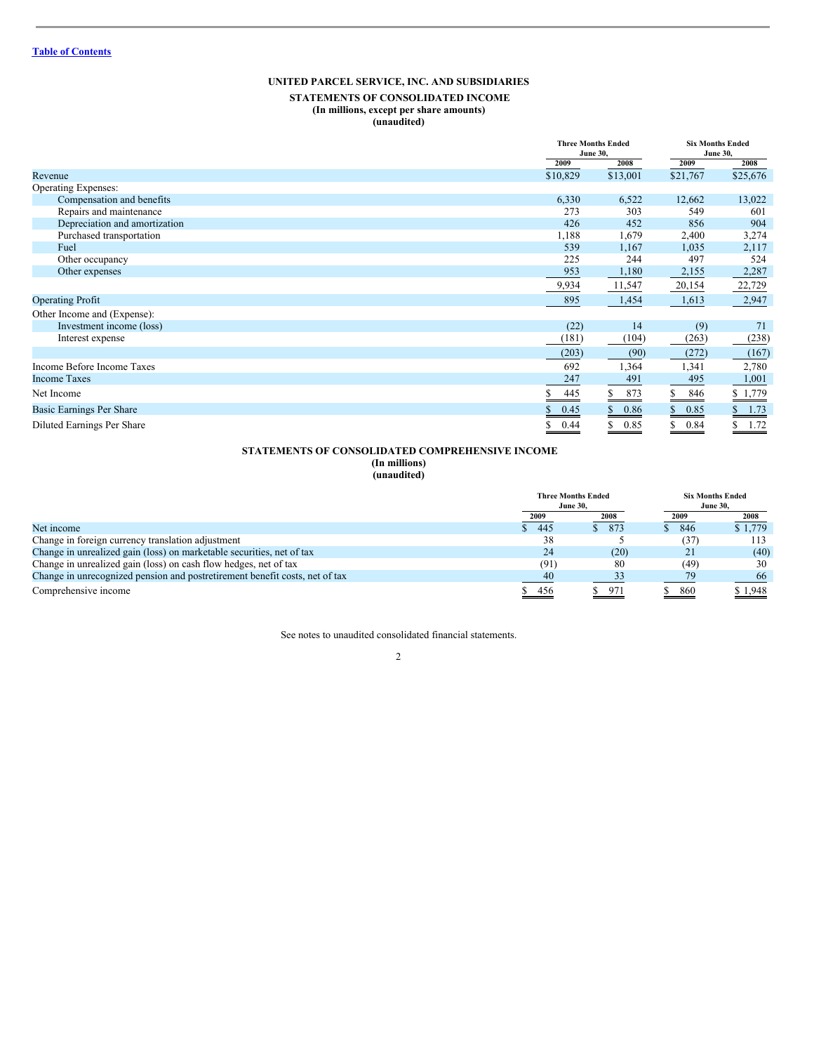## <span id="page-3-0"></span>**STATEMENTS OF CONSOLIDATED INCOME (In millions, except per share amounts) (unaudited)**

|                               |            | <b>Three Months Ended</b> |             | <b>Six Months Ended</b> |  |
|-------------------------------|------------|---------------------------|-------------|-------------------------|--|
|                               |            | <b>June 30,</b>           |             | June 30,                |  |
|                               | 2009       | 2008                      | 2009        | 2008                    |  |
| Revenue                       | \$10,829   | \$13,001                  | \$21,767    | \$25,676                |  |
| <b>Operating Expenses:</b>    |            |                           |             |                         |  |
| Compensation and benefits     | 6,330      | 6,522                     | 12,662      | 13,022                  |  |
| Repairs and maintenance       | 273        | 303                       | 549         | 601                     |  |
| Depreciation and amortization | 426        | 452                       | 856         | 904                     |  |
| Purchased transportation      | 1,188      | 1,679                     | 2,400       | 3,274                   |  |
| Fuel                          | 539        | 1,167                     | 1,035       | 2,117                   |  |
| Other occupancy               | 225        | 244                       | 497         | 524                     |  |
| Other expenses                | 953        | 1,180                     | 2,155       | 2,287                   |  |
|                               | 9,934      | 11,547                    | 20,154      | 22,729                  |  |
| <b>Operating Profit</b>       | 895        | 1,454                     | 1,613       | 2,947                   |  |
| Other Income and (Expense):   |            |                           |             |                         |  |
| Investment income (loss)      | (22)       | 14                        | (9)         | 71                      |  |
| Interest expense              | (181)      | (104)                     | (263)       | (238)                   |  |
|                               | (203)      | (90)                      | (272)       | (167)                   |  |
| Income Before Income Taxes    | 692        | 1,364                     | 1,341       | 2,780                   |  |
| <b>Income Taxes</b>           | 247        | 491                       | 495         | 1,001                   |  |
| Net Income                    | 445        | S<br>873                  | \$<br>846   | 1,779<br>\$             |  |
| Basic Earnings Per Share      | 0.45       | 0.86                      | 0.85<br>\$. | 1.73                    |  |
| Diluted Earnings Per Share    | \$<br>0.44 | \$<br>0.85                | \$<br>0.84  | \$<br>1.72              |  |

# <span id="page-3-1"></span>**STATEMENTS OF CONSOLIDATED COMPREHENSIVE INCOME (In millions) (unaudited)**

|                                                                             |       | <b>Three Months Ended</b> |      | <b>Six Months Ended</b> |  |
|-----------------------------------------------------------------------------|-------|---------------------------|------|-------------------------|--|
|                                                                             |       | <b>June 30.</b>           |      | <b>June 30,</b>         |  |
|                                                                             | 2009  | 2008                      | 2009 | 2008                    |  |
| Net income                                                                  | \$445 | \$873                     | 846  | \$1,779                 |  |
| Change in foreign currency translation adjustment                           | 38    |                           | (37  | 113                     |  |
| Change in unrealized gain (loss) on marketable securities, net of tax       | 24    | (20)                      | 21   | (40)                    |  |
| Change in unrealized gain (loss) on cash flow hedges, net of tax            | (91)  | 80                        | (49) | 30                      |  |
| Change in unrecognized pension and postretirement benefit costs, net of tax | 40    |                           | 79   | 66                      |  |
| Comprehensive income                                                        | \$456 | 971                       | 860  | \$1,948                 |  |

See notes to unaudited consolidated financial statements.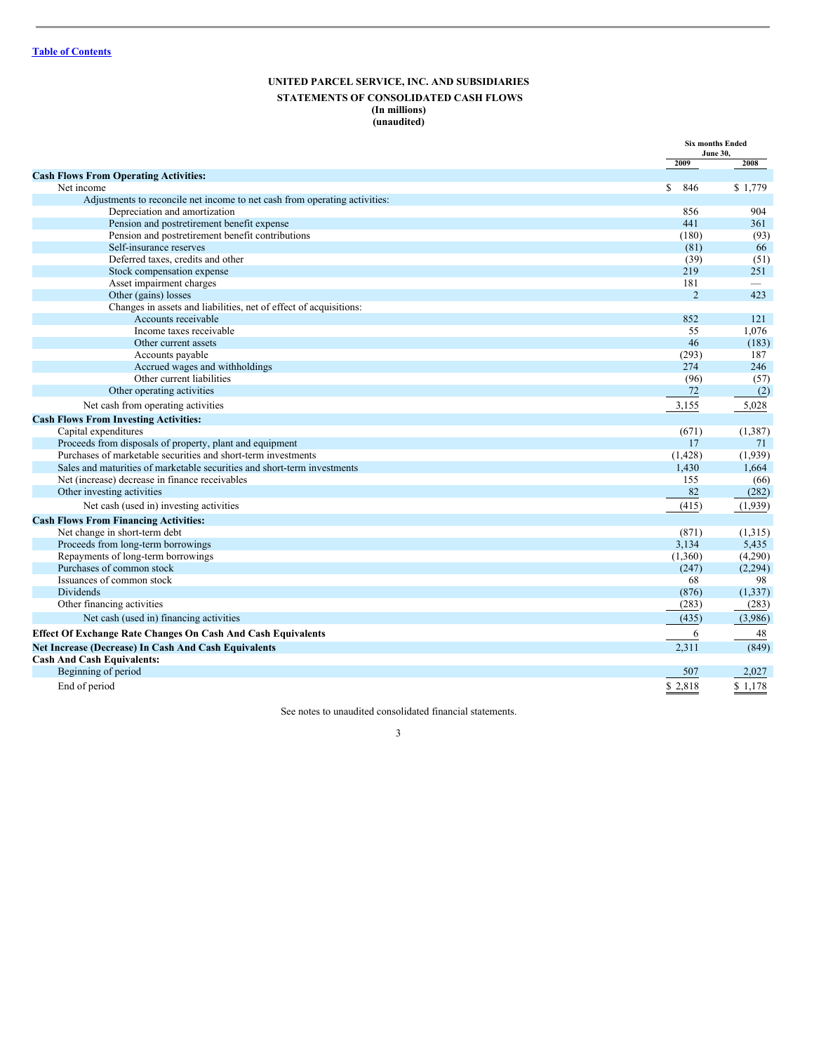# <span id="page-4-0"></span>**UNITED PARCEL SERVICE, INC. AND SUBSIDIARIES STATEMENTS OF CONSOLIDATED CASH FLOWS (In millions) (unaudited)**

|                                                                            |                | <b>Six months Ended</b><br><b>June 30,</b> |
|----------------------------------------------------------------------------|----------------|--------------------------------------------|
| <b>Cash Flows From Operating Activities:</b>                               | 2009           | 2008                                       |
| Net income                                                                 | \$<br>846      | \$1,779                                    |
| Adjustments to reconcile net income to net cash from operating activities: |                |                                            |
| Depreciation and amortization                                              | 856            | 904                                        |
| Pension and postretirement benefit expense                                 | 441            | 361                                        |
| Pension and postretirement benefit contributions                           | (180)          | (93)                                       |
| Self-insurance reserves                                                    | (81)           | 66                                         |
| Deferred taxes, credits and other                                          | (39)           | (51)                                       |
| Stock compensation expense                                                 | 219            | 251                                        |
| Asset impairment charges                                                   | 181            |                                            |
| Other (gains) losses                                                       | $\overline{2}$ | 423                                        |
| Changes in assets and liabilities, net of effect of acquisitions:          |                |                                            |
| Accounts receivable                                                        | 852            | 121                                        |
| Income taxes receivable                                                    | 55             | 1.076                                      |
| Other current assets                                                       | 46             | (183)                                      |
| Accounts payable                                                           | (293)          | 187                                        |
| Accrued wages and withholdings                                             | 274            | 246                                        |
| Other current liabilities                                                  | (96)           | (57)                                       |
| Other operating activities                                                 | 72             | (2)                                        |
| Net cash from operating activities                                         | 3,155          | 5,028                                      |
| <b>Cash Flows From Investing Activities:</b>                               |                |                                            |
| Capital expenditures                                                       | (671)          | (1, 387)                                   |
| Proceeds from disposals of property, plant and equipment                   | 17             | 71                                         |
| Purchases of marketable securities and short-term investments              | (1, 428)       | (1,939)                                    |
| Sales and maturities of marketable securities and short-term investments   | 1,430          | 1,664                                      |
| Net (increase) decrease in finance receivables                             | 155            | (66)                                       |
| Other investing activities                                                 | 82             | (282)                                      |
| Net cash (used in) investing activities                                    | (415)          | (1,939)                                    |
| <b>Cash Flows From Financing Activities:</b>                               |                |                                            |
| Net change in short-term debt                                              | (871)          | (1,315)                                    |
| Proceeds from long-term borrowings                                         | 3,134          | 5,435                                      |
| Repayments of long-term borrowings                                         | (1,360)        | (4,290)                                    |
| Purchases of common stock                                                  | (247)          | (2, 294)                                   |
| Issuances of common stock                                                  | 68             | 98                                         |
| Dividends                                                                  | (876)          | (1, 337)                                   |
| Other financing activities                                                 | (283)          | (283)                                      |
| Net cash (used in) financing activities                                    | (435)          | (3,986)                                    |
| <b>Effect Of Exchange Rate Changes On Cash And Cash Equivalents</b>        | 6              | 48                                         |
| Net Increase (Decrease) In Cash And Cash Equivalents                       | 2.311          | (849)                                      |
| <b>Cash And Cash Equivalents:</b>                                          |                |                                            |
| Beginning of period                                                        | 507            | 2,027                                      |
| End of period                                                              | \$2,818        | \$1,178                                    |

See notes to unaudited consolidated financial statements.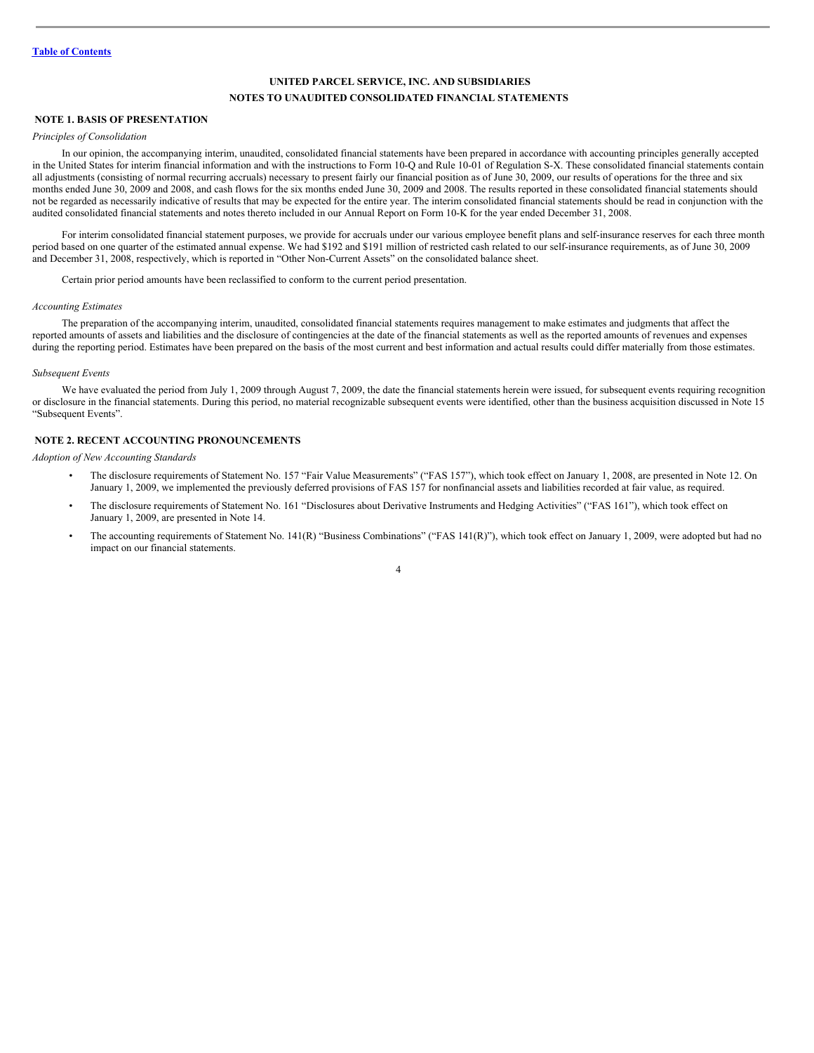### <span id="page-5-1"></span><span id="page-5-0"></span>**NOTE 1. BASIS OF PRESENTATION**

### *Principles of Consolidation*

In our opinion, the accompanying interim, unaudited, consolidated financial statements have been prepared in accordance with accounting principles generally accepted in the United States for interim financial information and with the instructions to Form 10-Q and Rule 10-01 of Regulation S-X. These consolidated financial statements contain all adjustments (consisting of normal recurring accruals) necessary to present fairly our financial position as of June 30, 2009, our results of operations for the three and six months ended June 30, 2009 and 2008, and cash flows for the six months ended June 30, 2009 and 2008. The results reported in these consolidated financial statements should not be regarded as necessarily indicative of results that may be expected for the entire year. The interim consolidated financial statements should be read in conjunction with the audited consolidated financial statements and notes thereto included in our Annual Report on Form 10-K for the year ended December 31, 2008.

For interim consolidated financial statement purposes, we provide for accruals under our various employee benefit plans and self-insurance reserves for each three month period based on one quarter of the estimated annual expense. We had \$192 and \$191 million of restricted cash related to our self-insurance requirements, as of June 30, 2009 and December 31, 2008, respectively, which is reported in "Other Non-Current Assets" on the consolidated balance sheet.

Certain prior period amounts have been reclassified to conform to the current period presentation.

#### *Accounting Estimates*

The preparation of the accompanying interim, unaudited, consolidated financial statements requires management to make estimates and judgments that affect the reported amounts of assets and liabilities and the disclosure of contingencies at the date of the financial statements as well as the reported amounts of revenues and expenses during the reporting period. Estimates have been prepared on the basis of the most current and best information and actual results could differ materially from those estimates.

#### *Subsequent Events*

We have evaluated the period from July 1, 2009 through August 7, 2009, the date the financial statements herein were issued, for subsequent events requiring recognition or disclosure in the financial statements. During this period, no material recognizable subsequent events were identified, other than the business acquisition discussed in Note 15 "Subsequent Events".

### <span id="page-5-2"></span>**NOTE 2. RECENT ACCOUNTING PRONOUNCEMENTS**

*Adoption of New Accounting Standards*

- The disclosure requirements of Statement No. 157 "Fair Value Measurements" ("FAS 157"), which took effect on January 1, 2008, are presented in Note 12. On January 1, 2009, we implemented the previously deferred provisions of FAS 157 for nonfinancial assets and liabilities recorded at fair value, as required.
- The disclosure requirements of Statement No. 161 "Disclosures about Derivative Instruments and Hedging Activities" ("FAS 161"), which took effect on January 1, 2009, are presented in Note 14.
- The accounting requirements of Statement No. 141(R) "Business Combinations" ("FAS 141(R)"), which took effect on January 1, 2009, were adopted but had no impact on our financial statements.

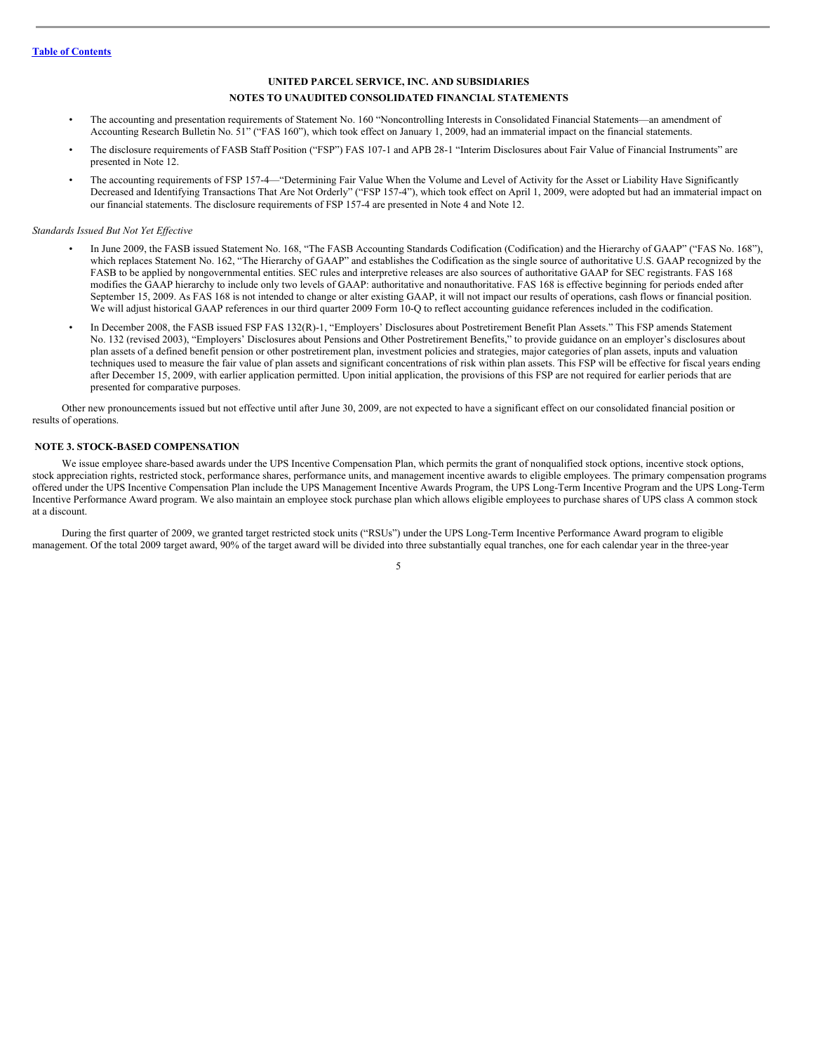- The accounting and presentation requirements of Statement No. 160 "Noncontrolling Interests in Consolidated Financial Statements—an amendment of Accounting Research Bulletin No. 51" ("FAS 160"), which took effect on January 1, 2009, had an immaterial impact on the financial statements.
- The disclosure requirements of FASB Staff Position ("FSP") FAS 107-1 and APB 28-1 "Interim Disclosures about Fair Value of Financial Instruments" are presented in Note 12.
- The accounting requirements of FSP 157-4—"Determining Fair Value When the Volume and Level of Activity for the Asset or Liability Have Significantly Decreased and Identifying Transactions That Are Not Orderly" ("FSP 157-4"), which took effect on April 1, 2009, were adopted but had an immaterial impact on our financial statements. The disclosure requirements of FSP 157-4 are presented in Note 4 and Note 12.

#### *Standards Issued But Not Yet Ef ective*

- In June 2009, the FASB issued Statement No. 168, "The FASB Accounting Standards Codification (Codification) and the Hierarchy of GAAP" ("FAS No. 168"), which replaces Statement No. 162, "The Hierarchy of GAAP" and establishes the Codification as the single source of authoritative U.S. GAAP recognized by the FASB to be applied by nongovernmental entities. SEC rules and interpretive releases are also sources of authoritative GAAP for SEC registrants. FAS 168 modifies the GAAP hierarchy to include only two levels of GAAP: authoritative and nonauthoritative. FAS 168 is effective beginning for periods ended after September 15, 2009. As FAS 168 is not intended to change or alter existing GAAP, it will not impact our results of operations, cash flows or financial position. We will adjust historical GAAP references in our third quarter 2009 Form 10-Q to reflect accounting guidance references included in the codification.
- In December 2008, the FASB issued FSP FAS 132(R)-1, "Employers' Disclosures about Postretirement Benefit Plan Assets." This FSP amends Statement No. 132 (revised 2003), "Employers' Disclosures about Pensions and Other Postretirement Benefits," to provide guidance on an employer's disclosures about plan assets of a defined benefit pension or other postretirement plan, investment policies and strategies, major categories of plan assets, inputs and valuation techniques used to measure the fair value of plan assets and significant concentrations of risk within plan assets. This FSP will be effective for fiscal years ending after December 15, 2009, with earlier application permitted. Upon initial application, the provisions of this FSP are not required for earlier periods that are presented for comparative purposes.

Other new pronouncements issued but not effective until after June 30, 2009, are not expected to have a significant effect on our consolidated financial position or results of operations.

### <span id="page-6-0"></span>**NOTE 3. STOCK-BASED COMPENSATION**

We issue employee share-based awards under the UPS Incentive Compensation Plan, which permits the grant of nonqualified stock options, incentive stock options, stock appreciation rights, restricted stock, performance shares, performance units, and management incentive awards to eligible employees. The primary compensation programs offered under the UPS Incentive Compensation Plan include the UPS Management Incentive Awards Program, the UPS Long-Term Incentive Program and the UPS Long-Term Incentive Performance Award program. We also maintain an employee stock purchase plan which allows eligible employees to purchase shares of UPS class A common stock at a discount.

During the first quarter of 2009, we granted target restricted stock units ("RSUs") under the UPS Long-Term Incentive Performance Award program to eligible management. Of the total 2009 target award, 90% of the target award will be divided into three substantially equal tranches, one for each calendar year in the three-year

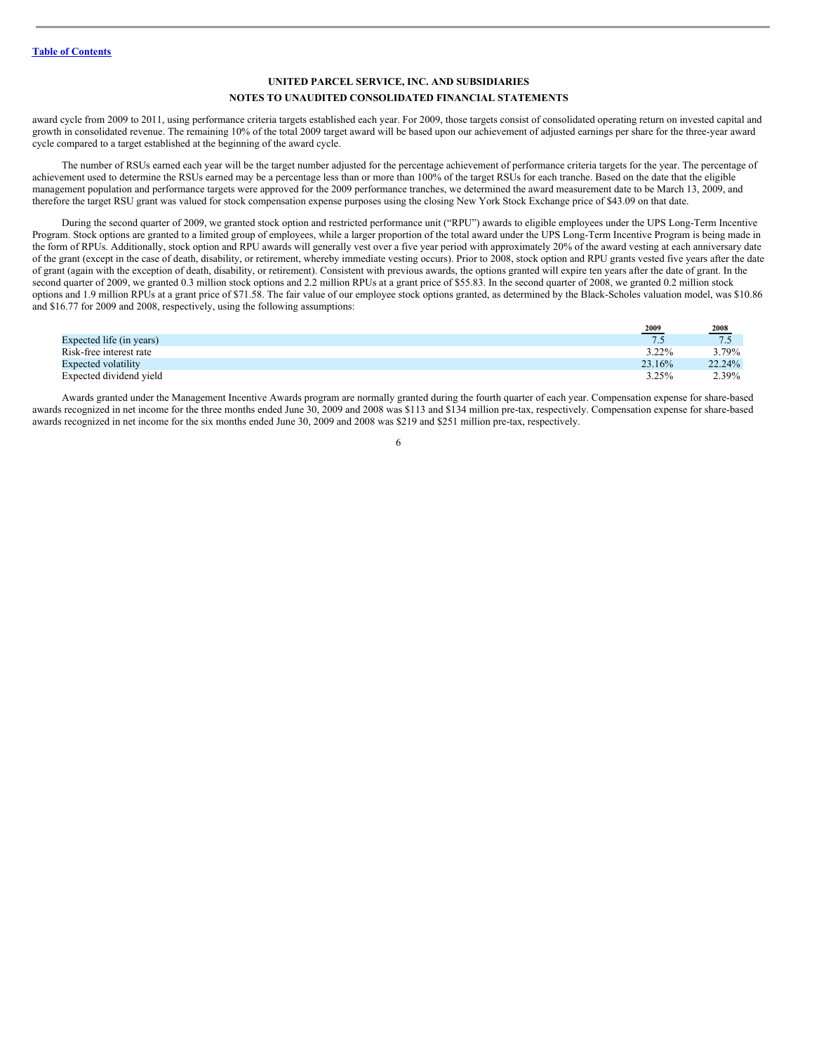award cycle from 2009 to 2011, using performance criteria targets established each year. For 2009, those targets consist of consolidated operating return on invested capital and growth in consolidated revenue. The remaining 10% of the total 2009 target award will be based upon our achievement of adjusted earnings per share for the three-year award cycle compared to a target established at the beginning of the award cycle.

The number of RSUs earned each year will be the target number adjusted for the percentage achievement of performance criteria targets for the year. The percentage of achievement used to determine the RSUs earned may be a percentage less than or more than 100% of the target RSUs for each tranche. Based on the date that the eligible management population and performance targets were approved for the 2009 performance tranches, we determined the award measurement date to be March 13, 2009, and therefore the target RSU grant was valued for stock compensation expense purposes using the closing New York Stock Exchange price of \$43.09 on that date.

During the second quarter of 2009, we granted stock option and restricted performance unit ("RPU") awards to eligible employees under the UPS Long-Term Incentive Program. Stock options are granted to a limited group of employees, while a larger proportion of the total award under the UPS Long-Term Incentive Program is being made in the form of RPUs. Additionally, stock option and RPU awards will generally vest over a five year period with approximately 20% of the award vesting at each anniversary date of the grant (except in the case of death, disability, or retirement, whereby immediate vesting occurs). Prior to 2008, stock option and RPU grants vested five years after the date of grant (again with the exception of death, disability, or retirement). Consistent with previous awards, the options granted will expire ten years after the date of grant. In the second quarter of 2009, we granted 0.3 million stock options and 2.2 million RPUs at a grant price of \$55.83. In the second quarter of 2008, we granted 0.2 million stock options and 1.9 million RPUs at a grant price of \$71.58. The fair value of our employee stock options granted, as determined by the Black-Scholes valuation model, was \$10.86 and \$16.77 for 2009 and 2008, respectively, using the following assumptions:

|                          | 2009     | 2008   |
|--------------------------|----------|--------|
| Expected life (in years) | ن.       | 7.5    |
| Risk-free interest rate  | 3.22%    | 3.79%  |
| Expected volatility      | 23.16%   | 22.24% |
| Expected dividend yield  | $3.25\%$ | 2.39%  |

Awards granted under the Management Incentive Awards program are normally granted during the fourth quarter of each year. Compensation expense for share-based awards recognized in net income for the three months ended June 30, 2009 and 2008 was \$113 and \$134 million pre-tax, respectively. Compensation expense for share-based awards recognized in net income for the six months ended June 30, 2009 and 2008 was \$219 and \$251 million pre-tax, respectively.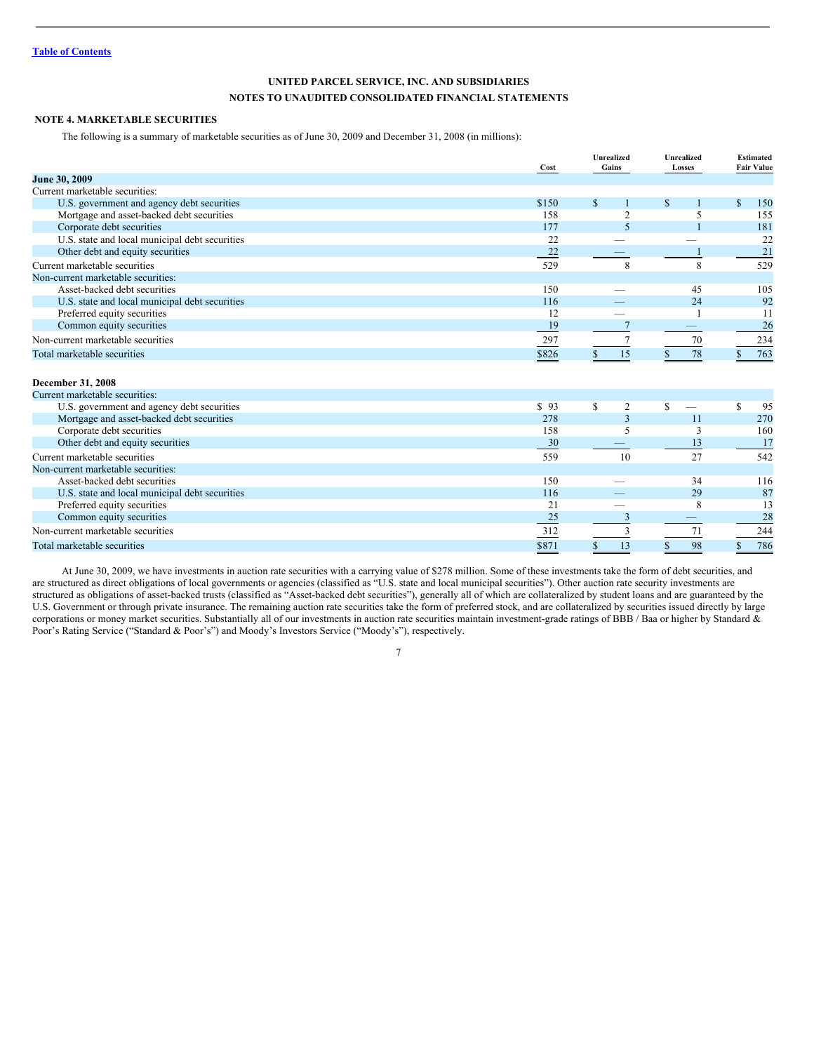# <span id="page-8-0"></span>**NOTE 4. MARKETABLE SECURITIES**

The following is a summary of marketable securities as of June 30, 2009 and December 31, 2008 (in millions):

|                                                | Cost   | <b>Unrealized</b><br>Gains | <b>Unrealized</b><br>Losses | <b>Estimated</b><br><b>Fair Value</b> |
|------------------------------------------------|--------|----------------------------|-----------------------------|---------------------------------------|
| June 30, 2009                                  |        |                            |                             |                                       |
| Current marketable securities:                 |        |                            |                             |                                       |
| U.S. government and agency debt securities     | \$150  | $\mathbb{S}$<br>1          | $\mathbb{S}$                | $\mathbb{S}$<br>150                   |
| Mortgage and asset-backed debt securities      | 158    | $\overline{2}$             | 5                           | 155                                   |
| Corporate debt securities                      | 177    | 5                          |                             | 181                                   |
| U.S. state and local municipal debt securities | 22     |                            |                             | 22                                    |
| Other debt and equity securities               | 22     | $\overline{\phantom{0}}$   |                             | 21                                    |
| Current marketable securities                  | 529    | 8                          | 8                           | 529                                   |
| Non-current marketable securities:             |        |                            |                             |                                       |
| Asset-backed debt securities                   | 150    |                            | 45                          | 105                                   |
| U.S. state and local municipal debt securities | 116    |                            | 24                          | 92                                    |
| Preferred equity securities                    | 12     |                            |                             | 11                                    |
| Common equity securities                       | 19     |                            |                             | 26                                    |
| Non-current marketable securities              | 297    |                            | 70                          | 234                                   |
| Total marketable securities                    | \$826  | 15<br>\$                   | 78                          | 763<br>\$                             |
| <b>December 31, 2008</b>                       |        |                            |                             |                                       |
| Current marketable securities:                 |        |                            |                             |                                       |
| U.S. government and agency debt securities     | \$93   | $\mathbb{S}$<br>2          | \$                          | \$<br>95                              |
| Mortgage and asset-backed debt securities      | 278    | $\overline{3}$             | 11                          | 270                                   |
| Corporate debt securities                      | 158    | 5                          | 3                           | 160                                   |
| Other debt and equity securities               | 30     |                            | 13                          | 17                                    |
| Current marketable securities                  | 559    | 10                         | 27                          | 542                                   |
| Non-current marketable securities:             |        |                            |                             |                                       |
| Asset-backed debt securities                   | 150    |                            | 34                          | 116                                   |
| U.S. state and local municipal debt securities | 116    |                            | 29                          | 87                                    |
| Preferred equity securities                    | 21     |                            | 8                           | 13                                    |
| Common equity securities                       | $25\,$ | 3                          |                             | 28                                    |
| Non-current marketable securities              | 312    | 3                          | 71                          | 244                                   |
| Total marketable securities                    | \$871  | 13<br>$\mathbf{s}$         | 98<br>\$                    | 786<br>\$                             |

At June 30, 2009, we have investments in auction rate securities with a carrying value of \$278 million. Some of these investments take the form of debt securities, and are structured as direct obligations of local governments or agencies (classified as "U.S. state and local municipal securities"). Other auction rate security investments are structured as obligations of asset-backed trusts (classified as "Asset-backed debt securities"), generally all of which are collateralized by student loans and are guaranteed by the U.S. Government or through private insurance. The remaining auction rate securities take the form of preferred stock, and are collateralized by securities issued directly by large corporations or money market securities. Substantially all of our investments in auction rate securities maintain investment-grade ratings of BBB / Baa or higher by Standard  $\&$ Poor's Rating Service ("Standard & Poor's") and Moody's Investors Service ("Moody's"), respectively.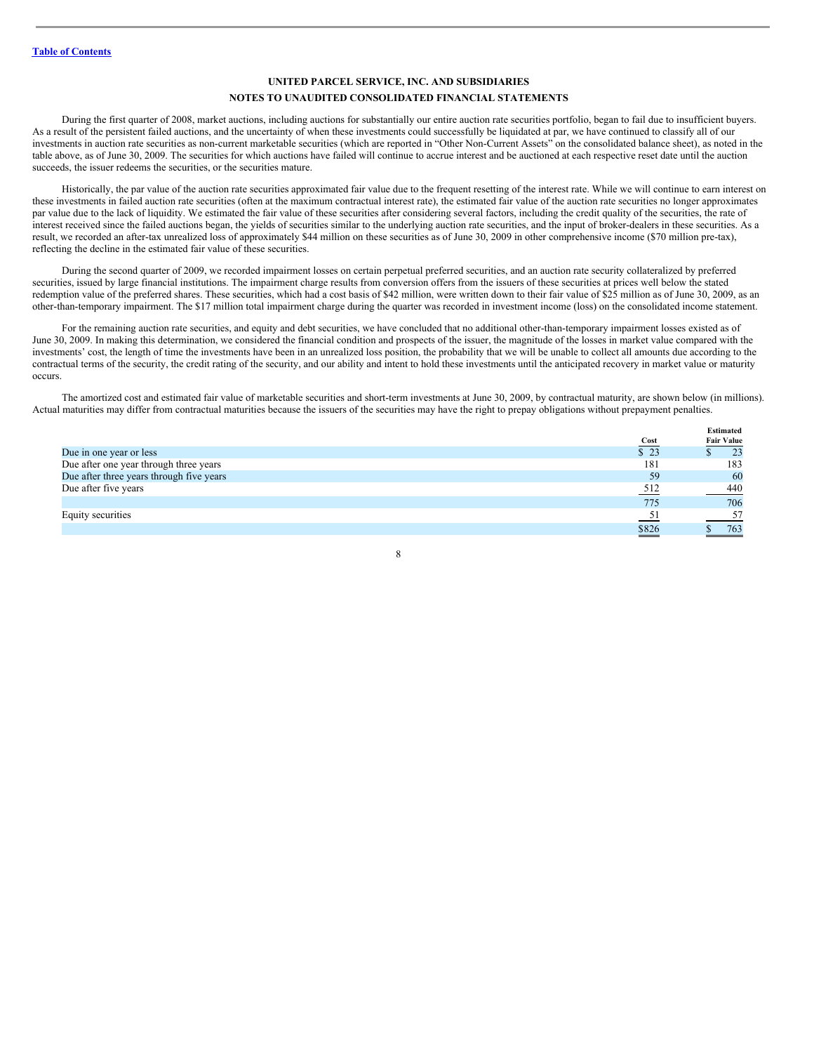**NOTES TO UNAUDITED CONSOLIDATED FINANCIAL STATEMENTS**

During the first quarter of 2008, market auctions, including auctions for substantially our entire auction rate securities portfolio, began to fail due to insufficient buyers. As a result of the persistent failed auctions, and the uncertainty of when these investments could successfully be liquidated at par, we have continued to classify all of our investments in auction rate securities as non-current marketable securities (which are reported in "Other Non-Current Assets" on the consolidated balance sheet), as noted in the table above, as of June 30, 2009. The securities for which auctions have failed will continue to accrue interest and be auctioned at each respective reset date until the auction succeeds, the issuer redeems the securities, or the securities mature.

Historically, the par value of the auction rate securities approximated fair value due to the frequent resetting of the interest rate. While we will continue to earn interest on these investments in failed auction rate securities (often at the maximum contractual interest rate), the estimated fair value of the auction rate securities no longer approximates par value due to the lack of liquidity. We estimated the fair value of these securities after considering several factors, including the credit quality of the securities, the rate of interest received since the failed auctions began, the yields of securities similar to the underlying auction rate securities, and the input of broker-dealers in these securities. As a result, we recorded an after-tax unrealized loss of approximately \$44 million on these securities as of June 30, 2009 in other comprehensive income (\$70 million pre-tax), reflecting the decline in the estimated fair value of these securities.

During the second quarter of 2009, we recorded impairment losses on certain perpetual preferred securities, and an auction rate security collateralized by preferred securities, issued by large financial institutions. The impairment charge results from conversion offers from the issuers of these securities at prices well below the stated redemption value of the preferred shares. These securities, which had a cost basis of \$42 million, were written down to their fair value of \$25 million as of June 30, 2009, as an other-than-temporary impairment. The \$17 million total impairment charge during the quarter was recorded in investment income (loss) on the consolidated income statement.

For the remaining auction rate securities, and equity and debt securities, we have concluded that no additional other-than-temporary impairment losses existed as of June 30, 2009. In making this determination, we considered the financial condition and prospects of the issuer, the magnitude of the losses in market value compared with the investments' cost, the length of time the investments have been in an unrealized loss position, the probability that we will be unable to collect all amounts due according to the contractual terms of the security, the credit rating of the security, and our ability and intent to hold these investments until the anticipated recovery in market value or maturity occurs.

The amortized cost and estimated fair value of marketable securities and short-term investments at June 30, 2009, by contractual maturity, are shown below (in millions). Actual maturities may differ from contractual maturities because the issuers of the securities may have the right to prepay obligations without prepayment penalties.

**Estimated**

|                                          |                           | езишате           |
|------------------------------------------|---------------------------|-------------------|
|                                          |                           | <b>Fair Value</b> |
| Due in one year or less                  | $rac{\text{Cost}}{\$}$ 23 | 23                |
| Due after one year through three years   | 181                       | 183               |
| Due after three years through five years | 59                        | 60                |
| Due after five years                     | 512                       | 440               |
|                                          | 775                       | 706               |
| Equity securities                        |                           | 57                |
|                                          | \$826                     | 763               |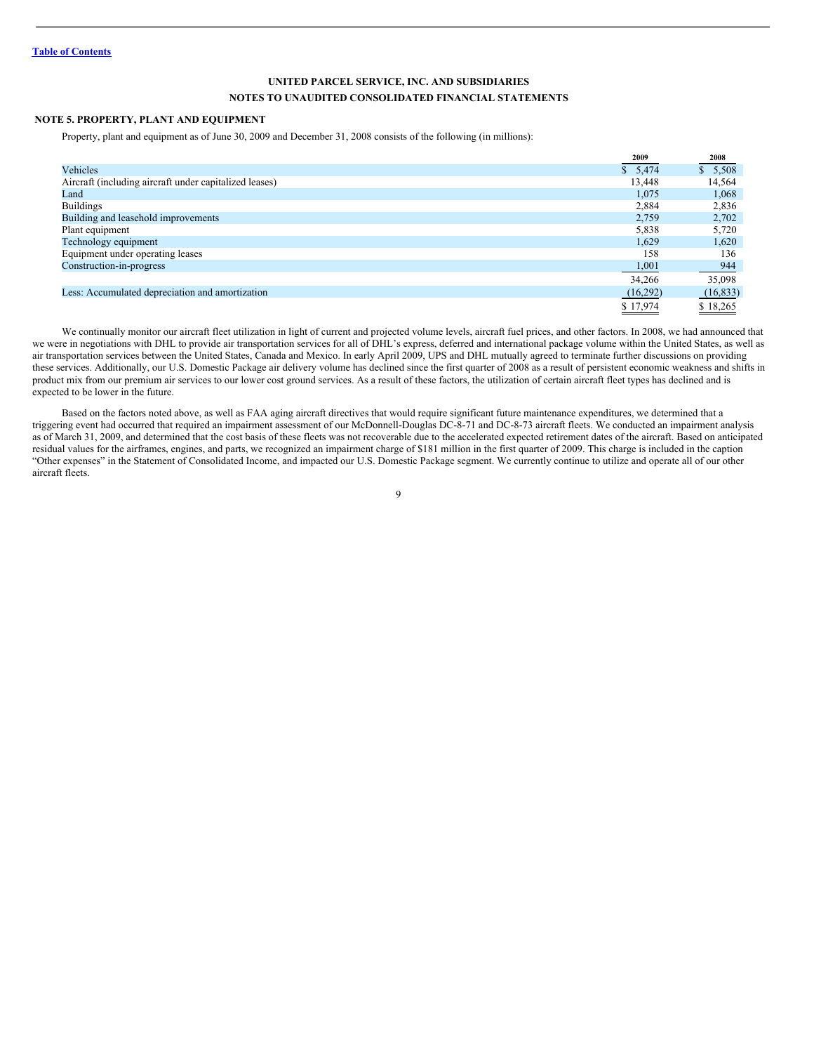# <span id="page-10-0"></span>**NOTE 5. PROPERTY, PLANT AND EQUIPMENT**

Property, plant and equipment as of June 30, 2009 and December 31, 2008 consists of the following (in millions):

|          | 2008             |
|----------|------------------|
| \$5,474  | \$5,508          |
| 13.448   | 14,564           |
| 1,075    | 1,068            |
| 2,884    | 2,836            |
| 2,759    | 2,702            |
| 5,838    | 5,720            |
| 1,629    | 1,620            |
| 158      | 136              |
| 1,001    | 944              |
| 34,266   | 35,098           |
| (16,292) | (16, 833)        |
|          | \$18,265         |
|          | 2009<br>\$17,974 |

We continually monitor our aircraft fleet utilization in light of current and projected volume levels, aircraft fuel prices, and other factors. In 2008, we had announced that we were in negotiations with DHL to provide air transportation services for all of DHL's express, deferred and international package volume within the United States, as well as air transportation services between the United States, Canada and Mexico. In early April 2009, UPS and DHL mutually agreed to terminate further discussions on providing these services. Additionally, our U.S. Domestic Package air delivery volume has declined since the first quarter of 2008 as a result of persistent economic weakness and shifts in product mix from our premium air services to our lower cost ground services. As a result of these factors, the utilization of certain aircraft fleet types has declined and is expected to be lower in the future.

Based on the factors noted above, as well as FAA aging aircraft directives that would require significant future maintenance expenditures, we determined that a triggering event had occurred that required an impairment assessment of our McDonnell-Douglas DC-8-71 and DC-8-73 aircraft fleets. We conducted an impairment analysis as of March 31, 2009, and determined that the cost basis of these fleets was not recoverable due to the accelerated expected retirement dates of the aircraft. Based on anticipated residual values for the airframes, engines, and parts, we recognized an impairment charge of \$181 million in the first quarter of 2009. This charge is included in the caption "Other expenses" in the Statement of Consolidated Income, and impacted our U.S. Domestic Package segment. We currently continue to utilize and operate all of our other aircraft fleets.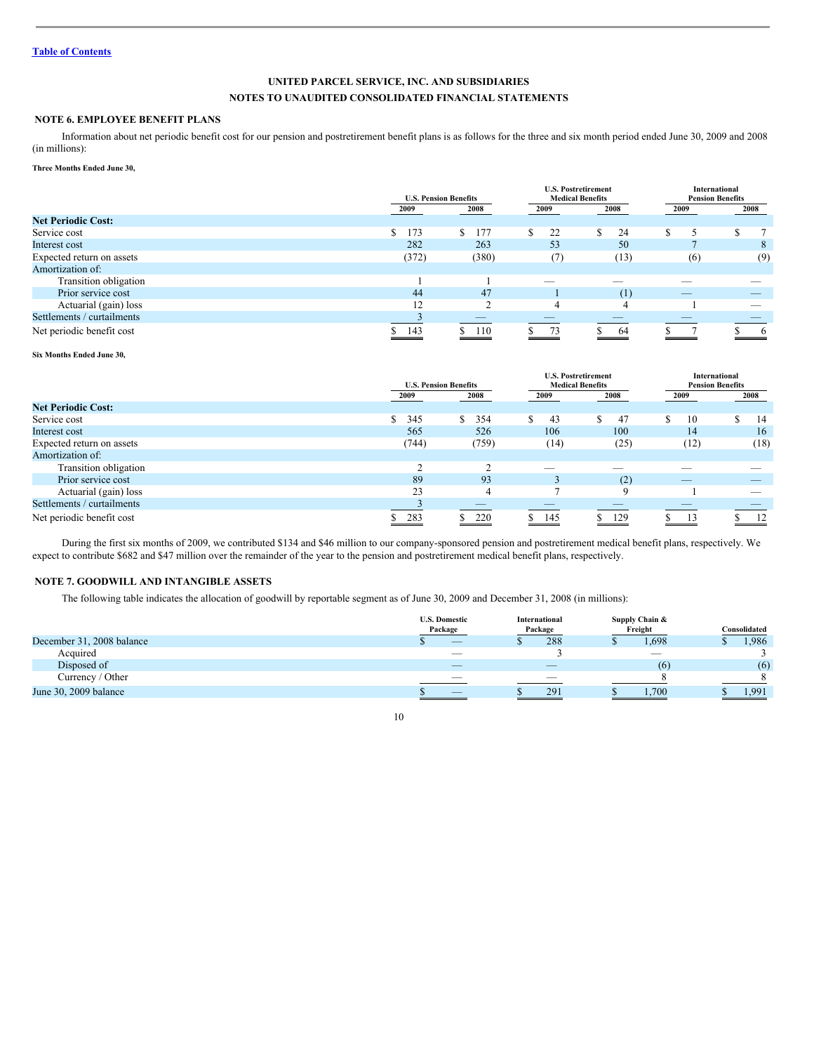# <span id="page-11-0"></span>**NOTE 6. EMPLOYEE BENEFIT PLANS**

Information about net periodic benefit cost for our pension and postretirement benefit plans is as follows for the three and six month period ended June 30, 2009 and 2008 (in millions):

**Three Months Ended June 30,**

|                            |       | <b>U.S. Pension Benefits</b> |         | <b>U.S. Postretirement</b><br><b>Medical Benefits</b> |      | <b>International</b><br><b>Pension Benefits</b> |  |
|----------------------------|-------|------------------------------|---------|-------------------------------------------------------|------|-------------------------------------------------|--|
|                            | 2009  | 2008                         | 2009    | 2008                                                  | 2009 | 2008                                            |  |
| <b>Net Periodic Cost:</b>  |       |                              |         |                                                       |      |                                                 |  |
| Service cost               | 173   | \$<br>177                    | S<br>22 | S<br>24                                               | S    |                                                 |  |
| Interest cost              | 282   | 263                          | 53      | 50                                                    |      | 8                                               |  |
| Expected return on assets  | (372) | (380)                        | (7)     | (13)                                                  | (6)  | (9)                                             |  |
| Amortization of:           |       |                              |         |                                                       |      |                                                 |  |
| Transition obligation      |       |                              |         |                                                       |      |                                                 |  |
| Prior service cost         | 44    | 47                           |         | (1)                                                   |      |                                                 |  |
| Actuarial (gain) loss      | 12    | $\sim$                       |         | 4                                                     |      |                                                 |  |
| Settlements / curtailments |       |                              |         |                                                       |      |                                                 |  |
| Net periodic benefit cost  | 143   | 110                          | 73      | -64                                                   |      | -6                                              |  |

### **Six Months Ended June 30,**

|                            |        | <b>U.S. Pension Benefits</b> |      | <b>U.S. Postretirement</b><br><b>Medical Benefits</b> |      | <b>International</b><br><b>Pension Benefits</b> |  |
|----------------------------|--------|------------------------------|------|-------------------------------------------------------|------|-------------------------------------------------|--|
|                            | 2009   | 2008                         | 2009 | 2008                                                  | 2009 | 2008                                            |  |
| <b>Net Periodic Cost:</b>  |        |                              |      |                                                       |      |                                                 |  |
| Service cost               | 345    | \$<br>354                    | 43   | S<br>47                                               | 10   | 14                                              |  |
| Interest cost              | 565    | 526                          | 106  | 100                                                   | 14   | 16                                              |  |
| Expected return on assets  | (744)  | (759)                        | (14) | (25)                                                  | (12) | (18)                                            |  |
| Amortization of:           |        |                              |      |                                                       |      |                                                 |  |
| Transition obligation      | $\sim$ | ◠                            |      |                                                       |      |                                                 |  |
| Prior service cost         | 89     | 93                           |      | (2)                                                   |      |                                                 |  |
| Actuarial (gain) loss      | 23     | 4                            |      | Q                                                     |      | _                                               |  |
| Settlements / curtailments |        |                              |      |                                                       |      |                                                 |  |
| Net periodic benefit cost  | 283    | 220                          | 145  | 129<br>ъ                                              | 13   | 12                                              |  |

During the first six months of 2009, we contributed \$134 and \$46 million to our company-sponsored pension and postretirement medical benefit plans, respectively. We expect to contribute \$682 and \$47 million over the remainder of the year to the pension and postretirement medical benefit plans, respectively.

# <span id="page-11-1"></span>**NOTE 7. GOODWILL AND INTANGIBLE ASSETS**

The following table indicates the allocation of goodwill by reportable segment as of June 30, 2009 and December 31, 2008 (in millions):

|                           | <b>U.S. Domestic</b><br>Package | International<br>Package | Supply Chain &<br>Freight | Consolidated |
|---------------------------|---------------------------------|--------------------------|---------------------------|--------------|
| December 31, 2008 balance | $\overline{\phantom{a}}$        | 288                      | .698                      | .986         |
| Acquired                  | $\overline{\phantom{a}}$        |                          | $\sim$                    |              |
| Disposed of               | $\overline{\phantom{a}}$        | _                        | (6)                       | (6)          |
| Currency / Other          | $\overline{\phantom{a}}$        | $\overline{\phantom{a}}$ |                           |              |
| June 30, 2009 balance     |                                 | 291                      | 1,700                     | .991         |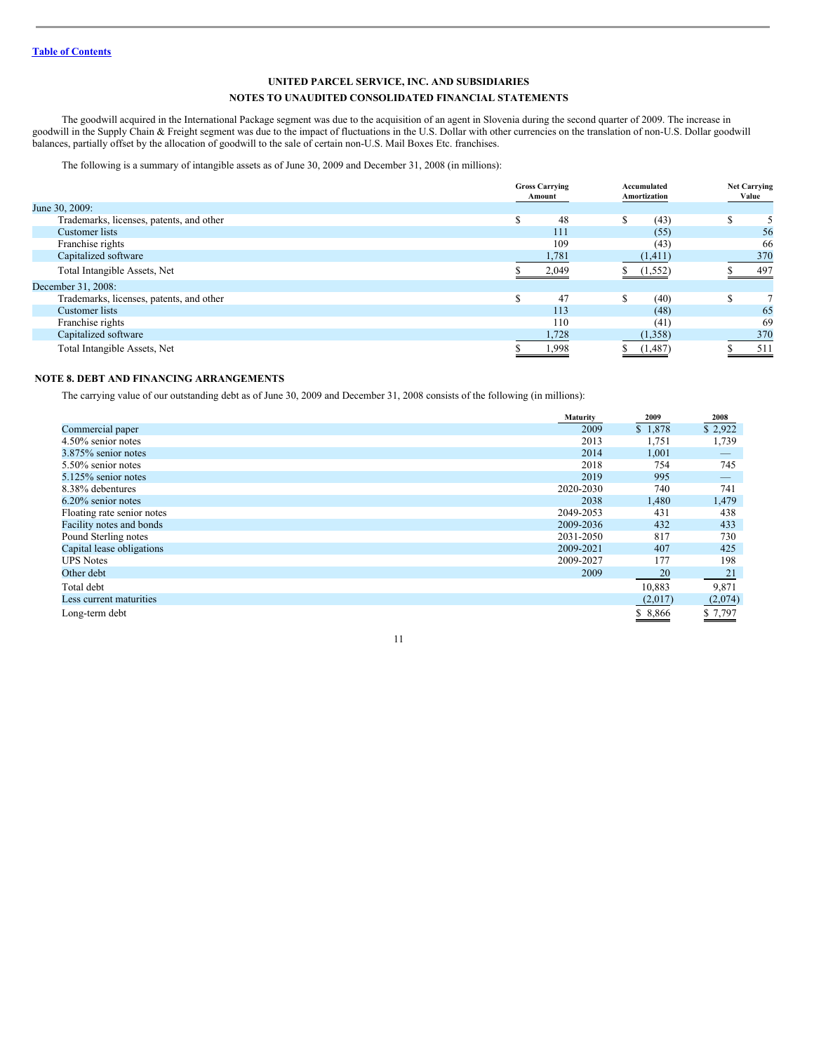## **NOTES TO UNAUDITED CONSOLIDATED FINANCIAL STATEMENTS**

The goodwill acquired in the International Package segment was due to the acquisition of an agent in Slovenia during the second quarter of 2009. The increase in goodwill in the Supply Chain & Freight segment was due to the impact of fluctuations in the U.S. Dollar with other currencies on the translation of non-U.S. Dollar goodwill balances, partially offset by the allocation of goodwill to the sale of certain non-U.S. Mail Boxes Etc. franchises.

The following is a summary of intangible assets as of June 30, 2009 and December 31, 2008 (in millions):

|                                          | <b>Gross Carrying</b><br>Amount |   | Accumulated<br>Amortization | <b>Net Carrying</b><br>Value |
|------------------------------------------|---------------------------------|---|-----------------------------|------------------------------|
| June 30, 2009:                           |                                 |   |                             |                              |
| Trademarks, licenses, patents, and other | 48                              | S | (43)                        |                              |
| Customer lists                           | 111                             |   | (55)                        | 56                           |
| Franchise rights                         | 109                             |   | (43)                        | 66                           |
| Capitalized software                     | 1,781                           |   | (1,411)                     | 370                          |
| Total Intangible Assets, Net             | 2,049                           |   | (1, 552)                    | 497                          |
| December 31, 2008:                       |                                 |   |                             |                              |
| Trademarks, licenses, patents, and other | 47                              | S | (40)                        |                              |
| Customer lists                           | 113                             |   | (48)                        | 65                           |
| Franchise rights                         | 110                             |   | (41)                        | 69                           |
| Capitalized software                     | 1,728                           |   | (1,358)                     | 370                          |
| Total Intangible Assets, Net             | 1,998                           |   | (1, 487)                    | 511                          |

# <span id="page-12-0"></span>**NOTE 8. DEBT AND FINANCING ARRANGEMENTS**

The carrying value of our outstanding debt as of June 30, 2009 and December 31, 2008 consists of the following (in millions):

|                            | Maturity  | 2009    | 2008    |
|----------------------------|-----------|---------|---------|
| Commercial paper           | 2009      | \$1,878 | \$2,922 |
| 4.50% senior notes         | 2013      | 1,751   | 1,739   |
| 3.875% senior notes        | 2014      | 1,001   |         |
| 5.50% senior notes         | 2018      | 754     | 745     |
| 5.125% senior notes        | 2019      | 995     |         |
| 8.38% debentures           | 2020-2030 | 740     | 741     |
| 6.20% senior notes         | 2038      | 1,480   | 1,479   |
| Floating rate senior notes | 2049-2053 | 431     | 438     |
| Facility notes and bonds   | 2009-2036 | 432     | 433     |
| Pound Sterling notes       | 2031-2050 | 817     | 730     |
| Capital lease obligations  | 2009-2021 | 407     | 425     |
| <b>UPS</b> Notes           | 2009-2027 | 177     | 198     |
| Other debt                 | 2009      | 20      | 21      |
| Total debt                 |           | 10,883  | 9,871   |
| Less current maturities    |           | (2,017) | (2,074) |
| Long-term debt             |           | \$8,866 | \$7,797 |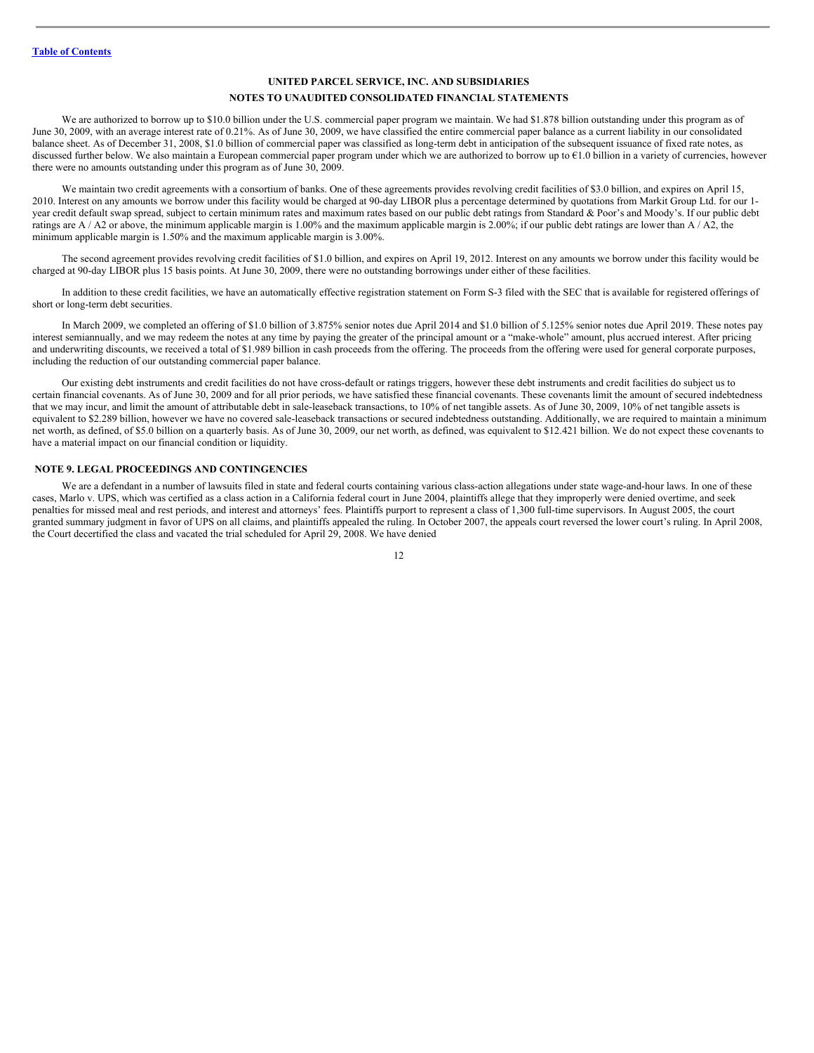# **NOTES TO UNAUDITED CONSOLIDATED FINANCIAL STATEMENTS**

We are authorized to borrow up to \$10.0 billion under the U.S. commercial paper program we maintain. We had \$1.878 billion outstanding under this program as of June 30, 2009, with an average interest rate of 0.21%. As of June 30, 2009, we have classified the entire commercial paper balance as a current liability in our consolidated balance sheet. As of December 31, 2008, \$1.0 billion of commercial paper was classified as long-term debt in anticipation of the subsequent issuance of fixed rate notes, as discussed further below. We also maintain a European commercial paper program under which we are authorized to borrow up to €1.0 billion in a variety of currencies, however there were no amounts outstanding under this program as of June 30, 2009.

We maintain two credit agreements with a consortium of banks. One of these agreements provides revolving credit facilities of \$3.0 billion, and expires on April 15, 2010. Interest on any amounts we borrow under this facility would be charged at 90-day LIBOR plus a percentage determined by quotations from Markit Group Ltd. for our 1 year credit default swap spread, subject to certain minimum rates and maximum rates based on our public debt ratings from Standard & Poor's and Moody's. If our public debt ratings are A / A2 or above, the minimum applicable margin is 1.00% and the maximum applicable margin is 2.00%; if our public debt ratings are lower than A / A2, the minimum applicable margin is 1.50% and the maximum applicable margin is 3.00%.

The second agreement provides revolving credit facilities of \$1.0 billion, and expires on April 19, 2012. Interest on any amounts we borrow under this facility would be charged at 90-day LIBOR plus 15 basis points. At June 30, 2009, there were no outstanding borrowings under either of these facilities.

In addition to these credit facilities, we have an automatically effective registration statement on Form S-3 filed with the SEC that is available for registered offerings of short or long-term debt securities.

In March 2009, we completed an offering of \$1.0 billion of 3.875% senior notes due April 2014 and \$1.0 billion of 5.125% senior notes due April 2019. These notes pay interest semiannually, and we may redeem the notes at any time by paying the greater of the principal amount or a "make-whole" amount, plus accrued interest. After pricing and underwriting discounts, we received a total of \$1.989 billion in cash proceeds from the offering. The proceeds from the offering were used for general corporate purposes, including the reduction of our outstanding commercial paper balance.

Our existing debt instruments and credit facilities do not have cross-default or ratings triggers, however these debt instruments and credit facilities do subject us to certain financial covenants. As of June 30, 2009 and for all prior periods, we have satisfied these financial covenants. These covenants limit the amount of secured indebtedness that we may incur, and limit the amount of attributable debt in sale-leaseback transactions, to 10% of net tangible assets. As of June 30, 2009, 10% of net tangible assets is equivalent to \$2.289 billion, however we have no covered sale-leaseback transactions or secured indebtedness outstanding. Additionally, we are required to maintain a minimum net worth, as defined, of \$5.0 billion on a quarterly basis. As of June 30, 2009, our net worth, as defined, was equivalent to \$12.421 billion. We do not expect these covenants to have a material impact on our financial condition or liquidity.

### <span id="page-13-0"></span>**NOTE 9. LEGAL PROCEEDINGS AND CONTINGENCIES**

We are a defendant in a number of lawsuits filed in state and federal courts containing various class-action allegations under state wage-and-hour laws. In one of these cases, Marlo v. UPS, which was certified as a class action in a California federal court in June 2004, plaintiffs allege that they improperly were denied overtime, and seek penalties for missed meal and rest periods, and interest and attorneys' fees. Plaintiffs purport to represent a class of 1,300 full-time supervisors. In August 2005, the court granted summary judgment in favor of UPS on all claims, and plaintiffs appealed the ruling. In October 2007, the appeals court reversed the lower court's ruling. In April 2008, the Court decertified the class and vacated the trial scheduled for April 29, 2008. We have denied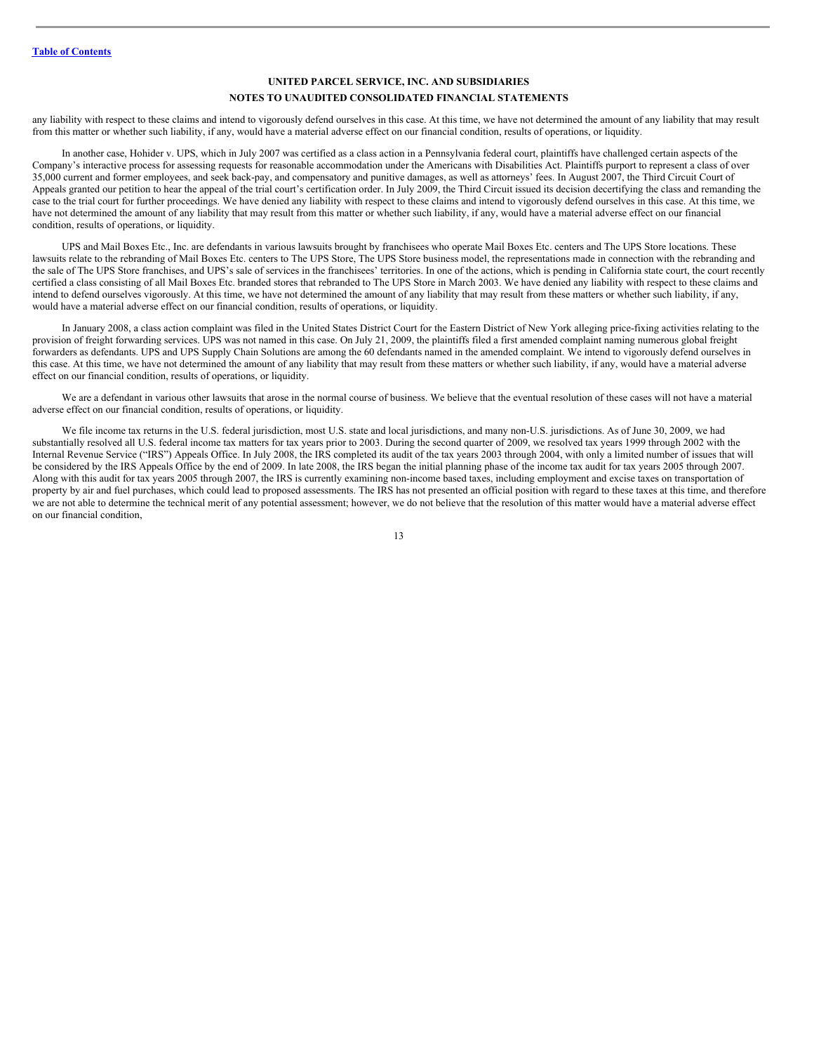# **NOTES TO UNAUDITED CONSOLIDATED FINANCIAL STATEMENTS**

any liability with respect to these claims and intend to vigorously defend ourselves in this case. At this time, we have not determined the amount of any liability that may result from this matter or whether such liability, if any, would have a material adverse effect on our financial condition, results of operations, or liquidity.

In another case, Hohider v. UPS, which in July 2007 was certified as a class action in a Pennsylvania federal court, plaintiffs have challenged certain aspects of the Company's interactive process for assessing requests for reasonable accommodation under the Americans with Disabilities Act. Plaintiffs purport to represent a class of over 35,000 current and former employees, and seek back-pay, and compensatory and punitive damages, as well as attorneys' fees. In August 2007, the Third Circuit Court of Appeals granted our petition to hear the appeal of the trial court's certification order. In July 2009, the Third Circuit issued its decision decertifying the class and remanding the case to the trial court for further proceedings. We have denied any liability with respect to these claims and intend to vigorously defend ourselves in this case. At this time, we have not determined the amount of any liability that may result from this matter or whether such liability, if any, would have a material adverse effect on our financial condition, results of operations, or liquidity.

UPS and Mail Boxes Etc., Inc. are defendants in various lawsuits brought by franchisees who operate Mail Boxes Etc. centers and The UPS Store locations. These lawsuits relate to the rebranding of Mail Boxes Etc. centers to The UPS Store, The UPS Store business model, the representations made in connection with the rebranding and the sale of The UPS Store franchises, and UPS's sale of services in the franchisees' territories. In one of the actions, which is pending in California state court, the court recently certified a class consisting of all Mail Boxes Etc. branded stores that rebranded to The UPS Store in March 2003. We have denied any liability with respect to these claims and intend to defend ourselves vigorously. At this time, we have not determined the amount of any liability that may result from these matters or whether such liability, if any, would have a material adverse effect on our financial condition, results of operations, or liquidity.

In January 2008, a class action complaint was filed in the United States District Court for the Eastern District of New York alleging price-fixing activities relating to the provision of freight forwarding services. UPS was not named in this case. On July 21, 2009, the plaintiffs filed a first amended complaint naming numerous global freight forwarders as defendants. UPS and UPS Supply Chain Solutions are among the 60 defendants named in the amended complaint. We intend to vigorously defend ourselves in this case. At this time, we have not determined the amount of any liability that may result from these matters or whether such liability, if any, would have a material adverse effect on our financial condition, results of operations, or liquidity.

We are a defendant in various other lawsuits that arose in the normal course of business. We believe that the eventual resolution of these cases will not have a material adverse effect on our financial condition, results of operations, or liquidity.

We file income tax returns in the U.S. federal jurisdiction, most U.S. state and local jurisdictions, and many non-U.S. jurisdictions. As of June 30, 2009, we had substantially resolved all U.S. federal income tax matters for tax years prior to 2003. During the second quarter of 2009, we resolved tax years 1999 through 2002 with the Internal Revenue Service ("IRS") Appeals Office. In July 2008, the IRS completed its audit of the tax years 2003 through 2004, with only a limited number of issues that will be considered by the IRS Appeals Office by the end of 2009. In late 2008, the IRS began the initial planning phase of the income tax audit for tax years 2005 through 2007. Along with this audit for tax years 2005 through 2007, the IRS is currently examining non-income based taxes, including employment and excise taxes on transportation of property by air and fuel purchases, which could lead to proposed assessments. The IRS has not presented an official position with regard to these taxes at this time, and therefore we are not able to determine the technical merit of any potential assessment; however, we do not believe that the resolution of this matter would have a material adverse effect on our financial condition,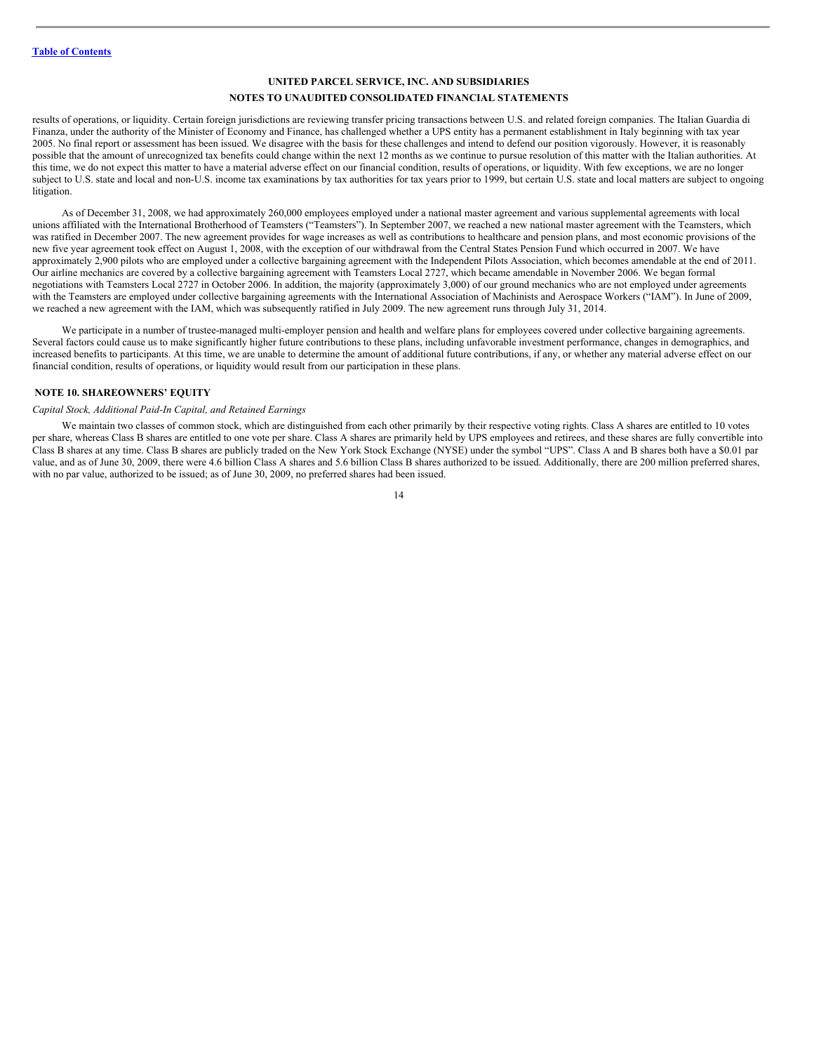# **NOTES TO UNAUDITED CONSOLIDATED FINANCIAL STATEMENTS**

results of operations, or liquidity. Certain foreign jurisdictions are reviewing transfer pricing transactions between U.S. and related foreign companies. The Italian Guardia di Finanza, under the authority of the Minister of Economy and Finance, has challenged whether a UPS entity has a permanent establishment in Italy beginning with tax year 2005. No final report or assessment has been issued. We disagree with the basis for these challenges and intend to defend our position vigorously. However, it is reasonably possible that the amount of unrecognized tax benefits could change within the next 12 months as we continue to pursue resolution of this matter with the Italian authorities. At this time, we do not expect this matter to have a material adverse effect on our financial condition, results of operations, or liquidity. With few exceptions, we are no longer subject to U.S. state and local and non-U.S. income tax examinations by tax authorities for tax years prior to 1999, but certain U.S. state and local matters are subject to ongoing litigation.

As of December 31, 2008, we had approximately 260,000 employees employed under a national master agreement and various supplemental agreements with local unions affiliated with the International Brotherhood of Teamsters ("Teamsters"). In September 2007, we reached a new national master agreement with the Teamsters, which was ratified in December 2007. The new agreement provides for wage increases as well as contributions to healthcare and pension plans, and most economic provisions of the new five year agreement took effect on August 1, 2008, with the exception of our withdrawal from the Central States Pension Fund which occurred in 2007. We have approximately 2,900 pilots who are employed under a collective bargaining agreement with the Independent Pilots Association, which becomes amendable at the end of 2011. Our airline mechanics are covered by a collective bargaining agreement with Teamsters Local 2727, which became amendable in November 2006. We began formal negotiations with Teamsters Local 2727 in October 2006. In addition, the majority (approximately 3,000) of our ground mechanics who are not employed under agreements with the Teamsters are employed under collective bargaining agreements with the International Association of Machinists and Aerospace Workers ("IAM"). In June of 2009, we reached a new agreement with the IAM, which was subsequently ratified in July 2009. The new agreement runs through July 31, 2014.

We participate in a number of trustee-managed multi-employer pension and health and welfare plans for employees covered under collective bargaining agreements. Several factors could cause us to make significantly higher future contributions to these plans, including unfavorable investment performance, changes in demographics, and increased benefits to participants. At this time, we are unable to determine the amount of additional future contributions, if any, or whether any material adverse effect on our financial condition, results of operations, or liquidity would result from our participation in these plans.

### <span id="page-15-0"></span>**NOTE 10. SHAREOWNERS' EQUITY**

#### *Capital Stock, Additional Paid-In Capital, and Retained Earnings*

We maintain two classes of common stock, which are distinguished from each other primarily by their respective voting rights. Class A shares are entitled to 10 votes per share, whereas Class B shares are entitled to one vote per share. Class A shares are primarily held by UPS employees and retirees, and these shares are fully convertible into Class B shares at any time. Class B shares are publicly traded on the New York Stock Exchange (NYSE) under the symbol "UPS". Class A and B shares both have a \$0.01 par value, and as of June 30, 2009, there were 4.6 billion Class A shares and 5.6 billion Class B shares authorized to be issued. Additionally, there are 200 million preferred shares, with no par value, authorized to be issued; as of June 30, 2009, no preferred shares had been issued.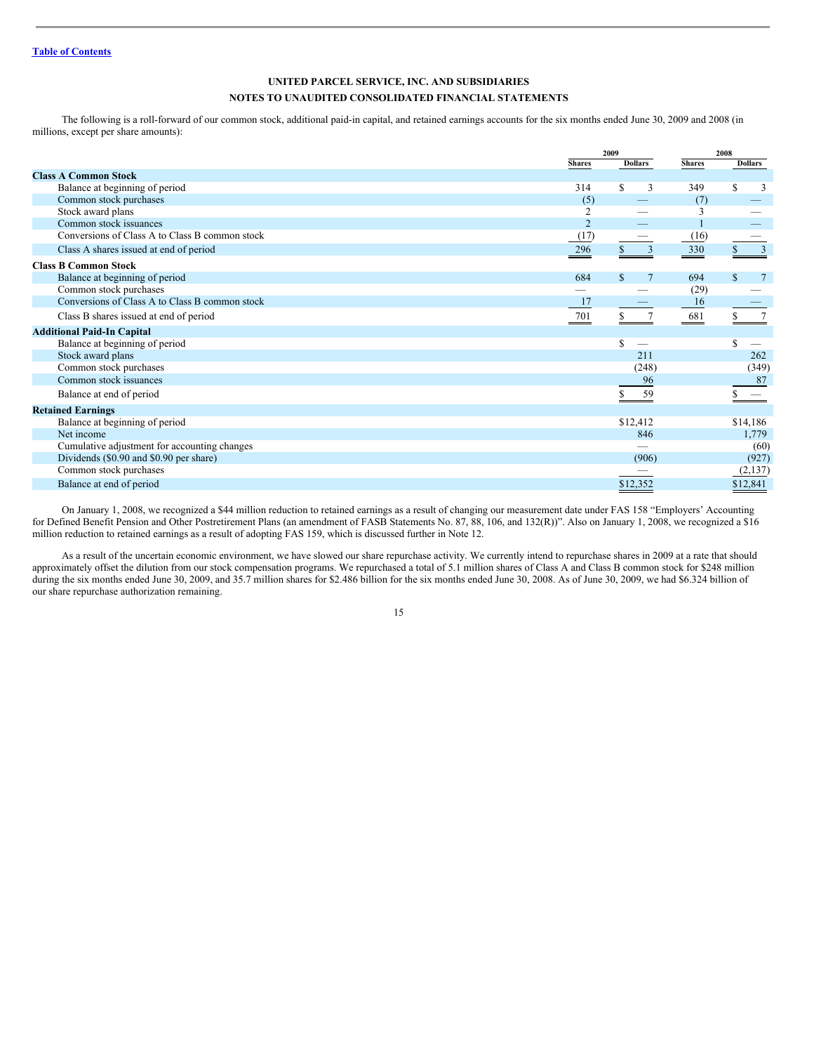The following is a roll-forward of our common stock, additional paid-in capital, and retained earnings accounts for the six months ended June 30, 2009 and 2008 (in millions, except per share amounts):

|                                                | 2009            |                                         | 2008          |                          |
|------------------------------------------------|-----------------|-----------------------------------------|---------------|--------------------------|
|                                                | <b>Shares</b>   | <b>Dollars</b>                          | <b>Shares</b> | <b>Dollars</b>           |
| <b>Class A Common Stock</b>                    |                 |                                         |               |                          |
| Balance at beginning of period                 | 314             | \$<br>3                                 | 349           | \$<br>3                  |
| Common stock purchases                         | (5)             |                                         | (7)           |                          |
| Stock award plans                              | 2               |                                         | 3             |                          |
| Common stock issuances                         | 2               |                                         |               |                          |
| Conversions of Class A to Class B common stock | (17)            |                                         | (16)          |                          |
| Class A shares issued at end of period         | $\frac{296}{2}$ | $\overline{\mathbf{3}}$<br>$\mathbb{S}$ | 330<br>$\sim$ | $\overline{\phantom{a}}$ |
| <b>Class B Common Stock</b>                    |                 |                                         |               |                          |
| Balance at beginning of period                 | 684             | <sup>\$</sup>                           | 694           | \$                       |
| Common stock purchases                         |                 |                                         | (29)          |                          |
| Conversions of Class A to Class B common stock | 17              |                                         | 16            |                          |
| Class B shares issued at end of period         | 701             | \$                                      | 681           |                          |
| <b>Additional Paid-In Capital</b>              |                 |                                         |               |                          |
| Balance at beginning of period                 |                 | <sup>\$</sup>                           |               | $\mathbf S$              |
| Stock award plans                              |                 | 211                                     |               | 262                      |
| Common stock purchases                         |                 | (248)                                   |               | (349)                    |
| Common stock issuances                         |                 | 96                                      |               | 87                       |
| Balance at end of period                       |                 | 59                                      |               |                          |
| <b>Retained Earnings</b>                       |                 |                                         |               |                          |
| Balance at beginning of period                 |                 | \$12,412                                |               | \$14,186                 |
| Net income                                     |                 | 846                                     |               | 1,779                    |
| Cumulative adjustment for accounting changes   |                 |                                         |               | (60)                     |
| Dividends (\$0.90 and \$0.90 per share)        |                 | (906)                                   |               | (927)                    |
| Common stock purchases                         |                 |                                         |               | (2,137)                  |
| Balance at end of period                       |                 | \$12,352                                |               | \$12,841                 |

On January 1, 2008, we recognized a \$44 million reduction to retained earnings as a result of changing our measurement date under FAS 158 "Employers' Accounting for Defined Benefit Pension and Other Postretirement Plans (an amendment of FASB Statements No. 87, 88, 106, and 132(R))". Also on January 1, 2008, we recognized a \$16 million reduction to retained earnings as a result of adopting FAS 159, which is discussed further in Note 12.

As a result of the uncertain economic environment, we have slowed our share repurchase activity. We currently intend to repurchase shares in 2009 at a rate that should approximately offset the dilution from our stock compensation programs. We repurchased a total of 5.1 million shares of Class A and Class B common stock for \$248 million during the six months ended June 30, 2009, and 35.7 million shares for \$2.486 billion for the six months ended June 30, 2008. As of June 30, 2009, we had \$6.324 billion of our share repurchase authorization remaining.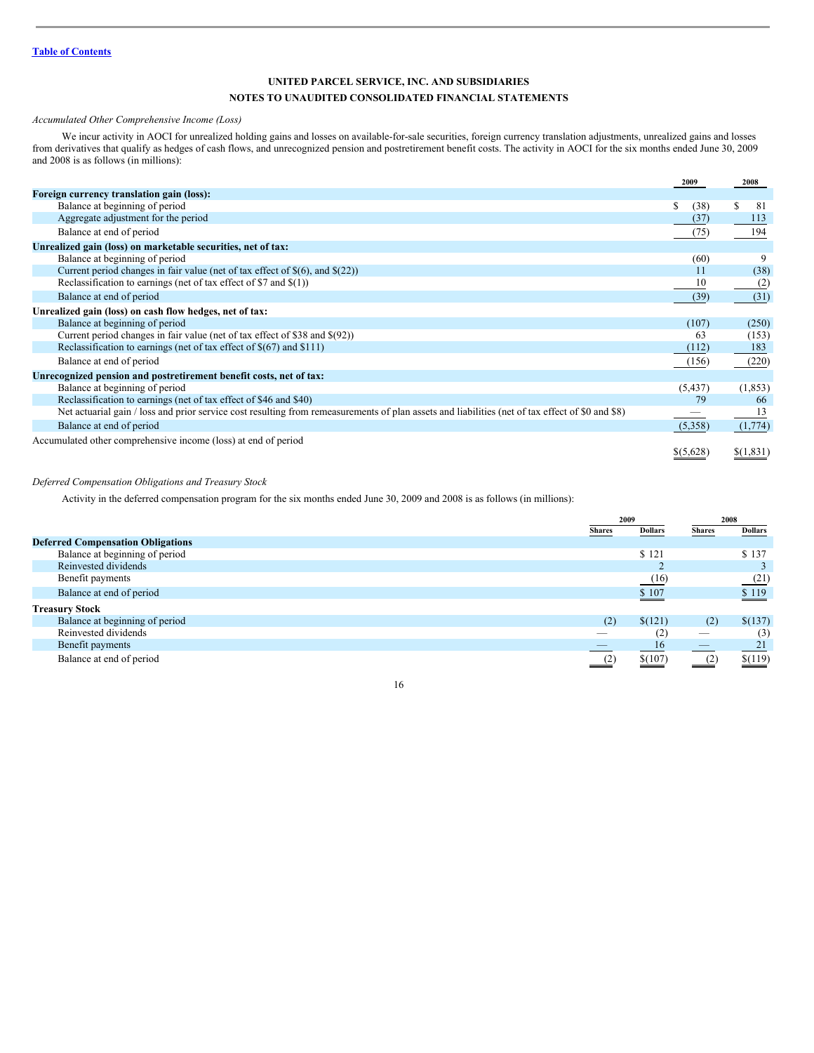# *Accumulated Other Comprehensive Income (Loss)*

We incur activity in AOCI for unrealized holding gains and losses on available-for-sale securities, foreign currency translation adjustments, unrealized gains and losses from derivatives that qualify as hedges of cash flows, and unrecognized pension and postretirement benefit costs. The activity in AOCI for the six months ended June 30, 2009 and 2008 is as follows (in millions):

|                                                                                                                                                  | 2009      | 2008      |
|--------------------------------------------------------------------------------------------------------------------------------------------------|-----------|-----------|
| Foreign currency translation gain (loss):                                                                                                        |           |           |
| Balance at beginning of period                                                                                                                   | (38)<br>S | \$<br>-81 |
| Aggregate adjustment for the period                                                                                                              | (37)      | 113       |
| Balance at end of period                                                                                                                         | (75)      | 194       |
| Unrealized gain (loss) on marketable securities, net of tax:                                                                                     |           |           |
| Balance at beginning of period                                                                                                                   | (60)      | 9         |
| Current period changes in fair value (net of tax effect of $$(6)$ , and $$(22)$ )                                                                | 11        | (38)      |
| Reclassification to earnings (net of tax effect of \$7 and $\$(1)\)$ )                                                                           | 10        | (2)       |
| Balance at end of period                                                                                                                         | (39)      | (31)      |
| Unrealized gain (loss) on cash flow hedges, net of tax:                                                                                          |           |           |
| Balance at beginning of period                                                                                                                   | (107)     | (250)     |
| Current period changes in fair value (net of tax effect of \$38 and \$(92))                                                                      | 63        | (153)     |
| Reclassification to earnings (net of tax effect of $$(67)$ and $$111)$ )                                                                         | (112)     | 183       |
| Balance at end of period                                                                                                                         | (156)     | (220)     |
| Unrecognized pension and postretirement benefit costs, net of tax:                                                                               |           |           |
| Balance at beginning of period                                                                                                                   | (5, 437)  | (1, 853)  |
| Reclassification to earnings (net of tax effect of \$46 and \$40)                                                                                | 79        | -66       |
| Net actuarial gain / loss and prior service cost resulting from remeasurements of plan assets and liabilities (net of tax effect of \$0 and \$8) |           | 13        |
| Balance at end of period                                                                                                                         | (5,358)   | (1,774)   |
| Accumulated other comprehensive income (loss) at end of period                                                                                   |           |           |
|                                                                                                                                                  | \$(5,628) | \$(1,831) |

# *Deferred Compensation Obligations and Treasury Stock*

Activity in the deferred compensation program for the six months ended June 30, 2009 and 2008 is as follows (in millions):

|                                          | 2009          |                |                          | 2008           |
|------------------------------------------|---------------|----------------|--------------------------|----------------|
|                                          | <b>Shares</b> | <b>Dollars</b> | <b>Shares</b>            | <b>Dollars</b> |
| <b>Deferred Compensation Obligations</b> |               |                |                          |                |
| Balance at beginning of period           |               | \$121          |                          | \$137          |
| Reinvested dividends                     |               |                |                          |                |
| Benefit payments                         |               | (16)           |                          | (21)           |
| Balance at end of period                 |               | \$107          |                          | \$119          |
| <b>Treasury Stock</b>                    |               |                |                          |                |
| Balance at beginning of period           | (2)           | \$(121)        | (2)                      | \$(137)        |
| Reinvested dividends                     |               | (2)            |                          | (3)            |
| Benefit payments                         |               | 16             | $\overline{\phantom{0}}$ | 21             |
| Balance at end of period                 |               | \$(107         |                          | \$(119)        |

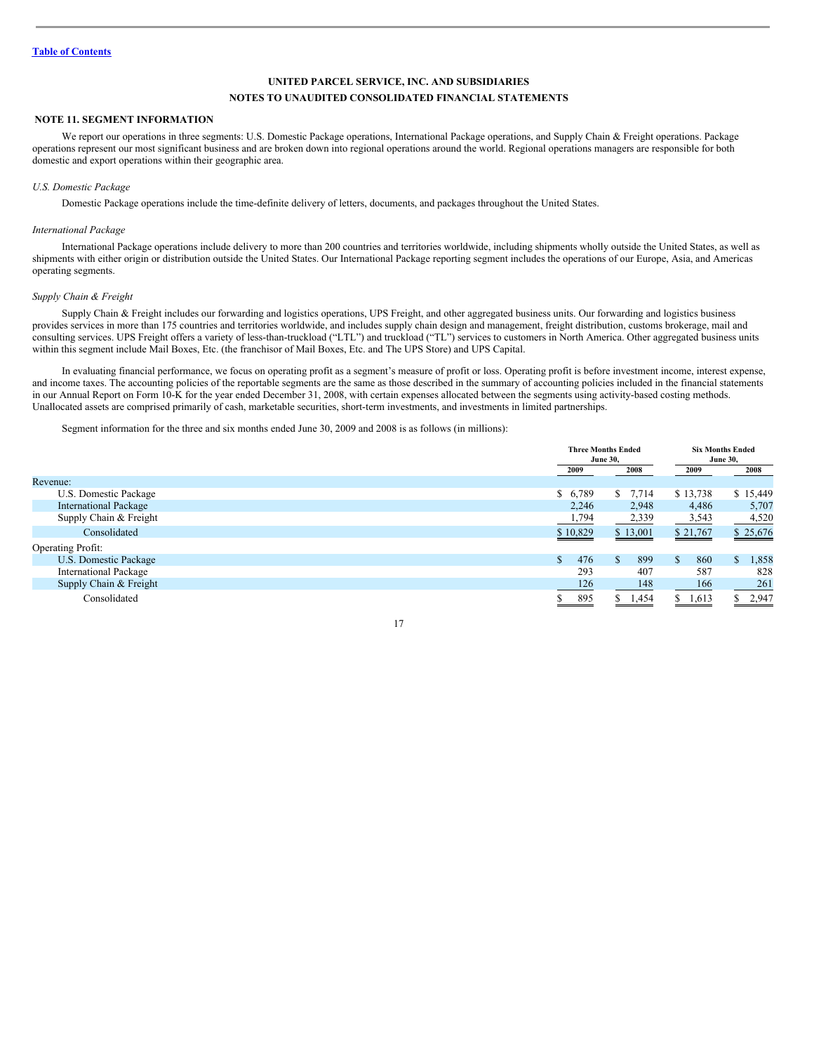## **NOTES TO UNAUDITED CONSOLIDATED FINANCIAL STATEMENTS**

### <span id="page-18-0"></span>**NOTE 11. SEGMENT INFORMATION**

We report our operations in three segments: U.S. Domestic Package operations, International Package operations, and Supply Chain & Freight operations. Package operations represent our most significant business and are broken down into regional operations around the world. Regional operations managers are responsible for both domestic and export operations within their geographic area.

#### *U.S. Domestic Package*

Domestic Package operations include the time-definite delivery of letters, documents, and packages throughout the United States.

#### *International Package*

International Package operations include delivery to more than 200 countries and territories worldwide, including shipments wholly outside the United States, as well as shipments with either origin or distribution outside the United States. Our International Package reporting segment includes the operations of our Europe, Asia, and Americas operating segments.

#### *Supply Chain & Freight*

Supply Chain & Freight includes our forwarding and logistics operations, UPS Freight, and other aggregated business units. Our forwarding and logistics business provides services in more than 175 countries and territories worldwide, and includes supply chain design and management, freight distribution, customs brokerage, mail and consulting services. UPS Freight offers a variety of less-than-truckload ("LTL") and truckload ("TL") services to customers in North America. Other aggregated business units within this segment include Mail Boxes, Etc. (the franchisor of Mail Boxes, Etc. and The UPS Store) and UPS Capital.

In evaluating financial performance, we focus on operating profit as a segment's measure of profit or loss. Operating profit is before investment income, interest expense, and income taxes. The accounting policies of the reportable segments are the same as those described in the summary of accounting policies included in the financial statements in our Annual Report on Form 10-K for the year ended December 31, 2008, with certain expenses allocated between the segments using activity-based costing methods. Unallocated assets are comprised primarily of cash, marketable securities, short-term investments, and investments in limited partnerships.

Segment information for the three and six months ended June 30, 2009 and 2008 is as follows (in millions):

|                              |          | <b>Three Months Ended</b><br><b>June 30,</b> |           | <b>Six Months Ended</b><br><b>June 30,</b> |
|------------------------------|----------|----------------------------------------------|-----------|--------------------------------------------|
|                              | 2009     | 2008                                         | 2009      | 2008                                       |
| Revenue:                     |          |                                              |           |                                            |
| U.S. Domestic Package        | \$6,789  | \$7,714                                      | \$13,738  | \$15,449                                   |
| <b>International Package</b> | 2,246    | 2,948                                        | 4,486     | 5,707                                      |
| Supply Chain & Freight       | 1,794    | 2,339                                        | 3,543     | 4,520                                      |
| Consolidated                 | \$10,829 | \$13,001                                     | \$21,767  | \$25,676                                   |
| <b>Operating Profit:</b>     |          |                                              |           |                                            |
| U.S. Domestic Package        | 476      | 899<br>\$.                                   | 860<br>S. | 1,858<br>\$.                               |
| <b>International Package</b> | 293      | 407                                          | 587       | 828                                        |
| Supply Chain & Freight       | 126      | 148                                          | 166       | 261                                        |
| Consolidated                 | 895      | 1,454                                        | \$1,613   | \$2,947                                    |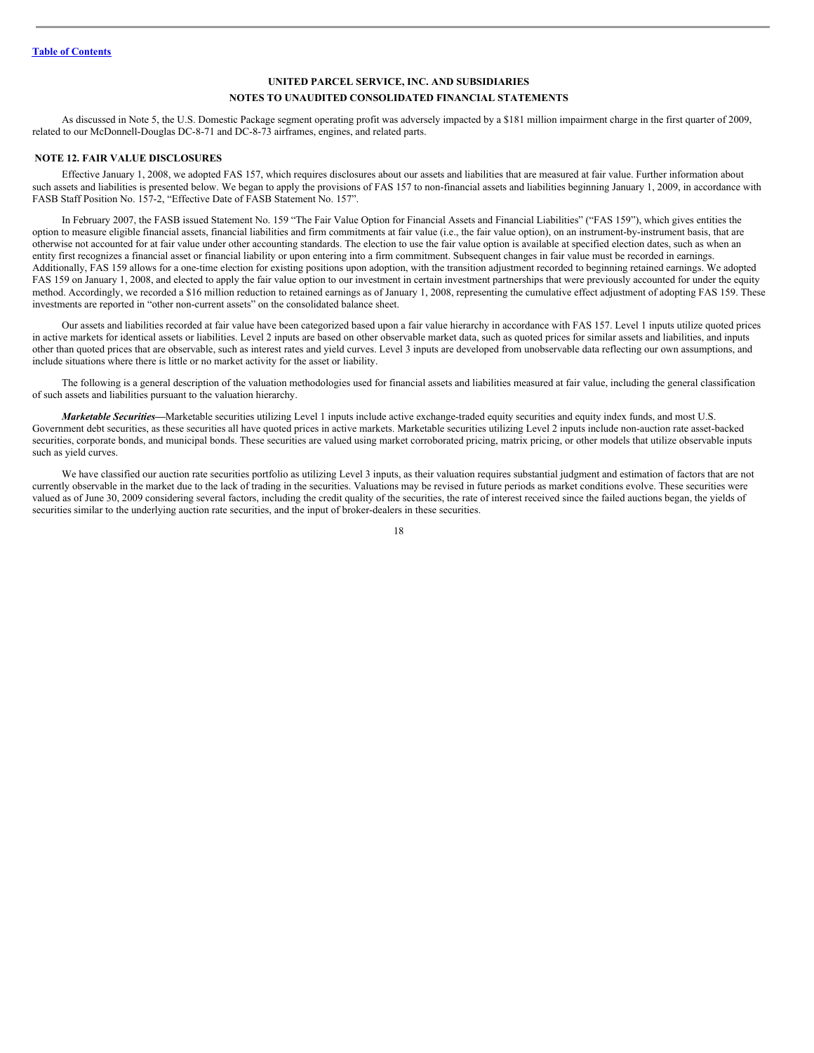As discussed in Note 5, the U.S. Domestic Package segment operating profit was adversely impacted by a \$181 million impairment charge in the first quarter of 2009, related to our McDonnell-Douglas DC-8-71 and DC-8-73 airframes, engines, and related parts.

### <span id="page-19-0"></span>**NOTE 12. FAIR VALUE DISCLOSURES**

Effective January 1, 2008, we adopted FAS 157, which requires disclosures about our assets and liabilities that are measured at fair value. Further information about such assets and liabilities is presented below. We began to apply the provisions of FAS 157 to non-financial assets and liabilities beginning January 1, 2009, in accordance with FASB Staff Position No. 157-2, "Effective Date of FASB Statement No. 157".

In February 2007, the FASB issued Statement No. 159 "The Fair Value Option for Financial Assets and Financial Liabilities" ("FAS 159"), which gives entities the option to measure eligible financial assets, financial liabilities and firm commitments at fair value (i.e., the fair value option), on an instrument-by-instrument basis, that are otherwise not accounted for at fair value under other accounting standards. The election to use the fair value option is available at specified election dates, such as when an entity first recognizes a financial asset or financial liability or upon entering into a firm commitment. Subsequent changes in fair value must be recorded in earnings. Additionally, FAS 159 allows for a one-time election for existing positions upon adoption, with the transition adjustment recorded to beginning retained earnings. We adopted FAS 159 on January 1, 2008, and elected to apply the fair value option to our investment in certain investment partnerships that were previously accounted for under the equity method. Accordingly, we recorded a \$16 million reduction to retained earnings as of January 1, 2008, representing the cumulative effect adjustment of adopting FAS 159. These investments are reported in "other non-current assets" on the consolidated balance sheet.

Our assets and liabilities recorded at fair value have been categorized based upon a fair value hierarchy in accordance with FAS 157. Level 1 inputs utilize quoted prices in active markets for identical assets or liabilities. Level 2 inputs are based on other observable market data, such as quoted prices for similar assets and liabilities, and inputs other than quoted prices that are observable, such as interest rates and yield curves. Level 3 inputs are developed from unobservable data reflecting our own assumptions, and include situations where there is little or no market activity for the asset or liability.

The following is a general description of the valuation methodologies used for financial assets and liabilities measured at fair value, including the general classification of such assets and liabilities pursuant to the valuation hierarchy.

*Marketable Securities—*Marketable securities utilizing Level 1 inputs include active exchange-traded equity securities and equity index funds, and most U.S. Government debt securities, as these securities all have quoted prices in active markets. Marketable securities utilizing Level 2 inputs include non-auction rate asset-backed securities, corporate bonds, and municipal bonds. These securities are valued using market corroborated pricing, matrix pricing, or other models that utilize observable inputs such as yield curves.

We have classified our auction rate securities portfolio as utilizing Level 3 inputs, as their valuation requires substantial judgment and estimation of factors that are not currently observable in the market due to the lack of trading in the securities. Valuations may be revised in future periods as market conditions evolve. These securities were valued as of June 30, 2009 considering several factors, including the credit quality of the securities, the rate of interest received since the failed auctions began, the yields of securities similar to the underlying auction rate securities, and the input of broker-dealers in these securities.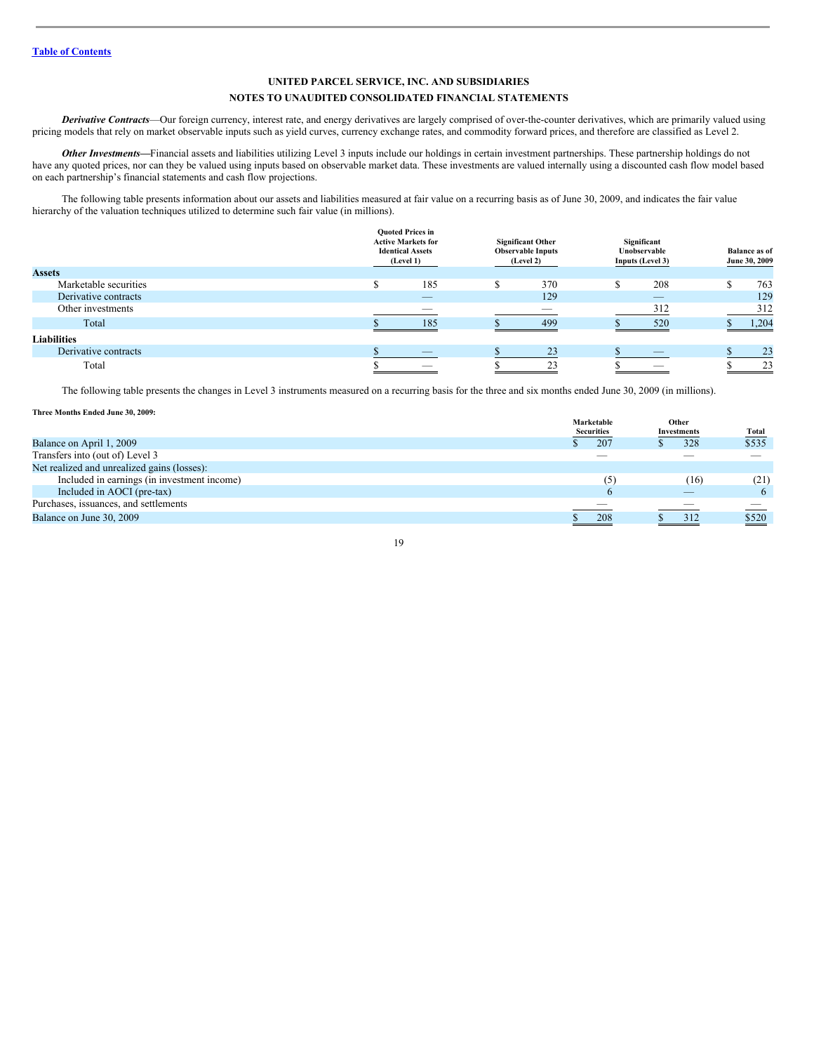### **NOTES TO UNAUDITED CONSOLIDATED FINANCIAL STATEMENTS**

*Derivative Contracts*—Our foreign currency, interest rate, and energy derivatives are largely comprised of over-the-counter derivatives, which are primarily valued using pricing models that rely on market observable inputs such as yield curves, currency exchange rates, and commodity forward prices, and therefore are classified as Level 2.

*Other Investments—*Financial assets and liabilities utilizing Level 3 inputs include our holdings in certain investment partnerships. These partnership holdings do not have any quoted prices, nor can they be valued using inputs based on observable market data. These investments are valued internally using a discounted cash flow model based on each partnership's financial statements and cash flow projections.

The following table presents information about our assets and liabilities measured at fair value on a recurring basis as of June 30, 2009, and indicates the fair value hierarchy of the valuation techniques utilized to determine such fair value (in millions).

|                       | <b>Ouoted Prices in</b><br><b>Active Markets for</b><br><b>Identical Assets</b><br>(Level 1) | <b>Significant Other</b><br><b>Observable Inputs</b><br>(Level 2) | Significant<br>Unobservable<br>Inputs (Level 3) | <b>Balance as of</b><br>June 30, 2009 |
|-----------------------|----------------------------------------------------------------------------------------------|-------------------------------------------------------------------|-------------------------------------------------|---------------------------------------|
| <b>Assets</b>         |                                                                                              |                                                                   |                                                 |                                       |
| Marketable securities | 185                                                                                          | 370                                                               | 208                                             | 763                                   |
| Derivative contracts  | $-$                                                                                          | 129                                                               | $-$                                             | 129                                   |
| Other investments     | _                                                                                            | _                                                                 | 312                                             | 312                                   |
| Total                 | 185                                                                                          | 499                                                               | 520                                             | 1,204                                 |
| <b>Liabilities</b>    |                                                                                              |                                                                   |                                                 |                                       |
| Derivative contracts  |                                                                                              | 23                                                                | _                                               | 23                                    |
| Total                 |                                                                                              | າາ                                                                |                                                 | 23                                    |

The following table presents the changes in Level 3 instruments measured on a recurring basis for the three and six months ended June 30, 2009 (in millions).

**Three Months Ended June 30, 2009:**

|                                             | Marketable<br><b>Securities</b> | Other<br>Investments     | Total |
|---------------------------------------------|---------------------------------|--------------------------|-------|
| Balance on April 1, 2009                    | 207                             | 328                      | \$535 |
| Transfers into (out of) Level 3             |                                 | $\overline{\phantom{a}}$ |       |
| Net realized and unrealized gains (losses): |                                 |                          |       |
| Included in earnings (in investment income) | (5)                             | (16)                     | (21)  |
| Included in AOCI (pre-tax)                  |                                 |                          | 6     |
| Purchases, issuances, and settlements       | $\overline{\phantom{a}}$        |                          |       |
| Balance on June 30, 2009                    | 208                             | 312                      | \$520 |
|                                             |                                 |                          |       |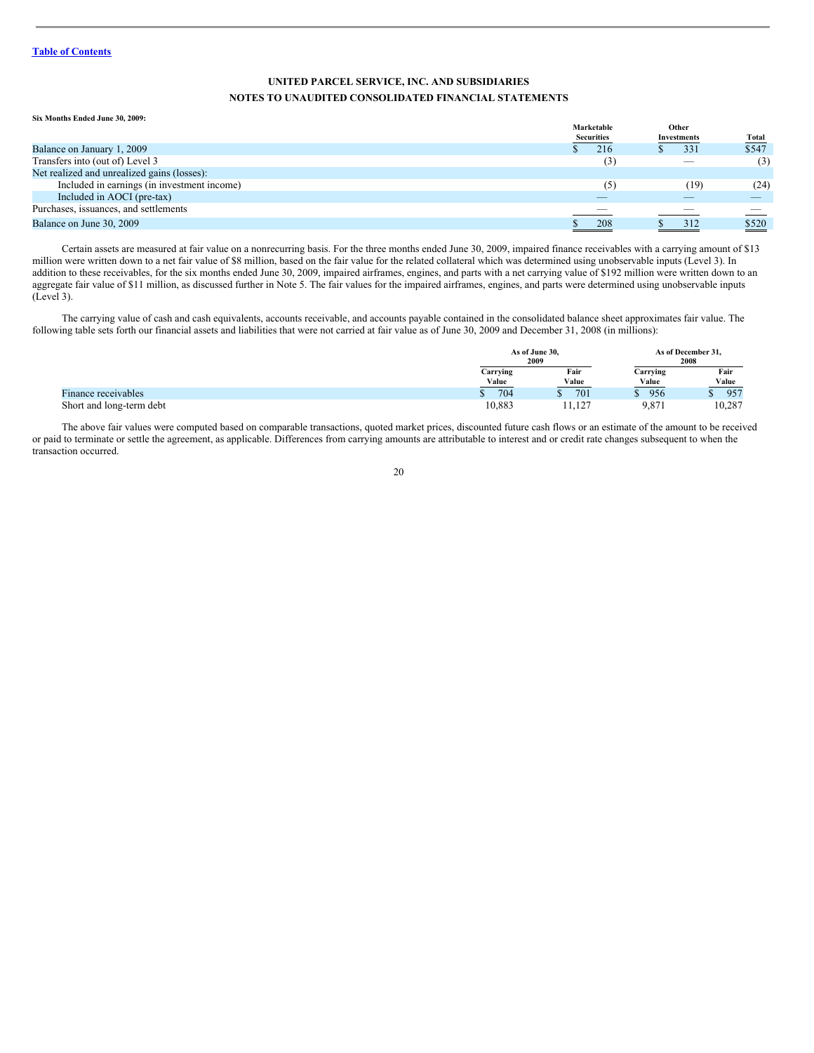#### **Six Months Ended June 30, 2009:**

|                                             | Marketable<br><b>Securities</b> | Other<br>Investments | Total           |
|---------------------------------------------|---------------------------------|----------------------|-----------------|
| Balance on January 1, 2009                  | 216                             | 331                  | \$547           |
| Transfers into (out of) Level 3             | (3)                             |                      | (3)             |
| Net realized and unrealized gains (losses): |                                 |                      |                 |
| Included in earnings (in investment income) | (5)                             | (19)                 | (24)            |
| Included in AOCI (pre-tax)                  |                                 |                      |                 |
| Purchases, issuances, and settlements       |                                 |                      |                 |
| Balance on June 30, 2009                    | 208                             | 312                  | \$520<br>$\sim$ |
|                                             |                                 |                      |                 |

Certain assets are measured at fair value on a nonrecurring basis. For the three months ended June 30, 2009, impaired finance receivables with a carrying amount of \$13 million were written down to a net fair value of \$8 million, based on the fair value for the related collateral which was determined using unobservable inputs (Level 3). In addition to these receivables, for the six months ended June 30, 2009, impaired airframes, engines, and parts with a net carrying value of \$192 million were written down to an aggregate fair value of \$11 million, as discussed further in Note 5. The fair values for the impaired airframes, engines, and parts were determined using unobservable inputs (Level 3).

The carrying value of cash and cash equivalents, accounts receivable, and accounts payable contained in the consolidated balance sheet approximates fair value. The following table sets forth our financial assets and liabilities that were not carried at fair value as of June 30, 2009 and December 31, 2008 (in millions):

|                          |                   | As of June 30,<br>2009 | As of December 31,<br>2008 |               |
|--------------------------|-------------------|------------------------|----------------------------|---------------|
|                          | Carrying<br>Value | Fair<br>Value          | Carrying<br>Value          | Fair<br>Value |
| Finance receivables      | 704               | 701                    | 956                        | 957           |
| Short and long-term debt | 10.883            | 1.127                  | 9,871                      | 10,287        |

The above fair values were computed based on comparable transactions, quoted market prices, discounted future cash flows or an estimate of the amount to be received or paid to terminate or settle the agreement, as applicable. Differences from carrying amounts are attributable to interest and or credit rate changes subsequent to when the transaction occurred.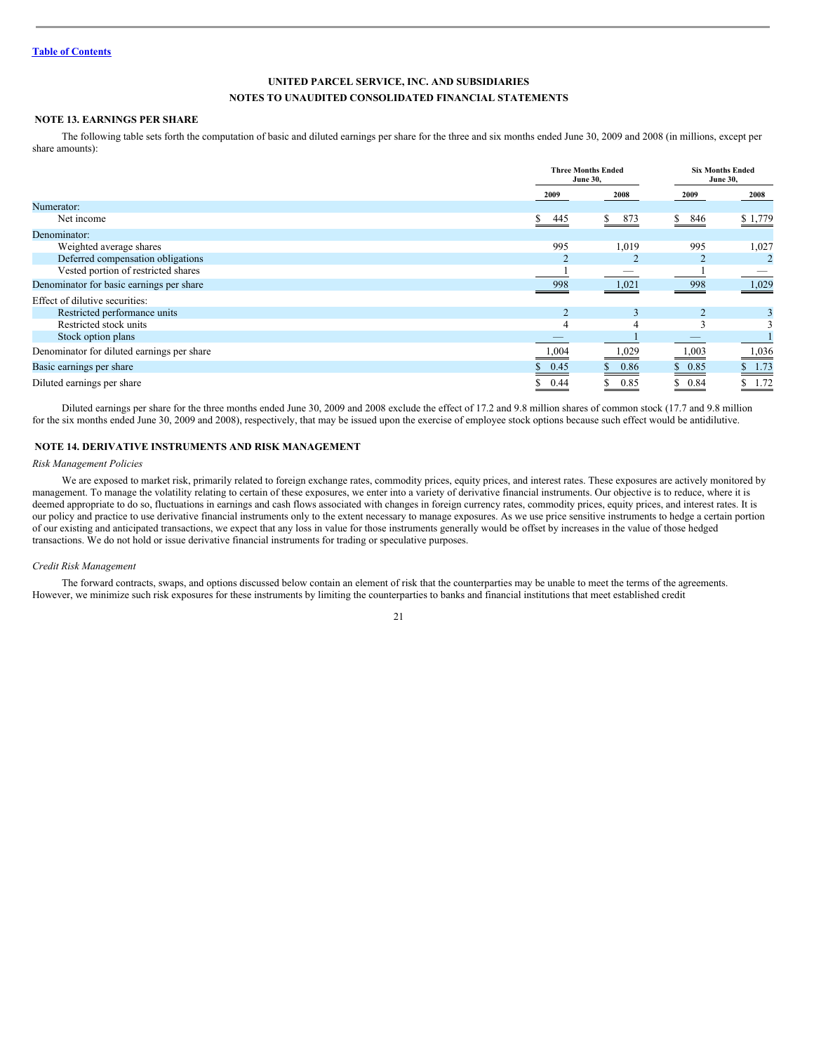# <span id="page-22-0"></span>**NOTE 13. EARNINGS PER SHARE**

The following table sets forth the computation of basic and diluted earnings per share for the three and six months ended June 30, 2009 and 2008 (in millions, except per share amounts):

|                                            |               | <b>Three Months Ended</b><br><b>June 30,</b> |                | <b>Six Months Ended</b><br><b>June 30,</b> |
|--------------------------------------------|---------------|----------------------------------------------|----------------|--------------------------------------------|
|                                            | 2009          | 2008                                         | 2009           | 2008                                       |
| Numerator:                                 |               |                                              |                |                                            |
| Net income                                 | 445<br>S.     | $\mathbb{S}$<br>873                          | \$846          | \$1,779                                    |
| Denominator:                               |               |                                              |                |                                            |
| Weighted average shares                    | 995           | 1,019                                        | 995            | 1,027                                      |
| Deferred compensation obligations          |               |                                              | $\mathcal{P}$  |                                            |
| Vested portion of restricted shares        |               |                                              |                |                                            |
| Denominator for basic earnings per share   | 998           | 1,021                                        | 998            | 1,029                                      |
| Effect of dilutive securities:             |               |                                              |                |                                            |
| Restricted performance units               | $\mathcal{D}$ | 3                                            | $\overline{2}$ |                                            |
| Restricted stock units                     | 4             | 4                                            | 3              |                                            |
| Stock option plans                         |               |                                              |                |                                            |
| Denominator for diluted earnings per share | 1,004         | 1,029                                        | 1,003          | 1,036                                      |
| Basic earnings per share                   | 0.45          | 0.86                                         | \$0.85         | 1.73                                       |
| Diluted earnings per share                 | 0.44          | 0.85                                         | \$0.84         | \$1.72                                     |

Diluted earnings per share for the three months ended June 30, 2009 and 2008 exclude the effect of 17.2 and 9.8 million shares of common stock (17.7 and 9.8 million for the six months ended June 30, 2009 and 2008), respectively, that may be issued upon the exercise of employee stock options because such effect would be antidilutive.

# <span id="page-22-1"></span>**NOTE 14. DERIVATIVE INSTRUMENTS AND RISK MANAGEMENT**

### *Risk Management Policies*

We are exposed to market risk, primarily related to foreign exchange rates, commodity prices, equity prices, and interest rates. These exposures are actively monitored by management. To manage the volatility relating to certain of these exposures, we enter into a variety of derivative financial instruments. Our objective is to reduce, where it is deemed appropriate to do so, fluctuations in earnings and cash flows associated with changes in foreign currency rates, commodity prices, equity prices, and interest rates. It is our policy and practice to use derivative financial instruments only to the extent necessary to manage exposures. As we use price sensitive instruments to hedge a certain portion of our existing and anticipated transactions, we expect that any loss in value for those instruments generally would be offset by increases in the value of those hedged transactions. We do not hold or issue derivative financial instruments for trading or speculative purposes.

#### *Credit Risk Management*

The forward contracts, swaps, and options discussed below contain an element of risk that the counterparties may be unable to meet the terms of the agreements. However, we minimize such risk exposures for these instruments by limiting the counterparties to banks and financial institutions that meet established credit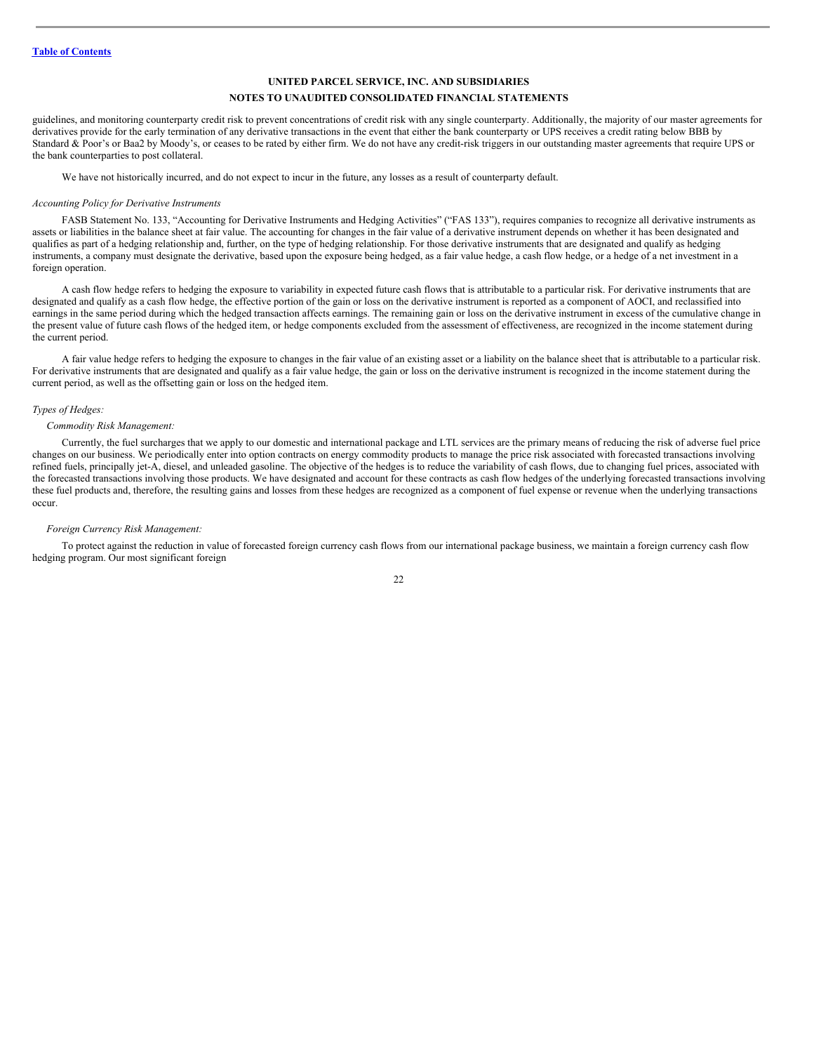guidelines, and monitoring counterparty credit risk to prevent concentrations of credit risk with any single counterparty. Additionally, the majority of our master agreements for derivatives provide for the early termination of any derivative transactions in the event that either the bank counterparty or UPS receives a credit rating below BBB by Standard & Poor's or Baa2 by Moody's, or ceases to be rated by either firm. We do not have any credit-risk triggers in our outstanding master agreements that require UPS or the bank counterparties to post collateral.

We have not historically incurred, and do not expect to incur in the future, any losses as a result of counterparty default.

#### *Accounting Policy for Derivative Instruments*

FASB Statement No. 133, "Accounting for Derivative Instruments and Hedging Activities" ("FAS 133"), requires companies to recognize all derivative instruments as assets or liabilities in the balance sheet at fair value. The accounting for changes in the fair value of a derivative instrument depends on whether it has been designated and qualifies as part of a hedging relationship and, further, on the type of hedging relationship. For those derivative instruments that are designated and qualify as hedging instruments, a company must designate the derivative, based upon the exposure being hedged, as a fair value hedge, a cash flow hedge, or a hedge of a net investment in a foreign operation.

A cash flow hedge refers to hedging the exposure to variability in expected future cash flows that is attributable to a particular risk. For derivative instruments that are designated and qualify as a cash flow hedge, the effective portion of the gain or loss on the derivative instrument is reported as a component of AOCI, and reclassified into earnings in the same period during which the hedged transaction affects earnings. The remaining gain or loss on the derivative instrument in excess of the cumulative change in the present value of future cash flows of the hedged item, or hedge components excluded from the assessment of effectiveness, are recognized in the income statement during the current period.

A fair value hedge refers to hedging the exposure to changes in the fair value of an existing asset or a liability on the balance sheet that is attributable to a particular risk. For derivative instruments that are designated and qualify as a fair value hedge, the gain or loss on the derivative instrument is recognized in the income statement during the current period, as well as the offsetting gain or loss on the hedged item.

#### *Types of Hedges:*

#### *Commodity Risk Management:*

Currently, the fuel surcharges that we apply to our domestic and international package and LTL services are the primary means of reducing the risk of adverse fuel price changes on our business. We periodically enter into option contracts on energy commodity products to manage the price risk associated with forecasted transactions involving refined fuels, principally jet-A, diesel, and unleaded gasoline. The objective of the hedges is to reduce the variability of cash flows, due to changing fuel prices, associated with the forecasted transactions involving those products. We have designated and account for these contracts as cash flow hedges of the underlying forecasted transactions involving these fuel products and, therefore, the resulting gains and losses from these hedges are recognized as a component of fuel expense or revenue when the underlying transactions occur.

#### *Foreign Currency Risk Management:*

To protect against the reduction in value of forecasted foreign currency cash flows from our international package business, we maintain a foreign currency cash flow hedging program. Our most significant foreign

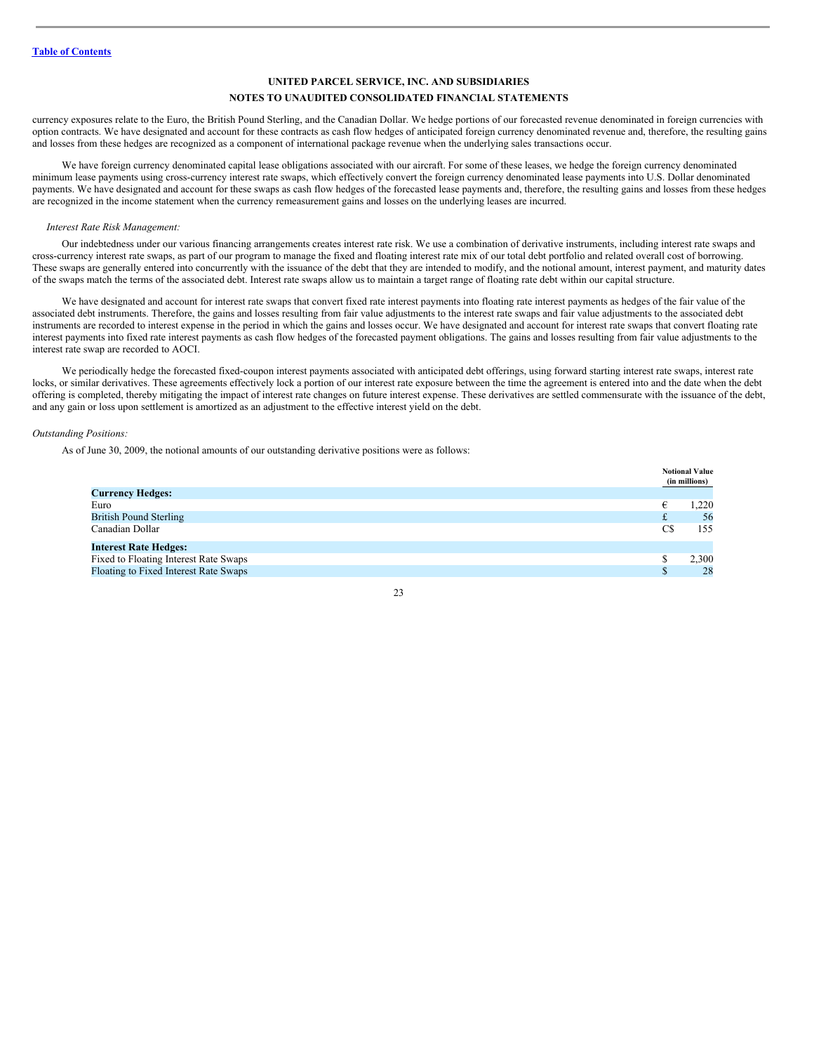# **NOTES TO UNAUDITED CONSOLIDATED FINANCIAL STATEMENTS**

currency exposures relate to the Euro, the British Pound Sterling, and the Canadian Dollar. We hedge portions of our forecasted revenue denominated in foreign currencies with option contracts. We have designated and account for these contracts as cash flow hedges of anticipated foreign currency denominated revenue and, therefore, the resulting gains and losses from these hedges are recognized as a component of international package revenue when the underlying sales transactions occur.

We have foreign currency denominated capital lease obligations associated with our aircraft. For some of these leases, we hedge the foreign currency denominated minimum lease payments using cross-currency interest rate swaps, which effectively convert the foreign currency denominated lease payments into U.S. Dollar denominated payments. We have designated and account for these swaps as cash flow hedges of the forecasted lease payments and, therefore, the resulting gains and losses from these hedges are recognized in the income statement when the currency remeasurement gains and losses on the underlying leases are incurred.

#### *Interest Rate Risk Management:*

Our indebtedness under our various financing arrangements creates interest rate risk. We use a combination of derivative instruments, including interest rate swaps and cross-currency interest rate swaps, as part of our program to manage the fixed and floating interest rate mix of our total debt portfolio and related overall cost of borrowing. These swaps are generally entered into concurrently with the issuance of the debt that they are intended to modify, and the notional amount, interest payment, and maturity dates of the swaps match the terms of the associated debt. Interest rate swaps allow us to maintain a target range of floating rate debt within our capital structure.

We have designated and account for interest rate swaps that convert fixed rate interest payments into floating rate interest payments as hedges of the fair value of the associated debt instruments. Therefore, the gains and losses resulting from fair value adjustments to the interest rate swaps and fair value adjustments to the associated debt instruments are recorded to interest expense in the period in which the gains and losses occur. We have designated and account for interest rate swaps that convert floating rate interest payments into fixed rate interest payments as cash flow hedges of the forecasted payment obligations. The gains and losses resulting from fair value adjustments to the interest rate swap are recorded to AOCI.

We periodically hedge the forecasted fixed-coupon interest payments associated with anticipated debt offerings, using forward starting interest rate swaps, interest rate locks, or similar derivatives. These agreements effectively lock a portion of our interest rate exposure between the time the agreement is entered into and the date when the debt offering is completed, thereby mitigating the impact of interest rate changes on future interest expense. These derivatives are settled commensurate with the issuance of the debt, and any gain or loss upon settlement is amortized as an adjustment to the effective interest yield on the debt.

### *Outstanding Positions:*

As of June 30, 2009, the notional amounts of our outstanding derivative positions were as follows:

|                                       |   | <b>Notional Value</b><br>(in millions) |
|---------------------------------------|---|----------------------------------------|
| <b>Currency Hedges:</b>               |   |                                        |
| Euro                                  |   | 1.220                                  |
| <b>British Pound Sterling</b>         | t | 56                                     |
| Canadian Dollar                       |   | 155                                    |
| <b>Interest Rate Hedges:</b>          |   |                                        |
| Fixed to Floating Interest Rate Swaps |   | 2.300                                  |
| Floating to Fixed Interest Rate Swaps |   | 28                                     |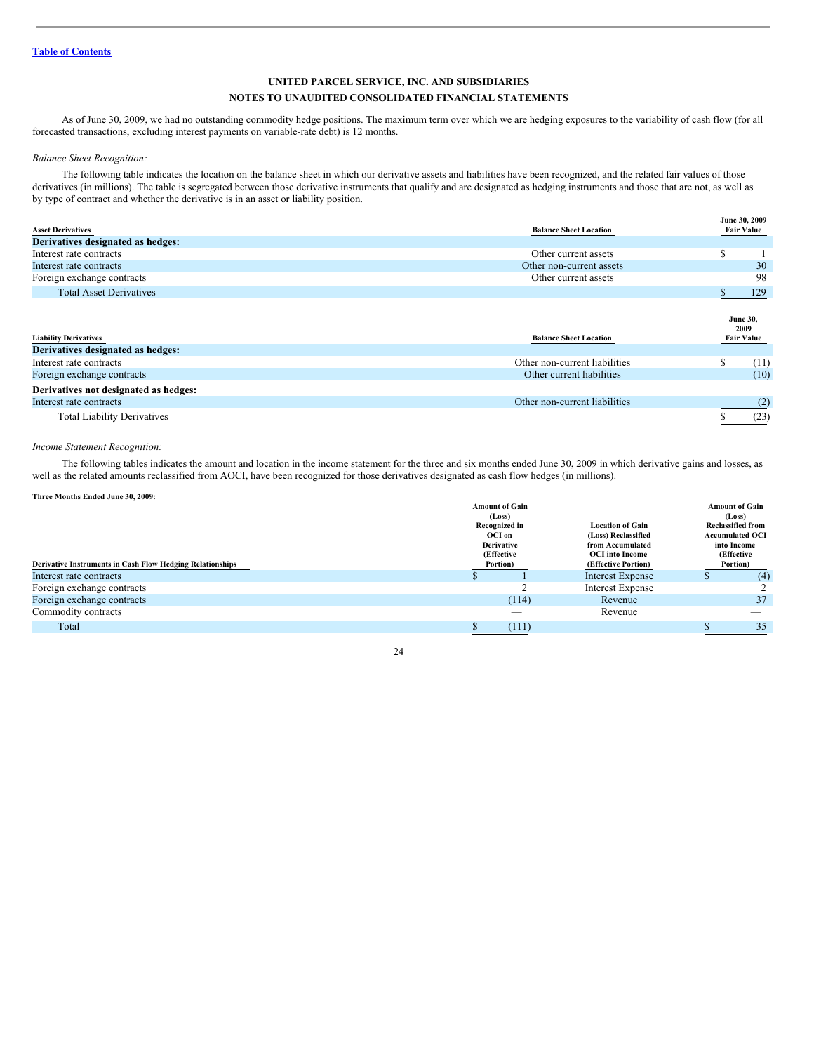As of June 30, 2009, we had no outstanding commodity hedge positions. The maximum term over which we are hedging exposures to the variability of cash flow (for all forecasted transactions, excluding interest payments on variable-rate debt) is 12 months.

### *Balance Sheet Recognition:*

The following table indicates the location on the balance sheet in which our derivative assets and liabilities have been recognized, and the related fair values of those derivatives (in millions). The table is segregated between those derivative instruments that qualify and are designated as hedging instruments and those that are not, as well as by type of contract and whether the derivative is in an asset or liability position.

| <b>Asset Derivatives</b>              | <b>Balance Sheet Location</b> | June 30, 2009<br><b>Fair Value</b>           |
|---------------------------------------|-------------------------------|----------------------------------------------|
| Derivatives designated as hedges:     |                               |                                              |
| Interest rate contracts               | Other current assets          | \$                                           |
| Interest rate contracts               | Other non-current assets      | 30                                           |
| Foreign exchange contracts            | Other current assets          | 98                                           |
| <b>Total Asset Derivatives</b>        |                               | 129                                          |
| <b>Liability Derivatives</b>          | <b>Balance Sheet Location</b> | <b>June 30,</b><br>2009<br><b>Fair Value</b> |
| Derivatives designated as hedges:     |                               |                                              |
| Interest rate contracts               | Other non-current liabilities | \$<br>(11)                                   |
| Foreign exchange contracts            | Other current liabilities     | (10)                                         |
| Derivatives not designated as hedges: |                               |                                              |
| Interest rate contracts               | Other non-current liabilities | (2)                                          |
| <b>Total Liability Derivatives</b>    |                               | (23)                                         |

#### *Income Statement Recognition:*

The following tables indicates the amount and location in the income statement for the three and six months ended June 30, 2009 in which derivative gains and losses, as well as the related amounts reclassified from AOCI, have been recognized for those derivatives designated as cash flow hedges (in millions).

#### **Three Months Ended June 30, 2009:**

|                                                                  | <b>Amount of Gain</b> |                         | <b>Amount of Gain</b>    |
|------------------------------------------------------------------|-----------------------|-------------------------|--------------------------|
|                                                                  | (Loss)                |                         | (Loss)                   |
|                                                                  | <b>Recognized in</b>  | <b>Location of Gain</b> | <b>Reclassified from</b> |
|                                                                  | OCI on                | (Loss) Reclassified     | <b>Accumulated OCI</b>   |
|                                                                  | <b>Derivative</b>     | from Accumulated        | into Income              |
|                                                                  | (Effective            | <b>OCI</b> into Income  | (Effective               |
| <b>Derivative Instruments in Cash Flow Hedging Relationships</b> | Portion)              | (Effective Portion)     | Portion)                 |
| Interest rate contracts                                          |                       | Interest Expense        | (4)                      |
| Foreign exchange contracts                                       |                       | Interest Expense        |                          |
| Foreign exchange contracts                                       | (114)                 | Revenue                 | 37                       |
| Commodity contracts                                              |                       | Revenue                 |                          |
| Total                                                            | (111)                 |                         | 35                       |
|                                                                  |                       |                         |                          |

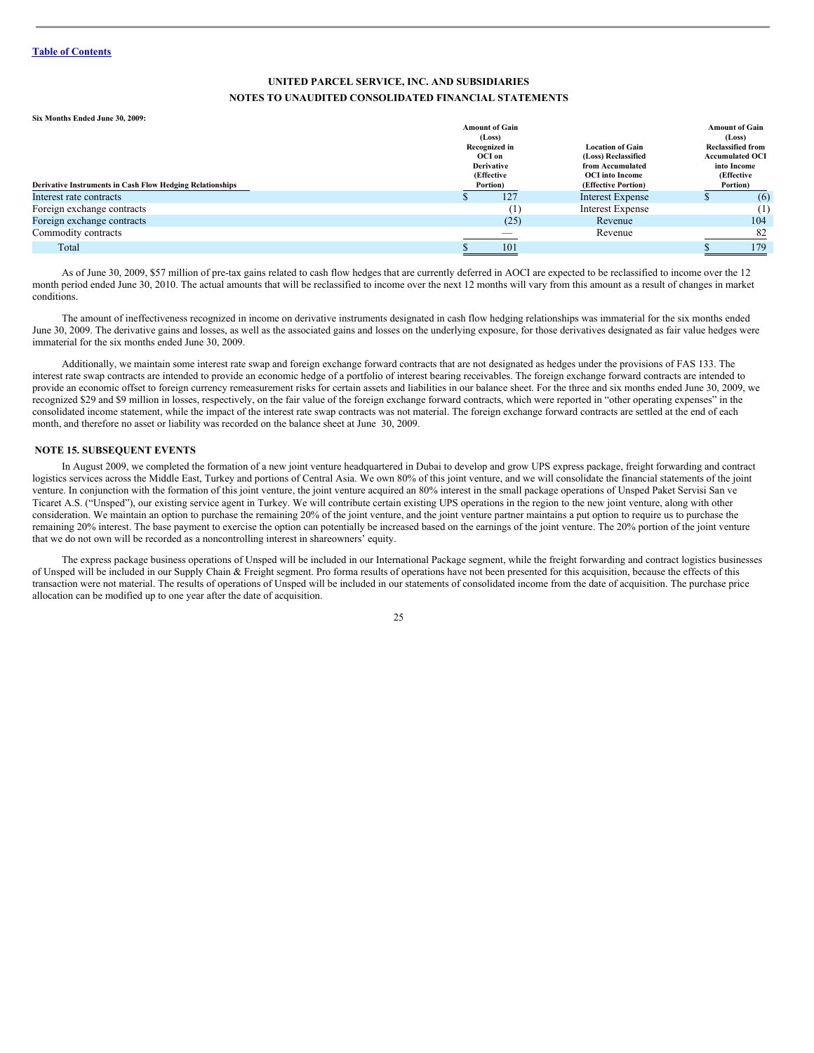#### **Six Months Ended June 30, 2009:**

| <b>Derivative Instruments in Cash Flow Hedging Relationships</b> | <b>Amount of Gain</b><br>(Loss)<br>Recognized in<br>OCI on<br><b>Derivative</b><br><b>(Effective</b><br>Portion) | <b>Location of Gain</b><br>(Loss) Reclassified<br>from Accumulated<br><b>OCI</b> into Income<br>(Effective Portion) | <b>Amount of Gain</b><br>(Loss)<br><b>Reclassified from</b><br><b>Accumulated OCI</b><br>into Income<br>(Effective<br>Portion) |
|------------------------------------------------------------------|------------------------------------------------------------------------------------------------------------------|---------------------------------------------------------------------------------------------------------------------|--------------------------------------------------------------------------------------------------------------------------------|
| Interest rate contracts                                          |                                                                                                                  | 127<br><b>Interest Expense</b>                                                                                      | (6)                                                                                                                            |
| Foreign exchange contracts                                       |                                                                                                                  | (1<br><b>Interest Expense</b>                                                                                       | $^{(1)}$                                                                                                                       |
| Foreign exchange contracts                                       |                                                                                                                  | (25)<br>Revenue                                                                                                     | 104                                                                                                                            |
| Commodity contracts                                              |                                                                                                                  | Revenue                                                                                                             | 82                                                                                                                             |
| Total                                                            |                                                                                                                  | 101                                                                                                                 | 179                                                                                                                            |

As of June 30, 2009, \$57 million of pre-tax gains related to cash flow hedges that are currently deferred in AOCI are expected to be reclassified to income over the 12 month period ended June 30, 2010. The actual amounts that will be reclassified to income over the next 12 months will vary from this amount as a result of changes in market conditions.

The amount of ineffectiveness recognized in income on derivative instruments designated in cash flow hedging relationships was immaterial for the six months ended June 30, 2009. The derivative gains and losses, as well as the associated gains and losses on the underlying exposure, for those derivatives designated as fair value hedges were immaterial for the six months ended June 30, 2009.

Additionally, we maintain some interest rate swap and foreign exchange forward contracts that are not designated as hedges under the provisions of FAS 133. The interest rate swap contracts are intended to provide an economic hedge of a portfolio of interest bearing receivables. The foreign exchange forward contracts are intended to provide an economic offset to foreign currency remeasurement risks for certain assets and liabilities in our balance sheet. For the three and six months ended June 30, 2009, we recognized \$29 and \$9 million in losses, respectively, on the fair value of the foreign exchange forward contracts, which were reported in "other operating expenses" in the consolidated income statement, while the impact of the interest rate swap contracts was not material. The foreign exchange forward contracts are settled at the end of each month, and therefore no asset or liability was recorded on the balance sheet at June 30, 2009.

### <span id="page-26-0"></span>**NOTE 15. SUBSEQUENT EVENTS**

In August 2009, we completed the formation of a new joint venture headquartered in Dubai to develop and grow UPS express package, freight forwarding and contract logistics services across the Middle East, Turkey and portions of Central Asia. We own 80% of this joint venture, and we will consolidate the financial statements of the joint venture. In conjunction with the formation of this joint venture, the joint venture acquired an 80% interest in the small package operations of Unsped Paket Servisi San ve Ticaret A.S. ("Unsped"), our existing service agent in Turkey. We will contribute certain existing UPS operations in the region to the new joint venture, along with other consideration. We maintain an option to purchase the remaining 20% of the joint venture, and the joint venture partner maintains a put option to require us to purchase the remaining 20% interest. The base payment to exercise the option can potentially be increased based on the earnings of the joint venture. The 20% portion of the joint venture that we do not own will be recorded as a noncontrolling interest in shareowners' equity.

The express package business operations of Unsped will be included in our International Package segment, while the freight forwarding and contract logistics businesses of Unsped will be included in our Supply Chain & Freight segment. Pro forma results of operations have not been presented for this acquisition, because the effects of this transaction were not material. The results of operations of Unsped will be included in our statements of consolidated income from the date of acquisition. The purchase price allocation can be modified up to one year after the date of acquisition.

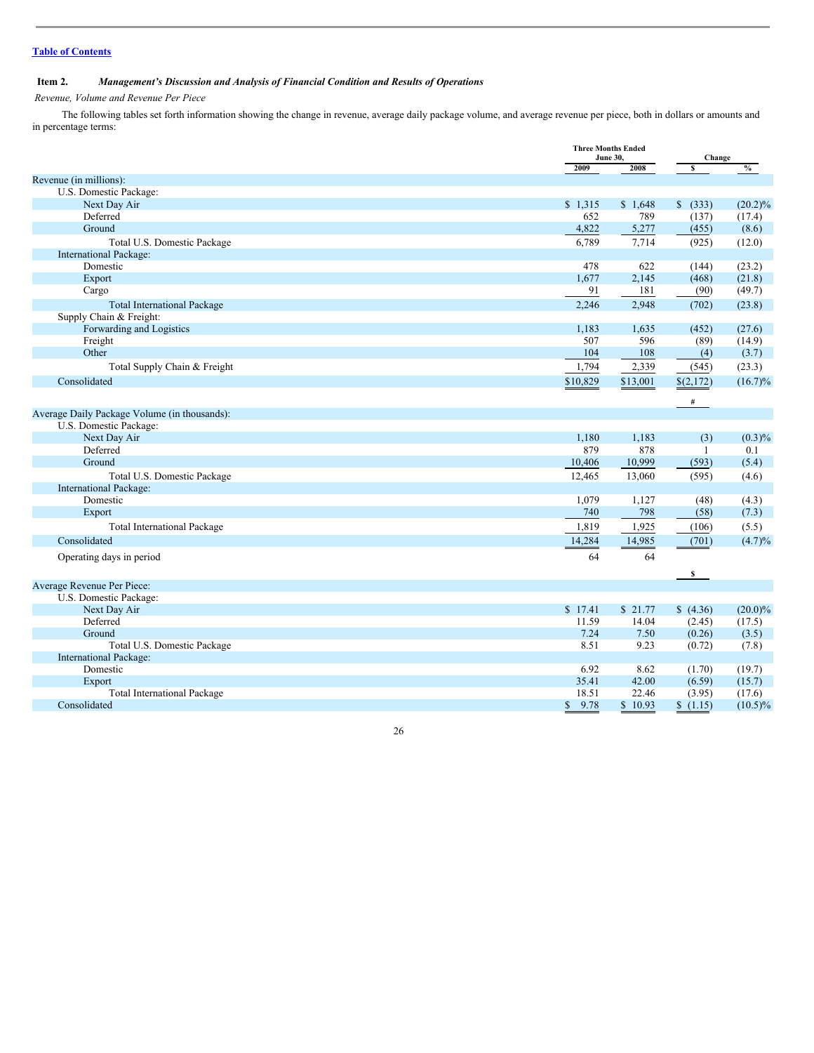# **Table of [Contents](#page-1-0)**

# <span id="page-27-1"></span><span id="page-27-0"></span>**Item 2.** *Management's Discussion and Analysis of Financial Condition and Results of Operations*

<span id="page-27-2"></span>*Revenue, Volume and Revenue Per Piece*

The following tables set forth information showing the change in revenue, average daily package volume, and average revenue per piece, both in dollars or amounts and in percentage terms:

|                                              |                      | <b>Three Months Ended</b><br><b>June 30,</b> |                | Change     |
|----------------------------------------------|----------------------|----------------------------------------------|----------------|------------|
|                                              | 2009                 | 2008                                         | S              | $\%$       |
| Revenue (in millions):                       |                      |                                              |                |            |
| U.S. Domestic Package:                       |                      |                                              |                |            |
| Next Day Air                                 | \$1,315              | \$1,648                                      | \$ (333)       | $(20.2)\%$ |
| Deferred                                     | 652                  | 789                                          | (137)          | (17.4)     |
| Ground                                       | 4,822                | 5,277                                        | (455)          | (8.6)      |
| Total U.S. Domestic Package                  | 6.789                | 7,714                                        | (925)          | (12.0)     |
| International Package:                       |                      |                                              |                |            |
| Domestic                                     | 478                  | 622                                          | (144)          | (23.2)     |
| Export                                       | 1,677                | 2,145                                        | (468)          | (21.8)     |
| Cargo                                        | 91                   | 181                                          | (90)           | (49.7)     |
| <b>Total International Package</b>           | 2,246                | 2,948                                        | (702)          | (23.8)     |
| Supply Chain & Freight:                      |                      |                                              |                |            |
| Forwarding and Logistics                     | 1,183                | 1,635                                        | (452)          | (27.6)     |
| Freight                                      | 507                  | 596                                          | (89)           | (14.9)     |
| Other                                        | 104                  | 108                                          | (4)            | (3.7)      |
| Total Supply Chain & Freight                 | 1,794                | 2,339                                        | (545)          | (23.3)     |
| Consolidated                                 | \$10,829             | \$13,001                                     | \$(2,172)      | $(16.7)\%$ |
|                                              |                      |                                              | $\#$           |            |
| Average Daily Package Volume (in thousands): |                      |                                              |                |            |
| U.S. Domestic Package:                       |                      |                                              |                |            |
| Next Day Air                                 | 1.180                | 1,183                                        | (3)            | $(0.3)\%$  |
| Deferred                                     | 879                  | 878                                          | $\overline{1}$ | 0.1        |
| Ground                                       | 10,406               | 10,999                                       | (593)          | (5.4)      |
| Total U.S. Domestic Package                  | 12,465               | 13,060                                       | (595)          | (4.6)      |
| International Package:                       |                      |                                              |                |            |
| Domestic                                     | 1,079                | 1,127                                        | (48)           | (4.3)      |
| Export                                       | 740                  | 798                                          | (58)           | (7.3)      |
|                                              | 1,819                | 1,925                                        |                |            |
| <b>Total International Package</b>           |                      |                                              | (106)          | (5.5)      |
| Consolidated                                 | 14,284               | 14,985                                       | (701)          | (4.7)%     |
| Operating days in period                     | 64                   | 64                                           |                |            |
|                                              |                      |                                              | \$             |            |
| Average Revenue Per Piece:                   |                      |                                              |                |            |
| U.S. Domestic Package:                       |                      |                                              |                |            |
| Next Day Air                                 | \$17.41              | \$21.77                                      | \$(4.36)       | $(20.0)\%$ |
| Deferred                                     | 11.59                | 14.04                                        | (2.45)         | (17.5)     |
| Ground                                       | 7.24                 | 7.50                                         | (0.26)         | (3.5)      |
| Total U.S. Domestic Package                  | 8.51                 | 9.23                                         | (0.72)         | (7.8)      |
| International Package:                       |                      |                                              |                |            |
| Domestic                                     | 6.92                 | 8.62                                         | (1.70)         | (19.7)     |
| Export                                       | 35.41                | 42.00                                        | (6.59)         | (15.7)     |
| <b>Total International Package</b>           | 18.51                | 22.46                                        | (3.95)         | (17.6)     |
| Consolidated                                 | 9.78<br>$\mathbb{S}$ | \$<br>10.93                                  | \$(1.15)       | $(10.5)\%$ |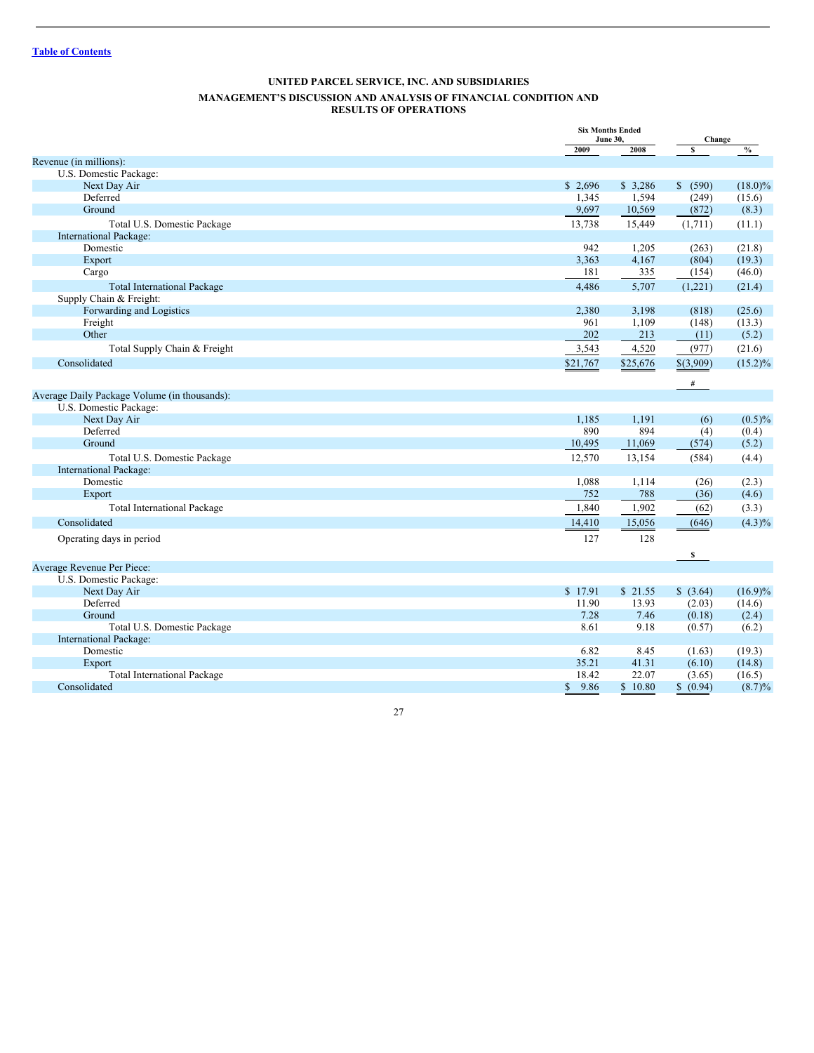|                                              |                      | <b>Six Months Ended</b><br><b>June 30,</b> |           | Change     |  |
|----------------------------------------------|----------------------|--------------------------------------------|-----------|------------|--|
|                                              | 2009                 | 2008                                       | S         | $\%$       |  |
| Revenue (in millions):                       |                      |                                            |           |            |  |
| U.S. Domestic Package:                       |                      |                                            |           |            |  |
| Next Day Air                                 | \$2.696              | \$3,286                                    | \$ (590)  | $(18.0)\%$ |  |
| Deferred                                     | 1,345                | 1,594                                      | (249)     | (15.6)     |  |
| Ground                                       | 9,697                | 10,569                                     | (872)     | (8.3)      |  |
| Total U.S. Domestic Package                  | 13,738               | 15,449                                     | (1,711)   | (11.1)     |  |
| International Package:                       |                      |                                            |           |            |  |
| Domestic                                     | 942                  | 1,205                                      | (263)     | (21.8)     |  |
| Export                                       | 3,363                | 4,167                                      | (804)     | (19.3)     |  |
| Cargo                                        | 181                  | 335                                        | (154)     | (46.0)     |  |
| <b>Total International Package</b>           | 4,486                | 5,707                                      | (1,221)   | (21.4)     |  |
| Supply Chain & Freight:                      |                      |                                            |           |            |  |
| Forwarding and Logistics                     | 2,380                | 3,198                                      | (818)     | (25.6)     |  |
| Freight                                      | 961                  | 1,109                                      | (148)     | (13.3)     |  |
| Other                                        | 202                  | 213                                        | (11)      | (5.2)      |  |
| Total Supply Chain & Freight                 | 3,543                | 4,520                                      | (977)     | (21.6)     |  |
| Consolidated                                 | \$21,767             | \$25,676                                   | \$(3,909) | $(15.2)\%$ |  |
|                                              |                      |                                            | $\#$      |            |  |
| Average Daily Package Volume (in thousands): |                      |                                            |           |            |  |
| U.S. Domestic Package:                       |                      |                                            |           |            |  |
| Next Day Air                                 | 1.185                | 1,191                                      | (6)       | $(0.5)\%$  |  |
| Deferred                                     | 890                  | 894                                        | (4)       | (0.4)      |  |
| Ground                                       | 10,495               | 11,069                                     | (574)     | (5.2)      |  |
| Total U.S. Domestic Package                  | 12,570               | 13,154                                     | (584)     | (4.4)      |  |
| International Package:                       |                      |                                            |           |            |  |
| Domestic                                     | 1.088                | 1,114                                      | (26)      | (2.3)      |  |
| Export                                       | 752                  | 788                                        | (36)      | (4.6)      |  |
| <b>Total International Package</b>           | 1,840                | 1,902                                      | (62)      | (3.3)      |  |
| Consolidated                                 | 14,410               | 15,056                                     | (646)     | $(4.3)\%$  |  |
|                                              |                      |                                            |           |            |  |
| Operating days in period                     | 127                  | 128                                        |           |            |  |
| Average Revenue Per Piece:                   |                      |                                            | S.        |            |  |
| U.S. Domestic Package:                       |                      |                                            |           |            |  |
| Next Day Air                                 | \$17.91              | \$21.55                                    | \$ (3.64) | $(16.9)\%$ |  |
| Deferred                                     | 11.90                | 13.93                                      | (2.03)    | (14.6)     |  |
| Ground                                       | 7.28                 | 7.46                                       | (0.18)    | (2.4)      |  |
| Total U.S. Domestic Package                  | 8.61                 | 9.18                                       | (0.57)    | (6.2)      |  |
| International Package:                       |                      |                                            |           |            |  |
| Domestic                                     | 6.82                 | 8.45                                       | (1.63)    | (19.3)     |  |
| Export                                       | 35.21                | 41.31                                      | (6.10)    | (14.8)     |  |
| <b>Total International Package</b>           | 18.42                | 22.07                                      | (3.65)    | (16.5)     |  |
| Consolidated                                 | $\mathbb{S}$<br>9.86 | \$10.80                                    | \$ (0.94) | $(8.7)\%$  |  |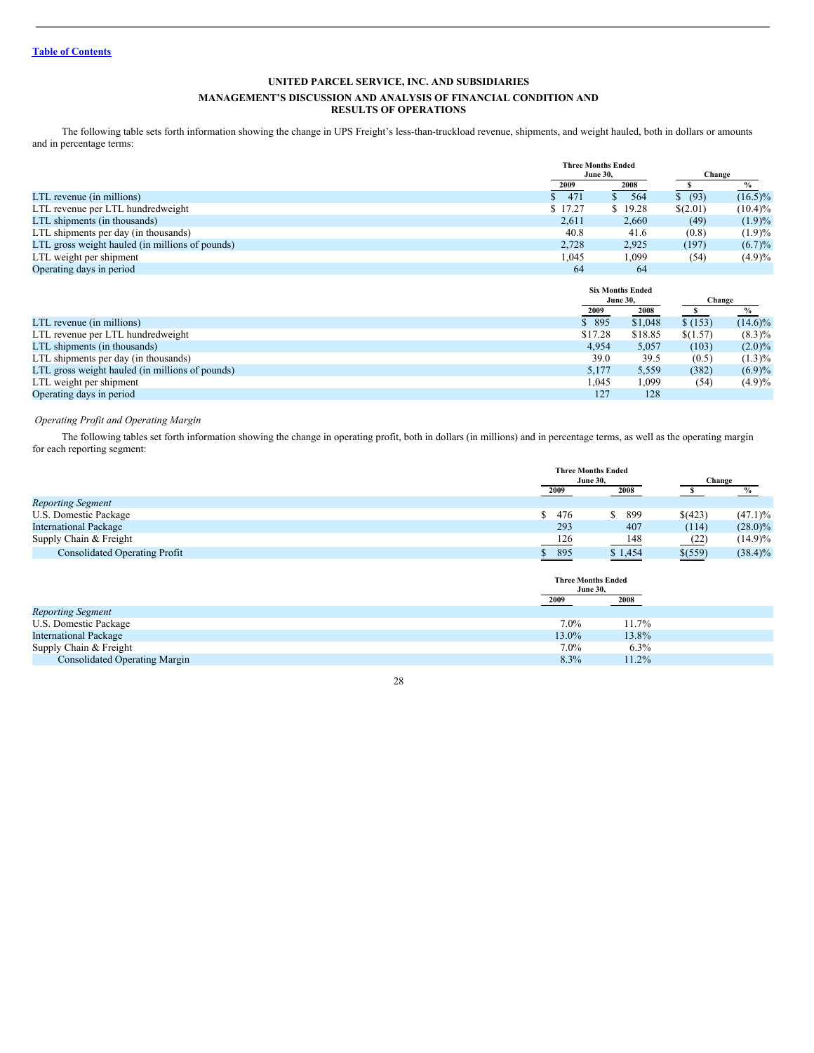The following table sets forth information showing the change in UPS Freight's less-than-truckload revenue, shipments, and weight hauled, both in dollars or amounts and in percentage terms:

|                                                 |         | <b>Three Months Ended</b> |          |            |
|-------------------------------------------------|---------|---------------------------|----------|------------|
|                                                 |         | <b>June 30.</b>           |          | Change     |
|                                                 | 2009    | 2008                      |          |            |
| LTL revenue (in millions)                       | 471     | 564                       | \$ (93)  | $(16.5)\%$ |
| LTL revenue per LTL hundredweight               | \$17.27 | \$19.28                   | \$(2.01) | $(10.4)\%$ |
| LTL shipments (in thousands)                    | 2,611   | 2,660                     | (49)     | $(1.9)\%$  |
| LTL shipments per day (in thousands)            | 40.8    | 41.6                      | (0.8)    | (1.9)%     |
| LTL gross weight hauled (in millions of pounds) | 2.728   | 2.925                     | (197)    | $(6.7)\%$  |
| LTL weight per shipment                         | 1.045   | 1,099                     | (54)     | $(4.9)\%$  |
| Operating days in period                        | 64      | 64                        |          |            |

|                                                 |         | <b>Six Months Ended</b><br><b>June 30,</b> |          | Change     |
|-------------------------------------------------|---------|--------------------------------------------|----------|------------|
|                                                 | 2009    | 2008                                       |          | %          |
| LTL revenue (in millions)                       | \$ 895  | \$1,048                                    | \$(153)  | $(14.6)\%$ |
| LTL revenue per LTL hundredweight               | \$17.28 | \$18.85                                    | \$(1.57) | $(8.3)\%$  |
| LTL shipments (in thousands)                    | 4.954   | 5,057                                      | (103)    | $(2.0)\%$  |
| LTL shipments per day (in thousands)            | 39.0    | 39.5                                       | (0.5)    | $(1.3)\%$  |
| LTL gross weight hauled (in millions of pounds) | 5,177   | 5,559                                      | (382)    | $(6.9)\%$  |
| LTL weight per shipment                         | 1.045   | 1,099                                      | (54)     | $(4.9)\%$  |
| Operating days in period                        | 127     | 128                                        |          |            |

# <span id="page-29-0"></span>*Operating Profit and Operating Margin*

The following tables set forth information showing the change in operating profit, both in dollars (in millions) and in percentage terms, as well as the operating margin for each reporting segment:

|           | <b>June 30.</b> |                                  |            |
|-----------|-----------------|----------------------------------|------------|
| 2009      | 2008            |                                  |            |
|           |                 |                                  |            |
| 476<br>S. | 899             | \$(423)                          | $(47.1)\%$ |
| 293       | 407             | (114)                            | $(28.0)\%$ |
| 126       |                 | (22)                             | $(14.9)\%$ |
| 895       | \$1,454         | $$^{(559)}$                      | $(38.4)\%$ |
|           |                 | <b>Three Months Ended</b><br>148 | Change     |

|                                      | <b>Three Months Ended</b><br><b>June 30,</b> |         |  |
|--------------------------------------|----------------------------------------------|---------|--|
|                                      | 2009                                         | 2008    |  |
| <b>Reporting Segment</b>             |                                              |         |  |
| U.S. Domestic Package                | $7.0\%$                                      | 11.7%   |  |
| <b>International Package</b>         | 13.0%                                        | 13.8%   |  |
| Supply Chain & Freight               | $7.0\%$                                      | $6.3\%$ |  |
| <b>Consolidated Operating Margin</b> | 8.3%                                         | 11.2%   |  |

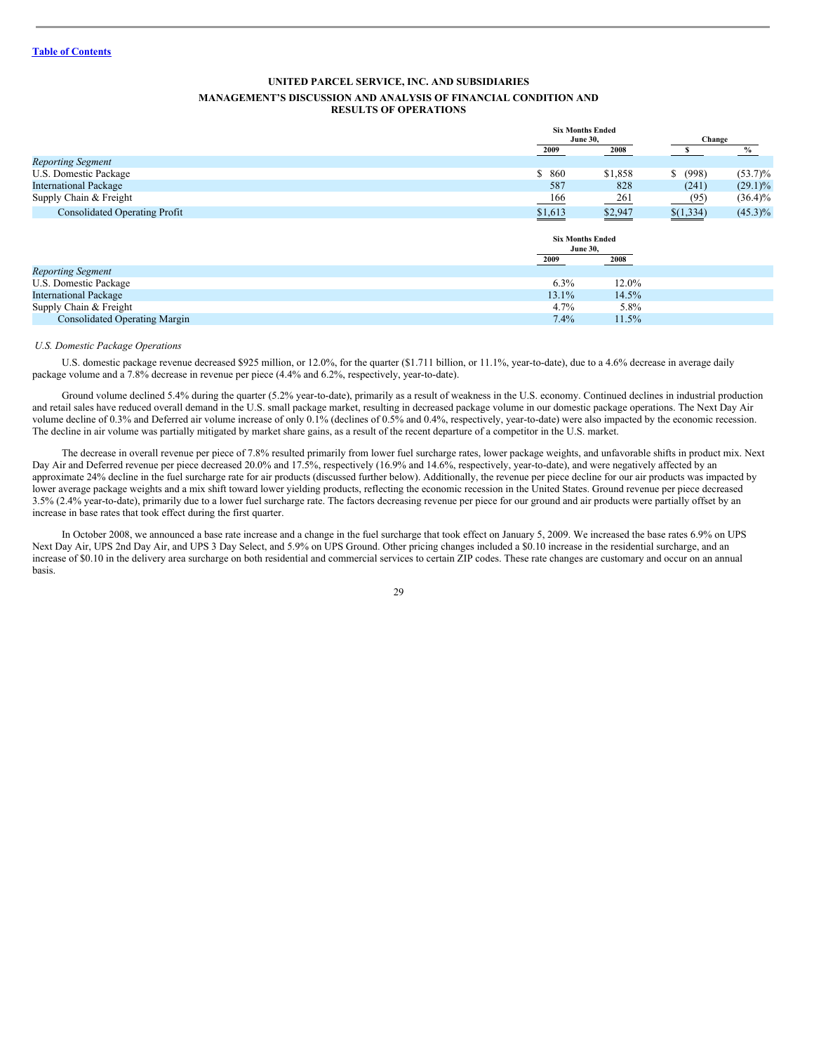|                                      |         | <b>Six Months Ended</b>                            |           |            |
|--------------------------------------|---------|----------------------------------------------------|-----------|------------|
|                                      |         | <b>June 30,</b>                                    |           | Change     |
|                                      | 2009    | 2008                                               |           | $\%$       |
| <b>Reporting Segment</b>             |         |                                                    |           |            |
| U.S. Domestic Package                | \$ 860  | \$1,858                                            | \$ (998)  | $(53.7)\%$ |
| <b>International Package</b>         | 587     | 828                                                | (241)     | $(29.1)\%$ |
| Supply Chain & Freight               | 166     | 261                                                | (95)      | $(36.4)\%$ |
| <b>Consolidated Operating Profit</b> | \$1,613 | \$2,947                                            | \$(1,334) | $(45.3)\%$ |
|                                      |         | <b>Six Months Ended</b><br><b>June 30,</b><br>2008 |           |            |
| <b>Reporting Segment</b>             | 2009    |                                                    |           |            |
| U.S. Domestic Package                | $6.3\%$ | 12.0%                                              |           |            |
| <b>International Package</b>         | 13.1%   | 14.5%                                              |           |            |
| Supply Chain & Freight               | $4.7\%$ | 5.8%                                               |           |            |
| <b>Consolidated Operating Margin</b> | 7.4%    | 11.5%                                              |           |            |

#### <span id="page-30-0"></span>*U.S. Domestic Package Operations*

U.S. domestic package revenue decreased \$925 million, or 12.0%, for the quarter (\$1.711 billion, or 11.1%, year-to-date), due to a 4.6% decrease in average daily package volume and a 7.8% decrease in revenue per piece (4.4% and 6.2%, respectively, year-to-date).

Ground volume declined 5.4% during the quarter (5.2% year-to-date), primarily as a result of weakness in the U.S. economy. Continued declines in industrial production and retail sales have reduced overall demand in the U.S. small package market, resulting in decreased package volume in our domestic package operations. The Next Day Air volume decline of 0.3% and Deferred air volume increase of only 0.1% (declines of 0.5% and 0.4%, respectively, year-to-date) were also impacted by the economic recession. The decline in air volume was partially mitigated by market share gains, as a result of the recent departure of a competitor in the U.S. market.

The decrease in overall revenue per piece of 7.8% resulted primarily from lower fuel surcharge rates, lower package weights, and unfavorable shifts in product mix. Next Day Air and Deferred revenue per piece decreased 20.0% and 17.5%, respectively (16.9% and 14.6%, respectively, year-to-date), and were negatively affected by an approximate 24% decline in the fuel surcharge rate for air products (discussed further below). Additionally, the revenue per piece decline for our air products was impacted by lower average package weights and a mix shift toward lower yielding products, reflecting the economic recession in the United States. Ground revenue per piece decreased 3.5% (2.4% year-to-date), primarily due to a lower fuel surcharge rate. The factors decreasing revenue per piece for our ground and air products were partially offset by an increase in base rates that took effect during the first quarter.

In October 2008, we announced a base rate increase and a change in the fuel surcharge that took effect on January 5, 2009. We increased the base rates 6.9% on UPS Next Day Air, UPS 2nd Day Air, and UPS 3 Day Select, and 5.9% on UPS Ground. Other pricing changes included a \$0.10 increase in the residential surcharge, and an increase of \$0.10 in the delivery area surcharge on both residential and commercial services to certain ZIP codes. These rate changes are customary and occur on an annual basis.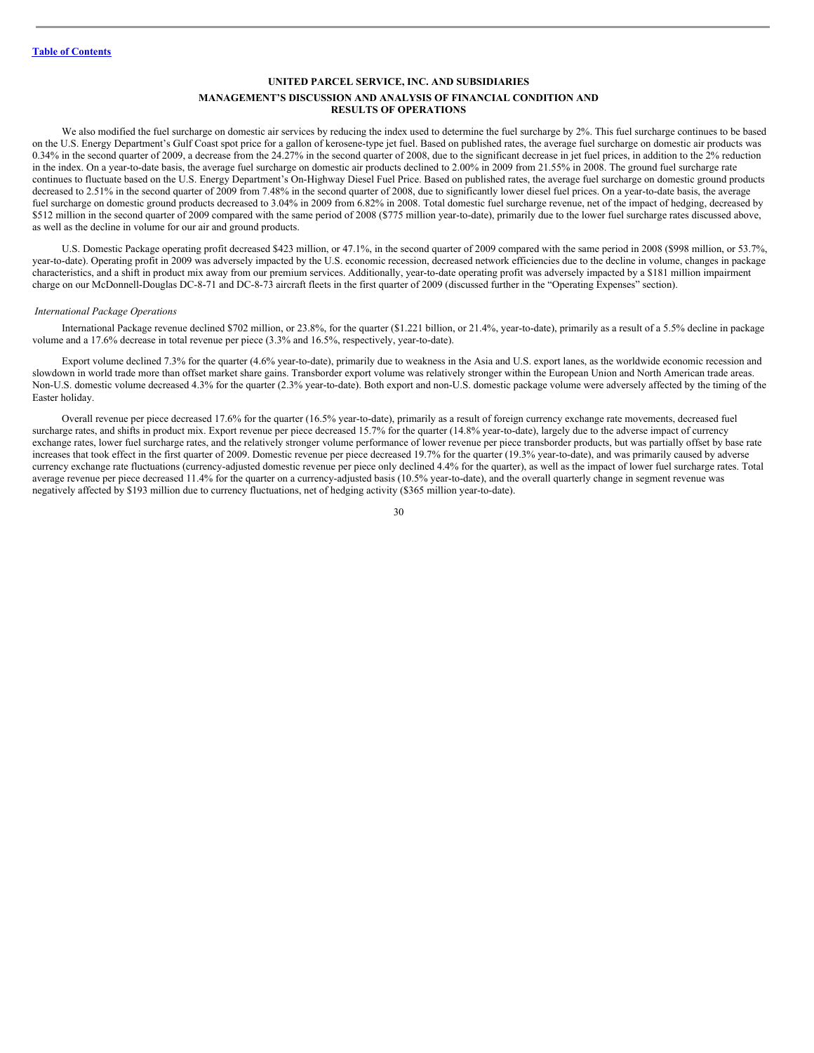# **MANAGEMENT'S DISCUSSION AND ANALYSIS OF FINANCIAL CONDITION AND RESULTS OF OPERATIONS**

We also modified the fuel surcharge on domestic air services by reducing the index used to determine the fuel surcharge by 2%. This fuel surcharge continues to be based on the U.S. Energy Department's Gulf Coast spot price for a gallon of kerosene-type jet fuel. Based on published rates, the average fuel surcharge on domestic air products was 0.34% in the second quarter of 2009, a decrease from the 24.27% in the second quarter of 2008, due to the significant decrease in jet fuel prices, in addition to the 2% reduction in the index. On a year-to-date basis, the average fuel surcharge on domestic air products declined to 2.00% in 2009 from 21.55% in 2008. The ground fuel surcharge rate continues to fluctuate based on the U.S. Energy Department's On-Highway Diesel Fuel Price. Based on published rates, the average fuel surcharge on domestic ground products decreased to 2.51% in the second quarter of 2009 from 7.48% in the second quarter of 2008, due to significantly lower diesel fuel prices. On a year-to-date basis, the average fuel surcharge on domestic ground products decreased to 3.04% in 2009 from 6.82% in 2008. Total domestic fuel surcharge revenue, net of the impact of hedging, decreased by \$512 million in the second quarter of 2009 compared with the same period of 2008 (\$775 million year-to-date), primarily due to the lower fuel surcharge rates discussed above, as well as the decline in volume for our air and ground products.

U.S. Domestic Package operating profit decreased \$423 million, or 47.1%, in the second quarter of 2009 compared with the same period in 2008 (\$998 million, or 53.7%, year-to-date). Operating profit in 2009 was adversely impacted by the U.S. economic recession, decreased network efficiencies due to the decline in volume, changes in package characteristics, and a shift in product mix away from our premium services. Additionally, year-to-date operating profit was adversely impacted by a \$181 million impairment charge on our McDonnell-Douglas DC-8-71 and DC-8-73 aircraft fleets in the first quarter of 2009 (discussed further in the "Operating Expenses" section).

#### <span id="page-31-0"></span>*International Package Operations*

International Package revenue declined \$702 million, or 23.8%, for the quarter (\$1.221 billion, or 21.4%, year-to-date), primarily as a result of a 5.5% decline in package volume and a 17.6% decrease in total revenue per piece (3.3% and 16.5%, respectively, year-to-date).

Export volume declined 7.3% for the quarter (4.6% year-to-date), primarily due to weakness in the Asia and U.S. export lanes, as the worldwide economic recession and slowdown in world trade more than offset market share gains. Transborder export volume was relatively stronger within the European Union and North American trade areas. Non-U.S. domestic volume decreased 4.3% for the quarter (2.3% year-to-date). Both export and non-U.S. domestic package volume were adversely affected by the timing of the Easter holiday.

Overall revenue per piece decreased 17.6% for the quarter (16.5% year-to-date), primarily as a result of foreign currency exchange rate movements, decreased fuel surcharge rates, and shifts in product mix. Export revenue per piece decreased 15.7% for the quarter (14.8% year-to-date), largely due to the adverse impact of currency exchange rates, lower fuel surcharge rates, and the relatively stronger volume performance of lower revenue per piece transborder products, but was partially offset by base rate increases that took effect in the first quarter of 2009. Domestic revenue per piece decreased 19.7% for the quarter (19.3% year-to-date), and was primarily caused by adverse currency exchange rate fluctuations (currency-adjusted domestic revenue per piece only declined 4.4% for the quarter), as well as the impact of lower fuel surcharge rates. Total average revenue per piece decreased 11.4% for the quarter on a currency-adjusted basis (10.5% year-to-date), and the overall quarterly change in segment revenue was negatively affected by \$193 million due to currency fluctuations, net of hedging activity (\$365 million year-to-date).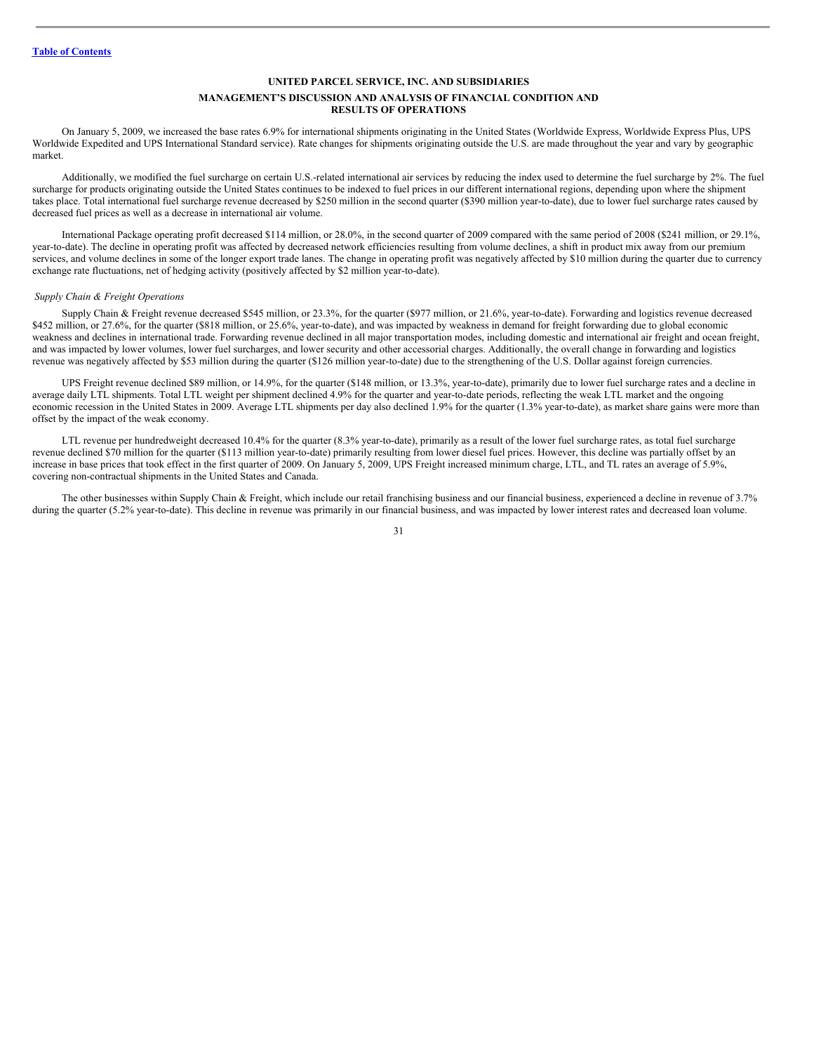# **MANAGEMENT'S DISCUSSION AND ANALYSIS OF FINANCIAL CONDITION AND RESULTS OF OPERATIONS**

On January 5, 2009, we increased the base rates 6.9% for international shipments originating in the United States (Worldwide Express, Worldwide Express Plus, UPS Worldwide Expedited and UPS International Standard service). Rate changes for shipments originating outside the U.S. are made throughout the year and vary by geographic market.

Additionally, we modified the fuel surcharge on certain U.S.-related international air services by reducing the index used to determine the fuel surcharge by 2%. The fuel surcharge for products originating outside the United States continues to be indexed to fuel prices in our different international regions, depending upon where the shipment takes place. Total international fuel surcharge revenue decreased by \$250 million in the second quarter (\$390 million year-to-date), due to lower fuel surcharge rates caused by decreased fuel prices as well as a decrease in international air volume.

International Package operating profit decreased \$114 million, or 28.0%, in the second quarter of 2009 compared with the same period of 2008 (\$241 million, or 29.1%, year-to-date). The decline in operating profit was affected by decreased network efficiencies resulting from volume declines, a shift in product mix away from our premium services, and volume declines in some of the longer export trade lanes. The change in operating profit was negatively affected by \$10 million during the quarter due to currency exchange rate fluctuations, net of hedging activity (positively affected by \$2 million year-to-date).

# <span id="page-32-0"></span>*Supply Chain & Freight Operations*

Supply Chain & Freight revenue decreased \$545 million, or 23.3%, for the quarter (\$977 million, or 21.6%, year-to-date). Forwarding and logistics revenue decreased \$452 million, or 27.6%, for the quarter (\$818 million, or 25.6%, year-to-date), and was impacted by weakness in demand for freight forwarding due to global economic weakness and declines in international trade. Forwarding revenue declined in all major transportation modes, including domestic and international air freight and ocean freight, and was impacted by lower volumes, lower fuel surcharges, and lower security and other accessorial charges. Additionally, the overall change in forwarding and logistics revenue was negatively affected by \$53 million during the quarter (\$126 million year-to-date) due to the strengthening of the U.S. Dollar against foreign currencies.

UPS Freight revenue declined \$89 million, or 14.9%, for the quarter (\$148 million, or 13.3%, year-to-date), primarily due to lower fuel surcharge rates and a decline in average daily LTL shipments. Total LTL weight per shipment declined 4.9% for the quarter and year-to-date periods, reflecting the weak LTL market and the ongoing economic recession in the United States in 2009. Average LTL shipments per day also declined 1.9% for the quarter (1.3% year-to-date), as market share gains were more than offset by the impact of the weak economy.

LTL revenue per hundredweight decreased 10.4% for the quarter (8.3% year-to-date), primarily as a result of the lower fuel surcharge rates, as total fuel surcharge revenue declined \$70 million for the quarter (\$113 million year-to-date) primarily resulting from lower diesel fuel prices. However, this decline was partially offset by an increase in base prices that took effect in the first quarter of 2009. On January 5, 2009, UPS Freight increased minimum charge, LTL, and TL rates an average of 5.9%, covering non-contractual shipments in the United States and Canada.

The other businesses within Supply Chain & Freight, which include our retail franchising business and our financial business, experienced a decline in revenue of 3.7% during the quarter (5.2% year-to-date). This decline in revenue was primarily in our financial business, and was impacted by lower interest rates and decreased loan volume.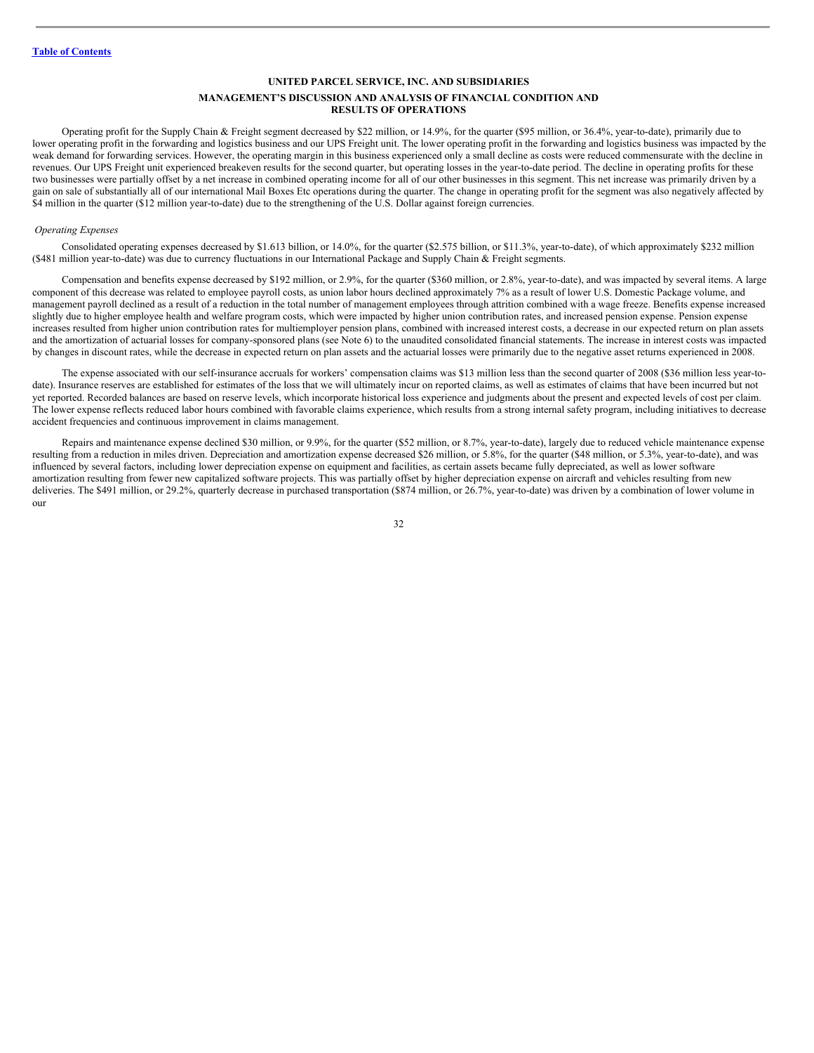# **MANAGEMENT'S DISCUSSION AND ANALYSIS OF FINANCIAL CONDITION AND RESULTS OF OPERATIONS**

Operating profit for the Supply Chain & Freight segment decreased by \$22 million, or 14.9%, for the quarter (\$95 million, or 36.4%, year-to-date), primarily due to lower operating profit in the forwarding and logistics business and our UPS Freight unit. The lower operating profit in the forwarding and logistics business was impacted by the weak demand for forwarding services. However, the operating margin in this business experienced only a small decline as costs were reduced commensurate with the decline in revenues. Our UPS Freight unit experienced breakeven results for the second quarter, but operating losses in the year-to-date period. The decline in operating profits for these two businesses were partially offset by a net increase in combined operating income for all of our other businesses in this segment. This net increase was primarily driven by a gain on sale of substantially all of our international Mail Boxes Etc operations during the quarter. The change in operating profit for the segment was also negatively affected by \$4 million in the quarter (\$12 million year-to-date) due to the strengthening of the U.S. Dollar against foreign currencies.

#### <span id="page-33-0"></span>*Operating Expenses*

Consolidated operating expenses decreased by \$1.613 billion, or 14.0%, for the quarter (\$2.575 billion, or \$11.3%, year-to-date), of which approximately \$232 million (\$481 million year-to-date) was due to currency fluctuations in our International Package and Supply Chain & Freight segments.

Compensation and benefits expense decreased by \$192 million, or 2.9%, for the quarter (\$360 million, or 2.8%, year-to-date), and was impacted by several items. A large component of this decrease was related to employee payroll costs, as union labor hours declined approximately 7% as a result of lower U.S. Domestic Package volume, and management payroll declined as a result of a reduction in the total number of management employees through attrition combined with a wage freeze. Benefits expense increased slightly due to higher employee health and welfare program costs, which were impacted by higher union contribution rates, and increased pension expense. Pension expense increases resulted from higher union contribution rates for multiemployer pension plans, combined with increased interest costs, a decrease in our expected return on plan assets and the amortization of actuarial losses for company-sponsored plans (see Note 6) to the unaudited consolidated financial statements. The increase in interest costs was impacted by changes in discount rates, while the decrease in expected return on plan assets and the actuarial losses were primarily due to the negative asset returns experienced in 2008.

The expense associated with our self-insurance accruals for workers' compensation claims was \$13 million less than the second quarter of 2008 (\$36 million less year-todate). Insurance reserves are established for estimates of the loss that we will ultimately incur on reported claims, as well as estimates of claims that have been incurred but not yet reported. Recorded balances are based on reserve levels, which incorporate historical loss experience and judgments about the present and expected levels of cost per claim. The lower expense reflects reduced labor hours combined with favorable claims experience, which results from a strong internal safety program, including initiatives to decrease accident frequencies and continuous improvement in claims management.

Repairs and maintenance expense declined \$30 million, or 9.9%, for the quarter (\$52 million, or 8.7%, year-to-date), largely due to reduced vehicle maintenance expense resulting from a reduction in miles driven. Depreciation and amortization expense decreased \$26 million, or 5.8%, for the quarter (\$48 million, or 5.3%, year-to-date), and was influenced by several factors, including lower depreciation expense on equipment and facilities, as certain assets became fully depreciated, as well as lower software amortization resulting from fewer new capitalized software projects. This was partially offset by higher depreciation expense on aircraft and vehicles resulting from new deliveries. The \$491 million, or 29.2%, quarterly decrease in purchased transportation (\$874 million, or 26.7%, year-to-date) was driven by a combination of lower volume in our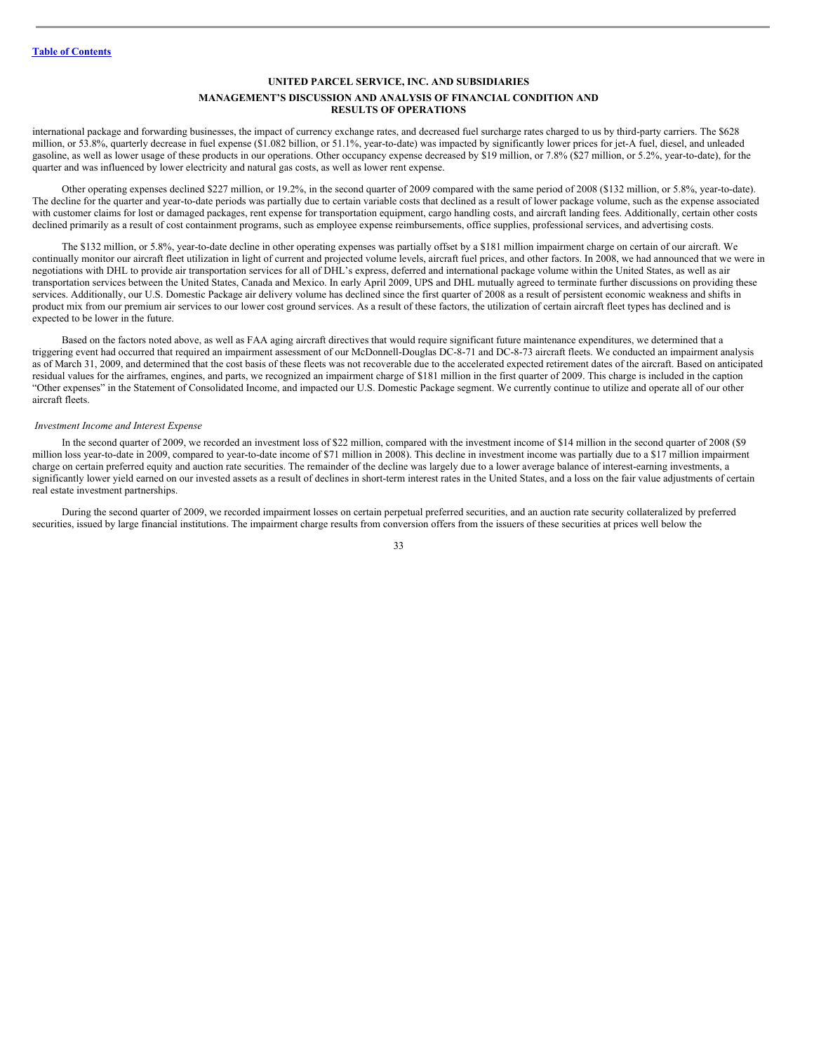## **MANAGEMENT'S DISCUSSION AND ANALYSIS OF FINANCIAL CONDITION AND RESULTS OF OPERATIONS**

international package and forwarding businesses, the impact of currency exchange rates, and decreased fuel surcharge rates charged to us by third-party carriers. The \$628 million, or 53.8%, quarterly decrease in fuel expense (\$1.082 billion, or 51.1%, year-to-date) was impacted by significantly lower prices for jet-A fuel, diesel, and unleaded gasoline, as well as lower usage of these products in our operations. Other occupancy expense decreased by \$19 million, or 7.8% (\$27 million, or 5.2%, year-to-date), for the quarter and was influenced by lower electricity and natural gas costs, as well as lower rent expense.

Other operating expenses declined \$227 million, or 19.2%, in the second quarter of 2009 compared with the same period of 2008 (\$132 million, or 5.8%, year-to-date). The decline for the quarter and year-to-date periods was partially due to certain variable costs that declined as a result of lower package volume, such as the expense associated with customer claims for lost or damaged packages, rent expense for transportation equipment, cargo handling costs, and aircraft landing fees. Additionally, certain other costs declined primarily as a result of cost containment programs, such as employee expense reimbursements, office supplies, professional services, and advertising costs.

The \$132 million, or 5.8%, year-to-date decline in other operating expenses was partially offset by a \$181 million impairment charge on certain of our aircraft. We continually monitor our aircraft fleet utilization in light of current and projected volume levels, aircraft fuel prices, and other factors. In 2008, we had announced that we were in negotiations with DHL to provide air transportation services for all of DHL's express, deferred and international package volume within the United States, as well as air transportation services between the United States, Canada and Mexico. In early April 2009, UPS and DHL mutually agreed to terminate further discussions on providing these services. Additionally, our U.S. Domestic Package air delivery volume has declined since the first quarter of 2008 as a result of persistent economic weakness and shifts in product mix from our premium air services to our lower cost ground services. As a result of these factors, the utilization of certain aircraft fleet types has declined and is expected to be lower in the future.

Based on the factors noted above, as well as FAA aging aircraft directives that would require significant future maintenance expenditures, we determined that a triggering event had occurred that required an impairment assessment of our McDonnell-Douglas DC-8-71 and DC-8-73 aircraft fleets. We conducted an impairment analysis as of March 31, 2009, and determined that the cost basis of these fleets was not recoverable due to the accelerated expected retirement dates of the aircraft. Based on anticipated residual values for the airframes, engines, and parts, we recognized an impairment charge of \$181 million in the first quarter of 2009. This charge is included in the caption "Other expenses" in the Statement of Consolidated Income, and impacted our U.S. Domestic Package segment. We currently continue to utilize and operate all of our other aircraft fleets.

#### <span id="page-34-0"></span>*Investment Income and Interest Expense*

In the second quarter of 2009, we recorded an investment loss of \$22 million, compared with the investment income of \$14 million in the second quarter of 2008 (\$9 million loss year-to-date in 2009, compared to year-to-date income of \$71 million in 2008). This decline in investment income was partially due to a \$17 million impairment charge on certain preferred equity and auction rate securities. The remainder of the decline was largely due to a lower average balance of interest-earning investments, a significantly lower yield earned on our invested assets as a result of declines in short-term interest rates in the United States, and a loss on the fair value adjustments of certain real estate investment partnerships.

During the second quarter of 2009, we recorded impairment losses on certain perpetual preferred securities, and an auction rate security collateralized by preferred securities, issued by large financial institutions. The impairment charge results from conversion offers from the issuers of these securities at prices well below the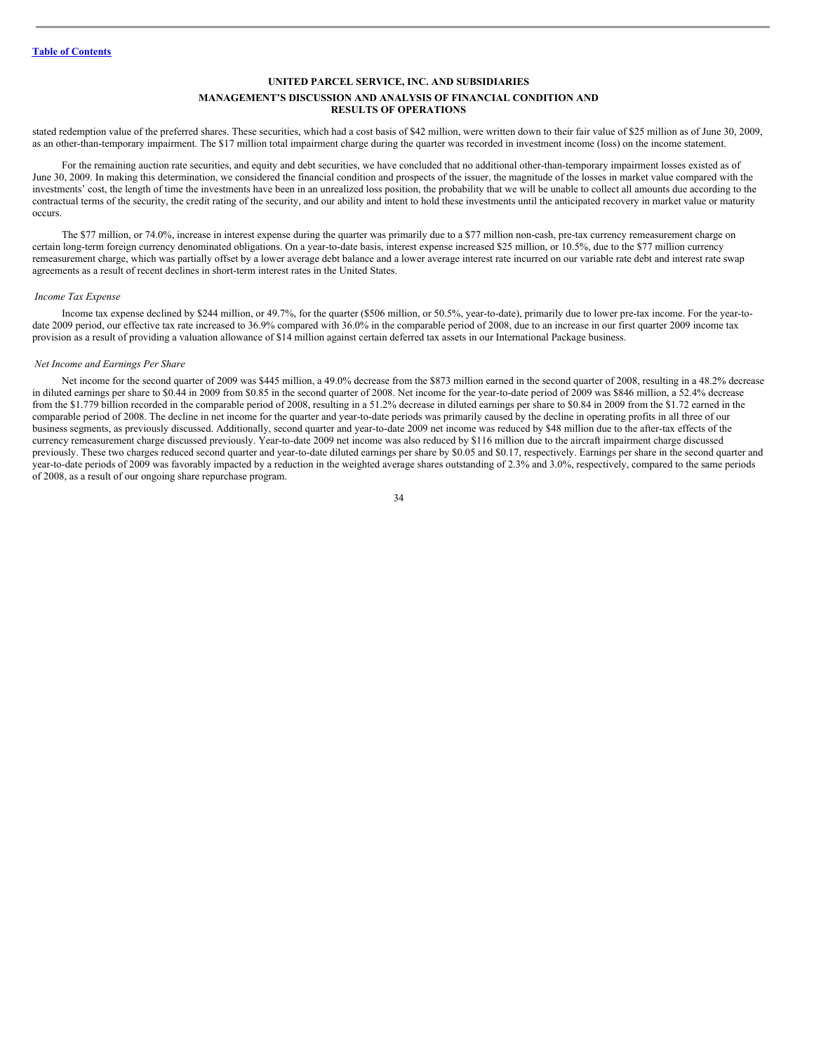### **MANAGEMENT'S DISCUSSION AND ANALYSIS OF FINANCIAL CONDITION AND RESULTS OF OPERATIONS**

stated redemption value of the preferred shares. These securities, which had a cost basis of \$42 million, were written down to their fair value of \$25 million as of June 30, 2009, as an other-than-temporary impairment. The \$17 million total impairment charge during the quarter was recorded in investment income (loss) on the income statement.

For the remaining auction rate securities, and equity and debt securities, we have concluded that no additional other-than-temporary impairment losses existed as of June 30, 2009. In making this determination, we considered the financial condition and prospects of the issuer, the magnitude of the losses in market value compared with the investments' cost, the length of time the investments have been in an unrealized loss position, the probability that we will be unable to collect all amounts due according to the contractual terms of the security, the credit rating of the security, and our ability and intent to hold these investments until the anticipated recovery in market value or maturity occurs.

The \$77 million, or 74.0%, increase in interest expense during the quarter was primarily due to a \$77 million non-cash, pre-tax currency remeasurement charge on certain long-term foreign currency denominated obligations. On a year-to-date basis, interest expense increased \$25 million, or 10.5%, due to the \$77 million currency remeasurement charge, which was partially offset by a lower average debt balance and a lower average interest rate incurred on our variable rate debt and interest rate swap agreements as a result of recent declines in short-term interest rates in the United States.

#### <span id="page-35-0"></span>*Income Tax Expense*

Income tax expense declined by \$244 million, or 49.7%, for the quarter (\$506 million, or 50.5%, year-to-date), primarily due to lower pre-tax income. For the year-todate 2009 period, our effective tax rate increased to 36.9% compared with 36.0% in the comparable period of 2008, due to an increase in our first quarter 2009 income tax provision as a result of providing a valuation allowance of \$14 million against certain deferred tax assets in our International Package business.

# <span id="page-35-1"></span>*Net Income and Earnings Per Share*

Net income for the second quarter of 2009 was \$445 million, a 49.0% decrease from the \$873 million earned in the second quarter of 2008, resulting in a 48.2% decrease in diluted earnings per share to \$0.44 in 2009 from \$0.85 in the second quarter of 2008. Net income for the year-to-date period of 2009 was \$846 million, a 52.4% decrease from the \$1.779 billion recorded in the comparable period of 2008, resulting in a 51.2% decrease in diluted earnings per share to \$0.84 in 2009 from the \$1.72 earned in the comparable period of 2008. The decline in net income for the quarter and year-to-date periods was primarily caused by the decline in operating profits in all three of our business segments, as previously discussed. Additionally, second quarter and year-to-date 2009 net income was reduced by \$48 million due to the after-tax effects of the currency remeasurement charge discussed previously. Year-to-date 2009 net income was also reduced by \$116 million due to the aircraft impairment charge discussed previously. These two charges reduced second quarter and year-to-date diluted earnings per share by \$0.05 and \$0.17, respectively. Earnings per share in the second quarter and year-to-date periods of 2009 was favorably impacted by a reduction in the weighted average shares outstanding of 2.3% and 3.0%, respectively, compared to the same periods of 2008, as a result of our ongoing share repurchase program.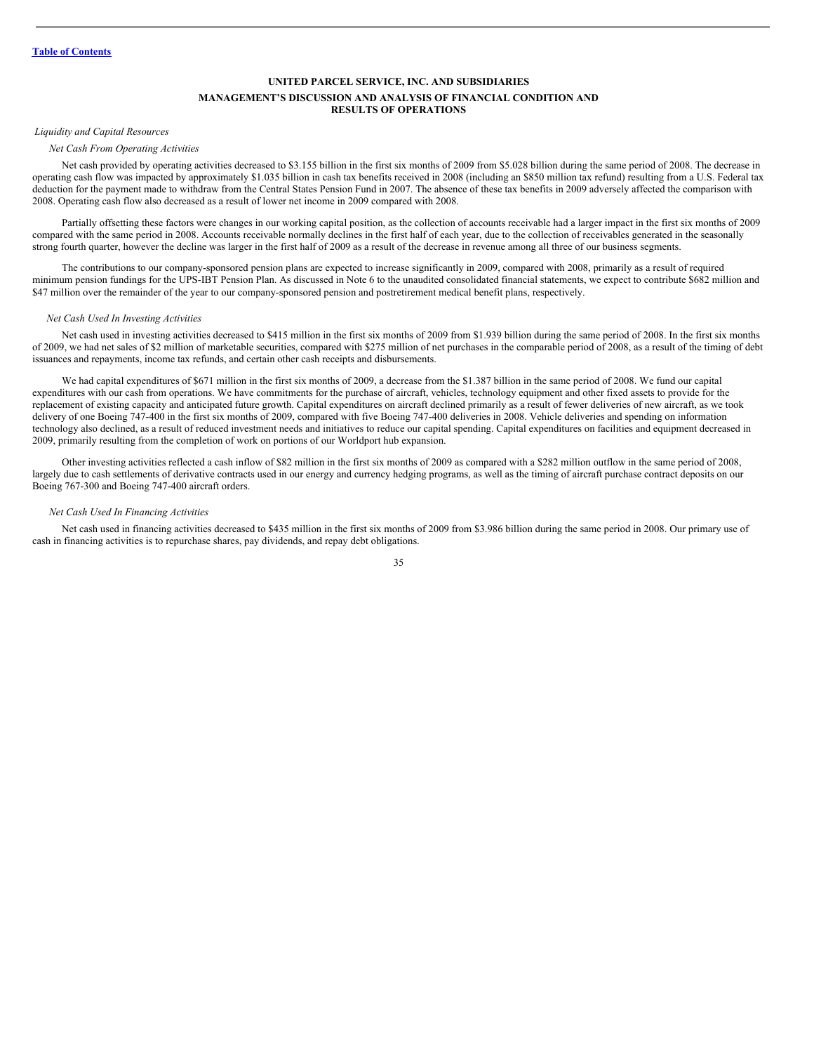### <span id="page-36-0"></span>*Liquidity and Capital Resources*

#### <span id="page-36-1"></span>*Net Cash From Operating Activities*

Net cash provided by operating activities decreased to \$3.155 billion in the first six months of 2009 from \$5.028 billion during the same period of 2008. The decrease in operating cash flow was impacted by approximately \$1.035 billion in cash tax benefits received in 2008 (including an \$850 million tax refund) resulting from a U.S. Federal tax deduction for the payment made to withdraw from the Central States Pension Fund in 2007. The absence of these tax benefits in 2009 adversely affected the comparison with 2008. Operating cash flow also decreased as a result of lower net income in 2009 compared with 2008.

Partially offsetting these factors were changes in our working capital position, as the collection of accounts receivable had a larger impact in the first six months of 2009 compared with the same period in 2008. Accounts receivable normally declines in the first half of each year, due to the collection of receivables generated in the seasonally strong fourth quarter, however the decline was larger in the first half of 2009 as a result of the decrease in revenue among all three of our business segments.

The contributions to our company-sponsored pension plans are expected to increase significantly in 2009, compared with 2008, primarily as a result of required minimum pension fundings for the UPS-IBT Pension Plan. As discussed in Note 6 to the unaudited consolidated financial statements, we expect to contribute \$682 million and \$47 million over the remainder of the year to our company-sponsored pension and postretirement medical benefit plans, respectively.

#### *Net Cash Used In Investing Activities*

Net cash used in investing activities decreased to \$415 million in the first six months of 2009 from \$1.939 billion during the same period of 2008. In the first six months of 2009, we had net sales of \$2 million of marketable securities, compared with \$275 million of net purchases in the comparable period of 2008, as a result of the timing of debt issuances and repayments, income tax refunds, and certain other cash receipts and disbursements.

We had capital expenditures of \$671 million in the first six months of 2009, a decrease from the \$1.387 billion in the same period of 2008. We fund our capital expenditures with our cash from operations. We have commitments for the purchase of aircraft, vehicles, technology equipment and other fixed assets to provide for the replacement of existing capacity and anticipated future growth. Capital expenditures on aircraft declined primarily as a result of fewer deliveries of new aircraft, as we took delivery of one Boeing 747-400 in the first six months of 2009, compared with five Boeing 747-400 deliveries in 2008. Vehicle deliveries and spending on information technology also declined, as a result of reduced investment needs and initiatives to reduce our capital spending. Capital expenditures on facilities and equipment decreased in 2009, primarily resulting from the completion of work on portions of our Worldport hub expansion.

Other investing activities reflected a cash inflow of \$82 million in the first six months of 2009 as compared with a \$282 million outflow in the same period of 2008, largely due to cash settlements of derivative contracts used in our energy and currency hedging programs, as well as the timing of aircraft purchase contract deposits on our Boeing 767-300 and Boeing 747-400 aircraft orders.

### <span id="page-36-2"></span>*Net Cash Used In Financing Activities*

Net cash used in financing activities decreased to \$435 million in the first six months of 2009 from \$3.986 billion during the same period in 2008. Our primary use of cash in financing activities is to repurchase shares, pay dividends, and repay debt obligations.

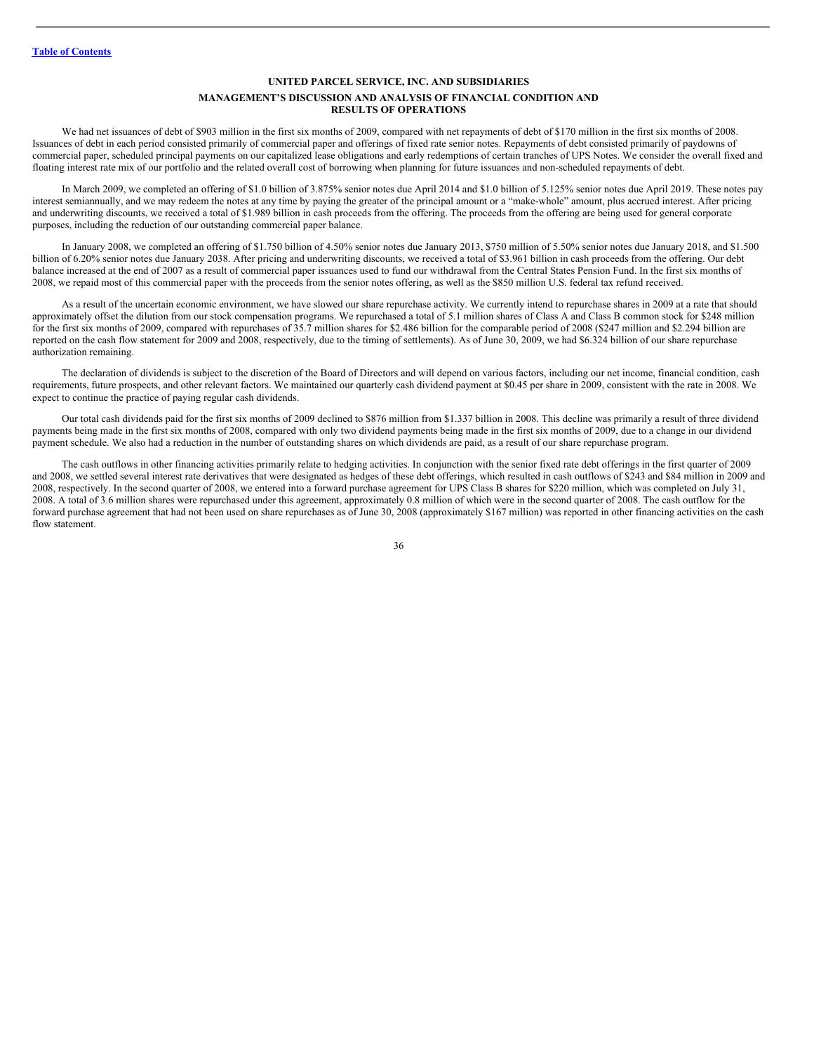### **MANAGEMENT'S DISCUSSION AND ANALYSIS OF FINANCIAL CONDITION AND RESULTS OF OPERATIONS**

We had net issuances of debt of \$903 million in the first six months of 2009, compared with net repayments of debt of \$170 million in the first six months of 2008. Issuances of debt in each period consisted primarily of commercial paper and offerings of fixed rate senior notes. Repayments of debt consisted primarily of paydowns of commercial paper, scheduled principal payments on our capitalized lease obligations and early redemptions of certain tranches of UPS Notes. We consider the overall fixed and floating interest rate mix of our portfolio and the related overall cost of borrowing when planning for future issuances and non-scheduled repayments of debt.

In March 2009, we completed an offering of \$1.0 billion of 3.875% senior notes due April 2014 and \$1.0 billion of 5.125% senior notes due April 2019. These notes pay interest semiannually, and we may redeem the notes at any time by paying the greater of the principal amount or a "make-whole" amount, plus accrued interest. After pricing and underwriting discounts, we received a total of \$1.989 billion in cash proceeds from the offering. The proceeds from the offering are being used for general corporate purposes, including the reduction of our outstanding commercial paper balance.

In January 2008, we completed an offering of \$1.750 billion of 4.50% senior notes due January 2013, \$750 million of 5.50% senior notes due January 2018, and \$1.500 billion of 6.20% senior notes due January 2038. After pricing and underwriting discounts, we received a total of \$3.961 billion in cash proceeds from the offering. Our debt balance increased at the end of 2007 as a result of commercial paper issuances used to fund our withdrawal from the Central States Pension Fund. In the first six months of 2008, we repaid most of this commercial paper with the proceeds from the senior notes offering, as well as the \$850 million U.S. federal tax refund received.

As a result of the uncertain economic environment, we have slowed our share repurchase activity. We currently intend to repurchase shares in 2009 at a rate that should approximately offset the dilution from our stock compensation programs. We repurchased a total of 5.1 million shares of Class A and Class B common stock for \$248 million for the first six months of 2009, compared with repurchases of  $35.7$  million shares for \$2.486 billion for the comparable period of 2008 (\$247 million and \$2.294 billion are reported on the cash flow statement for 2009 and 2008, respectively, due to the timing of settlements). As of June 30, 2009, we had \$6.324 billion of our share repurchase authorization remaining.

The declaration of dividends is subject to the discretion of the Board of Directors and will depend on various factors, including our net income, financial condition, cash requirements, future prospects, and other relevant factors. We maintained our quarterly cash dividend payment at \$0.45 per share in 2009, consistent with the rate in 2008. We expect to continue the practice of paying regular cash dividends.

Our total cash dividends paid for the first six months of 2009 declined to \$876 million from \$1.337 billion in 2008. This decline was primarily a result of three dividend payments being made in the first six months of 2008, compared with only two dividend payments being made in the first six months of 2009, due to a change in our dividend payment schedule. We also had a reduction in the number of outstanding shares on which dividends are paid, as a result of our share repurchase program.

The cash outflows in other financing activities primarily relate to hedging activities. In conjunction with the senior fixed rate debt offerings in the first quarter of 2009 and 2008, we settled several interest rate derivatives that were designated as hedges of these debt offerings, which resulted in cash outflows of \$243 and \$84 million in 2009 and 2008, respectively. In the second quarter of 2008, we entered into a forward purchase agreement for UPS Class B shares for \$220 million, which was completed on July 31, 2008. A total of 3.6 million shares were repurchased under this agreement, approximately 0.8 million of which were in the second quarter of 2008. The cash outflow for the forward purchase agreement that had not been used on share repurchases as of June 30, 2008 (approximately \$167 million) was reported in other financing activities on the cash flow statement.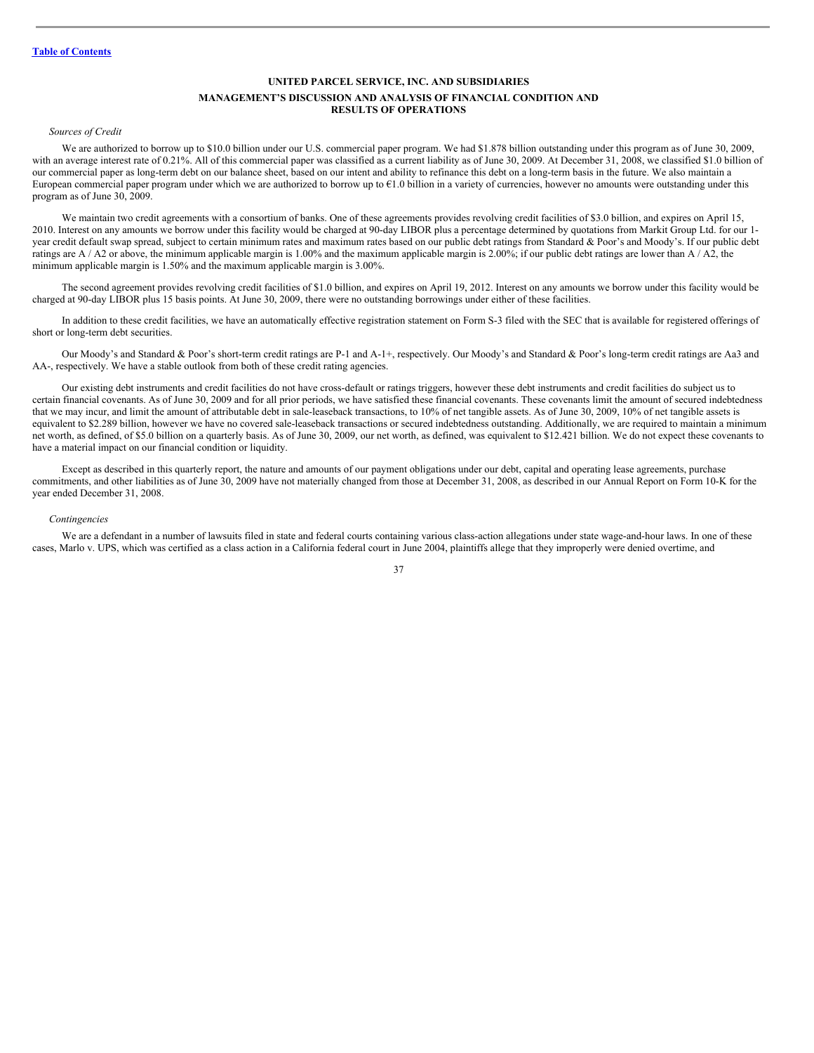#### <span id="page-38-0"></span>*Sources of Credit*

We are authorized to borrow up to \$10.0 billion under our U.S. commercial paper program. We had \$1.878 billion outstanding under this program as of June 30, 2009, with an average interest rate of 0.21%. All of this commercial paper was classified as a current liability as of June 30, 2009. At December 31, 2008, we classified \$1.0 billion of our commercial paper as long-term debt on our balance sheet, based on our intent and ability to refinance this debt on a long-term basis in the future. We also maintain a European commercial paper program under which we are authorized to borrow up to  $61.0$  billion in a variety of currencies, however no amounts were outstanding under this program as of June 30, 2009.

We maintain two credit agreements with a consortium of banks. One of these agreements provides revolving credit facilities of \$3.0 billion, and expires on April 15, 2010. Interest on any amounts we borrow under this facility would be charged at 90-day LIBOR plus a percentage determined by quotations from Markit Group Ltd. for our 1 year credit default swap spread, subject to certain minimum rates and maximum rates based on our public debt ratings from Standard & Poor's and Moody's. If our public debt ratings are A / A2 or above, the minimum applicable margin is 1.00% and the maximum applicable margin is 2.00%; if our public debt ratings are lower than A / A2, the minimum applicable margin is 1.50% and the maximum applicable margin is 3.00%.

The second agreement provides revolving credit facilities of \$1.0 billion, and expires on April 19, 2012. Interest on any amounts we borrow under this facility would be charged at 90-day LIBOR plus 15 basis points. At June 30, 2009, there were no outstanding borrowings under either of these facilities.

In addition to these credit facilities, we have an automatically effective registration statement on Form S-3 filed with the SEC that is available for registered offerings of short or long-term debt securities.

Our Moody's and Standard & Poor's short-term credit ratings are P-1 and A-1+, respectively. Our Moody's and Standard & Poor's long-term credit ratings are Aa3 and AA-, respectively. We have a stable outlook from both of these credit rating agencies.

Our existing debt instruments and credit facilities do not have cross-default or ratings triggers, however these debt instruments and credit facilities do subject us to certain financial covenants. As of June 30, 2009 and for all prior periods, we have satisfied these financial covenants. These covenants limit the amount of secured indebtedness that we may incur, and limit the amount of attributable debt in sale-leaseback transactions, to 10% of net tangible assets. As of June 30, 2009, 10% of net tangible assets is equivalent to \$2.289 billion, however we have no covered sale-leaseback transactions or secured indebtedness outstanding. Additionally, we are required to maintain a minimum net worth, as defined, of \$5.0 billion on a quarterly basis. As of June 30, 2009, our net worth, as defined, was equivalent to \$12.421 billion. We do not expect these covenants to have a material impact on our financial condition or liquidity.

Except as described in this quarterly report, the nature and amounts of our payment obligations under our debt, capital and operating lease agreements, purchase commitments, and other liabilities as of June 30, 2009 have not materially changed from those at December 31, 2008, as described in our Annual Report on Form 10-K for the year ended December 31, 2008.

### <span id="page-38-1"></span>*Contingencies*

We are a defendant in a number of lawsuits filed in state and federal courts containing various class-action allegations under state wage-and-hour laws. In one of these cases, Marlo v. UPS, which was certified as a class action in a California federal court in June 2004, plaintiffs allege that they improperly were denied overtime, and

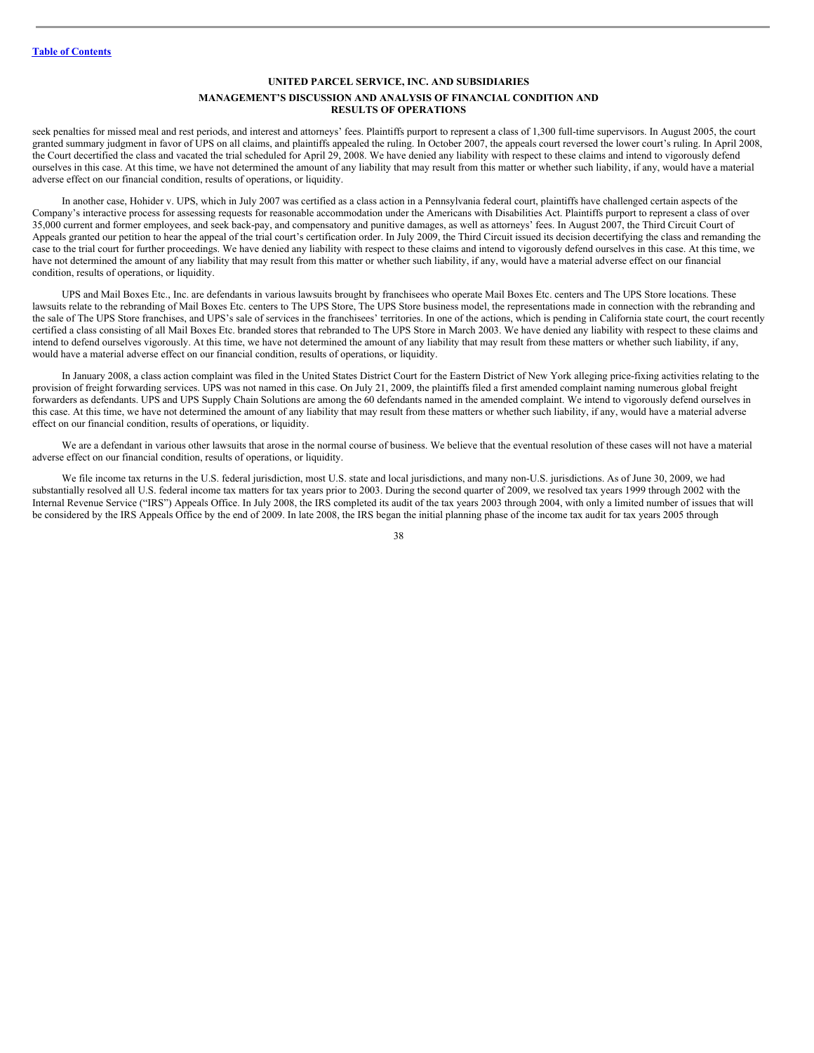## **MANAGEMENT'S DISCUSSION AND ANALYSIS OF FINANCIAL CONDITION AND RESULTS OF OPERATIONS**

seek penalties for missed meal and rest periods, and interest and attorneys' fees. Plaintiffs purport to represent a class of 1,300 full-time supervisors. In August 2005, the court granted summary judgment in favor of UPS on all claims, and plaintiffs appealed the ruling. In October 2007, the appeals court reversed the lower court's ruling. In April 2008, the Court decertified the class and vacated the trial scheduled for April 29, 2008. We have denied any liability with respect to these claims and intend to vigorously defend ourselves in this case. At this time, we have not determined the amount of any liability that may result from this matter or whether such liability, if any, would have a material adverse effect on our financial condition, results of operations, or liquidity.

In another case, Hohider v. UPS, which in July 2007 was certified as a class action in a Pennsylvania federal court, plaintiffs have challenged certain aspects of the Company's interactive process for assessing requests for reasonable accommodation under the Americans with Disabilities Act. Plaintiffs purport to represent a class of over 35,000 current and former employees, and seek back-pay, and compensatory and punitive damages, as well as attorneys' fees. In August 2007, the Third Circuit Court of Appeals granted our petition to hear the appeal of the trial court's certification order. In July 2009, the Third Circuit issued its decision decertifying the class and remanding the case to the trial court for further proceedings. We have denied any liability with respect to these claims and intend to vigorously defend ourselves in this case. At this time, we have not determined the amount of any liability that may result from this matter or whether such liability, if any, would have a material adverse effect on our financial condition, results of operations, or liquidity.

UPS and Mail Boxes Etc., Inc. are defendants in various lawsuits brought by franchisees who operate Mail Boxes Etc. centers and The UPS Store locations. These lawsuits relate to the rebranding of Mail Boxes Etc. centers to The UPS Store, The UPS Store business model, the representations made in connection with the rebranding and the sale of The UPS Store franchises, and UPS's sale of services in the franchisees' territories. In one of the actions, which is pending in California state court, the court recently certified a class consisting of all Mail Boxes Etc. branded stores that rebranded to The UPS Store in March 2003. We have denied any liability with respect to these claims and intend to defend ourselves vigorously. At this time, we have not determined the amount of any liability that may result from these matters or whether such liability, if any, would have a material adverse effect on our financial condition, results of operations, or liquidity.

In January 2008, a class action complaint was filed in the United States District Court for the Eastern District of New York alleging price-fixing activities relating to the provision of freight forwarding services. UPS was not named in this case. On July 21, 2009, the plaintiffs filed a first amended complaint naming numerous global freight forwarders as defendants. UPS and UPS Supply Chain Solutions are among the 60 defendants named in the amended complaint. We intend to vigorously defend ourselves in this case. At this time, we have not determined the amount of any liability that may result from these matters or whether such liability, if any, would have a material adverse effect on our financial condition, results of operations, or liquidity.

We are a defendant in various other lawsuits that arose in the normal course of business. We believe that the eventual resolution of these cases will not have a material adverse effect on our financial condition, results of operations, or liquidity.

We file income tax returns in the U.S. federal jurisdiction, most U.S. state and local jurisdictions, and many non-U.S. jurisdictions. As of June 30, 2009, we had substantially resolved all U.S. federal income tax matters for tax years prior to 2003. During the second quarter of 2009, we resolved tax years 1999 through 2002 with the Internal Revenue Service ("IRS") Appeals Office. In July 2008, the IRS completed its audit of the tax years 2003 through 2004, with only a limited number of issues that will be considered by the IRS Appeals Office by the end of 2009. In late 2008, the IRS began the initial planning phase of the income tax audit for tax years 2005 through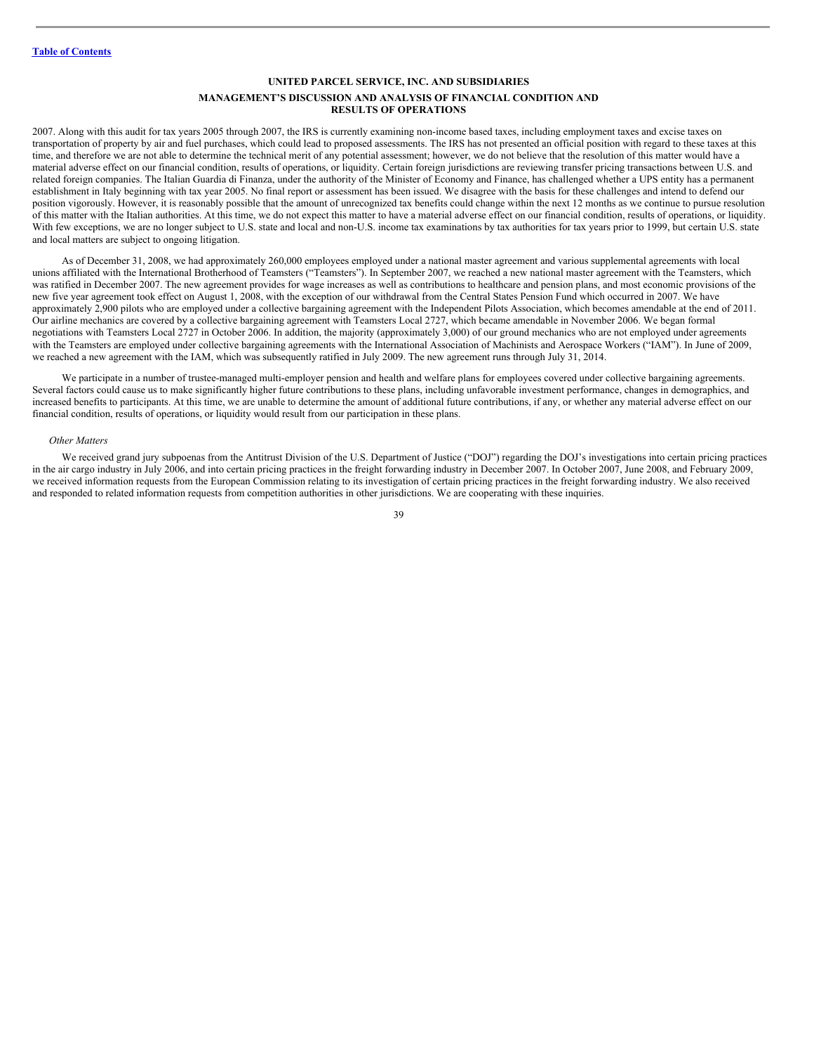# **MANAGEMENT'S DISCUSSION AND ANALYSIS OF FINANCIAL CONDITION AND RESULTS OF OPERATIONS**

2007. Along with this audit for tax years 2005 through 2007, the IRS is currently examining non-income based taxes, including employment taxes and excise taxes on transportation of property by air and fuel purchases, which could lead to proposed assessments. The IRS has not presented an official position with regard to these taxes at this time, and therefore we are not able to determine the technical merit of any potential assessment; however, we do not believe that the resolution of this matter would have a material adverse effect on our financial condition, results of operations, or liquidity. Certain foreign jurisdictions are reviewing transfer pricing transactions between U.S. and related foreign companies. The Italian Guardia di Finanza, under the authority of the Minister of Economy and Finance, has challenged whether a UPS entity has a permanent establishment in Italy beginning with tax year 2005. No final report or assessment has been issued. We disagree with the basis for these challenges and intend to defend our position vigorously. However, it is reasonably possible that the amount of unrecognized tax benefits could change within the next 12 months as we continue to pursue resolution of this matter with the Italian authorities. At this time, we do not expect this matter to have a material adverse effect on our financial condition, results of operations, or liquidity. With few exceptions, we are no longer subject to U.S. state and local and non-U.S. income tax examinations by tax authorities for tax years prior to 1999, but certain U.S. state and local matters are subject to ongoing litigation.

As of December 31, 2008, we had approximately 260,000 employees employed under a national master agreement and various supplemental agreements with local unions affiliated with the International Brotherhood of Teamsters ("Teamsters"). In September 2007, we reached a new national master agreement with the Teamsters, which was ratified in December 2007. The new agreement provides for wage increases as well as contributions to healthcare and pension plans, and most economic provisions of the new five year agreement took effect on August 1, 2008, with the exception of our withdrawal from the Central States Pension Fund which occurred in 2007. We have approximately 2,900 pilots who are employed under a collective bargaining agreement with the Independent Pilots Association, which becomes amendable at the end of 2011. Our airline mechanics are covered by a collective bargaining agreement with Teamsters Local 2727, which became amendable in November 2006. We began formal negotiations with Teamsters Local 2727 in October 2006. In addition, the majority (approximately 3,000) of our ground mechanics who are not employed under agreements with the Teamsters are employed under collective bargaining agreements with the International Association of Machinists and Aerospace Workers ("IAM"). In June of 2009, we reached a new agreement with the IAM, which was subsequently ratified in July 2009. The new agreement runs through July 31, 2014.

We participate in a number of trustee-managed multi-employer pension and health and welfare plans for employees covered under collective bargaining agreements. Several factors could cause us to make significantly higher future contributions to these plans, including unfavorable investment performance, changes in demographics, and increased benefits to participants. At this time, we are unable to determine the amount of additional future contributions, if any, or whether any material adverse effect on our financial condition, results of operations, or liquidity would result from our participation in these plans.

#### <span id="page-40-0"></span>*Other Matters*

We received grand jury subpoenas from the Antitrust Division of the U.S. Department of Justice ("DOJ") regarding the DOJ's investigations into certain pricing practices in the air cargo industry in July 2006, and into certain pricing practices in the freight forwarding industry in December 2007. In October 2007, June 2008, and February 2009, we received information requests from the European Commission relating to its investigation of certain pricing practices in the freight forwarding industry. We also received and responded to related information requests from competition authorities in other jurisdictions. We are cooperating with these inquiries.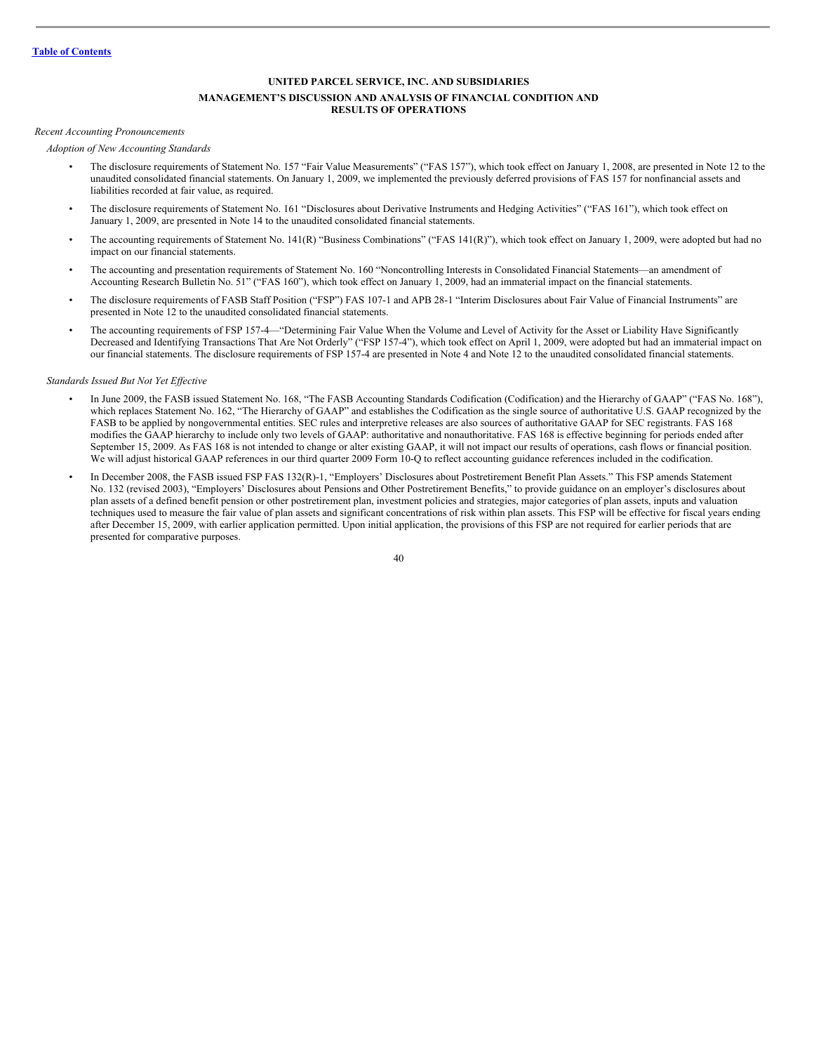# <span id="page-41-0"></span>*Recent Accounting Pronouncements*

*Adoption of New Accounting Standards*

- The disclosure requirements of Statement No. 157 "Fair Value Measurements" ("FAS 157"), which took effect on January 1, 2008, are presented in Note 12 to the unaudited consolidated financial statements. On January 1, 2009, we implemented the previously deferred provisions of FAS 157 for nonfinancial assets and liabilities recorded at fair value, as required.
- The disclosure requirements of Statement No. 161 "Disclosures about Derivative Instruments and Hedging Activities" ("FAS 161"), which took effect on January 1, 2009, are presented in Note 14 to the unaudited consolidated financial statements.
- The accounting requirements of Statement No. 141(R) "Business Combinations" ("FAS 141(R)"), which took effect on January 1, 2009, were adopted but had no impact on our financial statements.
- The accounting and presentation requirements of Statement No. 160 "Noncontrolling Interests in Consolidated Financial Statements—an amendment of Accounting Research Bulletin No. 51" ("FAS 160"), which took effect on January 1, 2009, had an immaterial impact on the financial statements.
- The disclosure requirements of FASB Staff Position ("FSP") FAS 107-1 and APB 28-1 "Interim Disclosures about Fair Value of Financial Instruments" are presented in Note 12 to the unaudited consolidated financial statements.
- The accounting requirements of FSP 157-4—"Determining Fair Value When the Volume and Level of Activity for the Asset or Liability Have Significantly Decreased and Identifying Transactions That Are Not Orderly" ("FSP 157-4"), which took effect on April 1, 2009, were adopted but had an immaterial impact on our financial statements. The disclosure requirements of FSP 157-4 are presented in Note 4 and Note 12 to the unaudited consolidated financial statements.

### *Standards Issued But Not Yet Ef ective*

- In June 2009, the FASB issued Statement No. 168, "The FASB Accounting Standards Codification (Codification) and the Hierarchy of GAAP" ("FAS No. 168"), which replaces Statement No. 162, "The Hierarchy of GAAP" and establishes the Codification as the single source of authoritative U.S. GAAP recognized by the FASB to be applied by nongovernmental entities. SEC rules and interpretive releases are also sources of authoritative GAAP for SEC registrants. FAS 168 modifies the GAAP hierarchy to include only two levels of GAAP: authoritative and nonauthoritative. FAS 168 is effective beginning for periods ended after September 15, 2009. As FAS 168 is not intended to change or alter existing GAAP, it will not impact our results of operations, cash flows or financial position. We will adjust historical GAAP references in our third quarter 2009 Form 10-Q to reflect accounting guidance references included in the codification.
- In December 2008, the FASB issued FSP FAS 132(R)-1, "Employers' Disclosures about Postretirement Benefit Plan Assets." This FSP amends Statement No. 132 (revised 2003), "Employers' Disclosures about Pensions and Other Postretirement Benefits," to provide guidance on an employer's disclosures about plan assets of a defined benefit pension or other postretirement plan, investment policies and strategies, major categories of plan assets, inputs and valuation techniques used to measure the fair value of plan assets and significant concentrations of risk within plan assets. This FSP will be effective for fiscal years ending after December 15, 2009, with earlier application permitted. Upon initial application, the provisions of this FSP are not required for earlier periods that are presented for comparative purposes.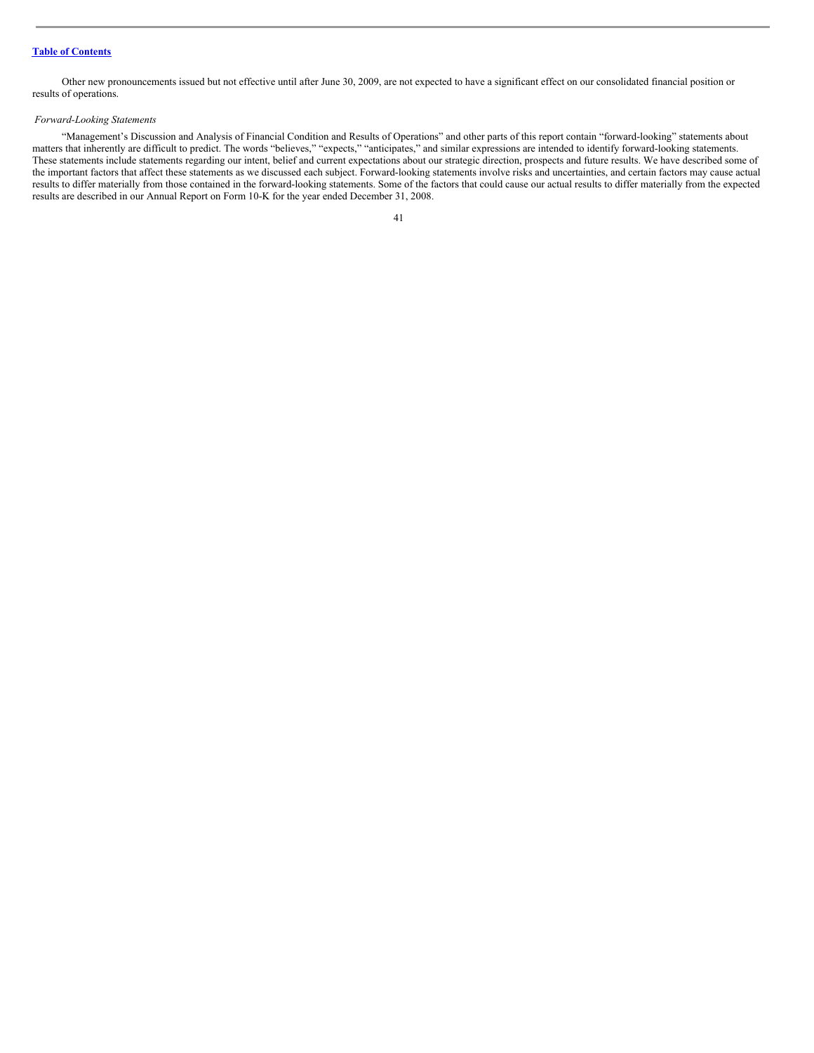# **Table of [Contents](#page-1-0)**

Other new pronouncements issued but not effective until after June 30, 2009, are not expected to have a significant effect on our consolidated financial position or results of operations.

### <span id="page-42-0"></span>*Forward-Looking Statements*

"Management's Discussion and Analysis of Financial Condition and Results of Operations" and other parts of this report contain "forward-looking" statements about matters that inherently are difficult to predict. The words "believes," "expects," "anticipates," and similar expressions are intended to identify forward-looking statements. These statements include statements regarding our intent, belief and current expectations about our strategic direction, prospects and future results. We have described some of the important factors that affect these statements as we discussed each subject. Forward-looking statements involve risks and uncertainties, and certain factors may cause actual results to differ materially from those contained in the forward-looking statements. Some of the factors that could cause our actual results to differ materially from the expected results are described in our Annual Report on Form 10-K for the year ended December 31, 2008.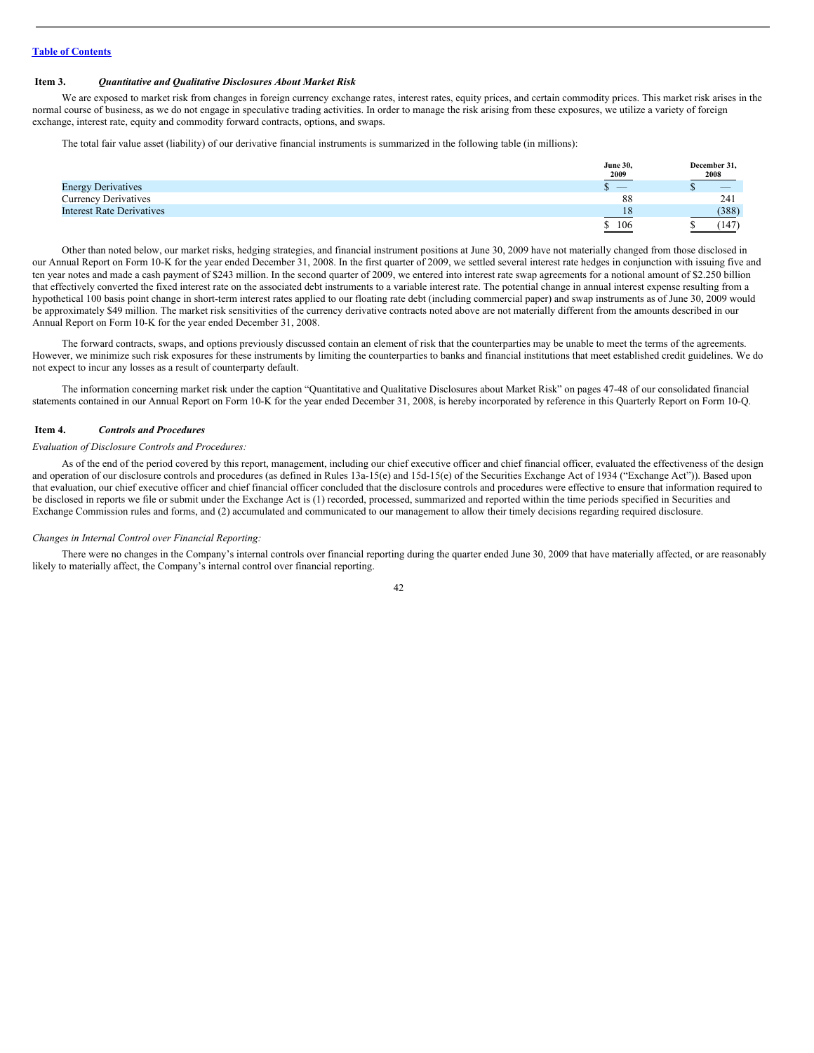### <span id="page-43-0"></span>**Item 3.** *Quantitative and Qualitative Disclosures About Market Risk*

We are exposed to market risk from changes in foreign currency exchange rates, interest rates, equity prices, and certain commodity prices. This market risk arises in the normal course of business, as we do not engage in speculative trading activities. In order to manage the risk arising from these exposures, we utilize a variety of foreign exchange, interest rate, equity and commodity forward contracts, options, and swaps.

The total fair value asset (liability) of our derivative financial instruments is summarized in the following table (in millions):

|                                  | <b>June 30,</b><br>2009  | December 31,<br>2008 |
|----------------------------------|--------------------------|----------------------|
| <b>Energy Derivatives</b>        | $\overline{\phantom{a}}$ |                      |
| <b>Currency Derivatives</b>      | 88                       | 241                  |
| <b>Interest Rate Derivatives</b> | $_{18}$                  | (388)                |
|                                  | \$106<br>_____           | (147)                |

Other than noted below, our market risks, hedging strategies, and financial instrument positions at June 30, 2009 have not materially changed from those disclosed in our Annual Report on Form 10-K for the year ended December 31, 2008. In the first quarter of 2009, we settled several interest rate hedges in conjunction with issuing five and ten year notes and made a cash payment of \$243 million. In the second quarter of 2009, we entered into interest rate swap agreements for a notional amount of \$2.250 billion that effectively converted the fixed interest rate on the associated debt instruments to a variable interest rate. The potential change in annual interest expense resulting from a hypothetical 100 basis point change in short-term interest rates applied to our floating rate debt (including commercial paper) and swap instruments as of June 30, 2009 would be approximately \$49 million. The market risk sensitivities of the currency derivative contracts noted above are not materially different from the amounts described in our Annual Report on Form 10-K for the year ended December 31, 2008.

The forward contracts, swaps, and options previously discussed contain an element of risk that the counterparties may be unable to meet the terms of the agreements. However, we minimize such risk exposures for these instruments by limiting the counterparties to banks and financial institutions that meet established credit guidelines. We do not expect to incur any losses as a result of counterparty default.

The information concerning market risk under the caption "Quantitative and Qualitative Disclosures about Market Risk" on pages 47-48 of our consolidated financial statements contained in our Annual Report on Form 10-K for the year ended December 31, 2008, is hereby incorporated by reference in this Quarterly Report on Form 10-Q.

#### <span id="page-43-1"></span>**Item 4.** *Controls and Procedures*

### *Evaluation of Disclosure Controls and Procedures:*

As of the end of the period covered by this report, management, including our chief executive officer and chief financial officer, evaluated the effectiveness of the design and operation of our disclosure controls and procedures (as defined in Rules 13a-15(e) and 15d-15(e) of the Securities Exchange Act of 1934 ("Exchange Act")). Based upon that evaluation, our chief executive officer and chief financial officer concluded that the disclosure controls and procedures were effective to ensure that information required to be disclosed in reports we file or submit under the Exchange Act is (1) recorded, processed, summarized and reported within the time periods specified in Securities and Exchange Commission rules and forms, and (2) accumulated and communicated to our management to allow their timely decisions regarding required disclosure.

#### *Changes in Internal Control over Financial Reporting:*

There were no changes in the Company's internal controls over financial reporting during the quarter ended June 30, 2009 that have materially affected, or are reasonably likely to materially affect, the Company's internal control over financial reporting.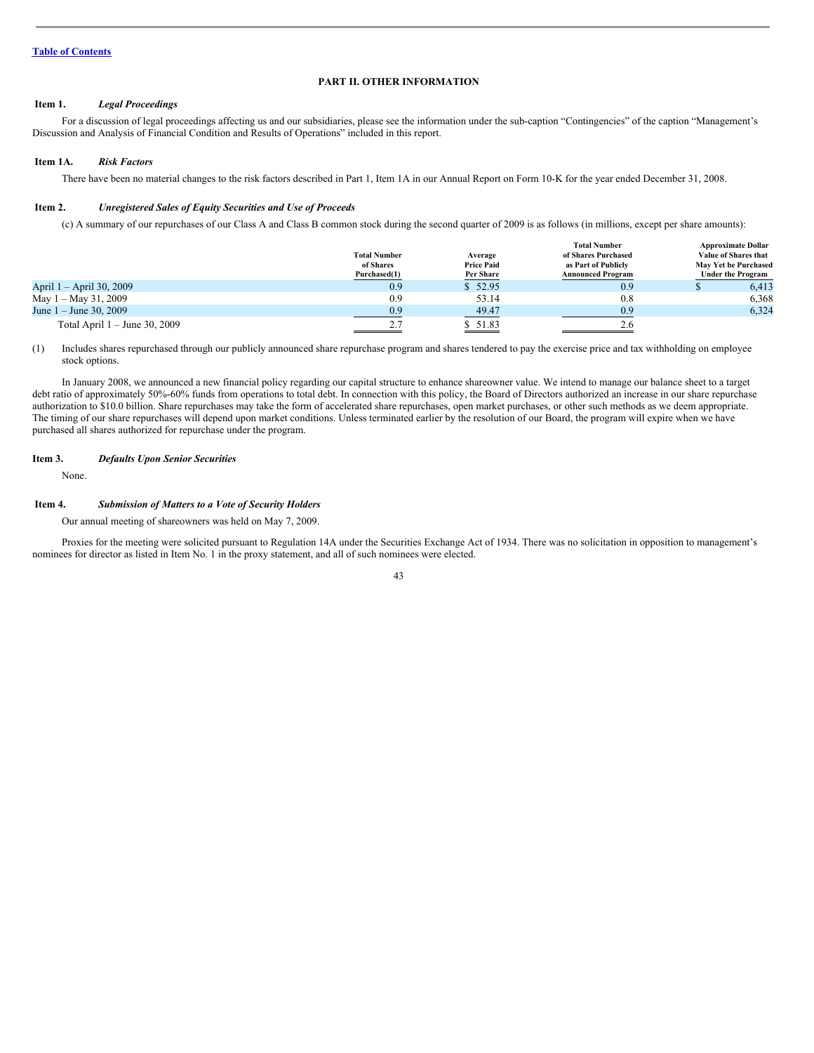# **PART II. OTHER INFORMATION**

### <span id="page-44-0"></span>**Item 1.** *Legal Proceedings*

For a discussion of legal proceedings affecting us and our subsidiaries, please see the information under the sub-caption "Contingencies" of the caption "Management's Discussion and Analysis of Financial Condition and Results of Operations" included in this report.

### <span id="page-44-1"></span>**Item 1A.** *Risk Factors*

There have been no material changes to the risk factors described in Part 1, Item 1A in our Annual Report on Form 10-K for the year ended December 31, 2008.

# <span id="page-44-2"></span>**Item 2.** *Unregistered Sales of Equity Securities and Use of Proceeds*

(c) A summary of our repurchases of our Class A and Class B common stock during the second quarter of 2009 is as follows (in millions, except per share amounts):

|                                 |                     |                   | <b>Total Number</b>      |                      | <b>Approximate Dollar</b> |
|---------------------------------|---------------------|-------------------|--------------------------|----------------------|---------------------------|
|                                 | <b>Total Number</b> | Average           | of Shares Purchased      | Value of Shares that |                           |
|                                 | of Shares           | <b>Price Paid</b> | as Part of Publicly      |                      | May Yet be Purchased      |
|                                 | Purchased(1)        | Per Share         | <b>Announced Program</b> |                      | <b>Under the Program</b>  |
| April 1 – April 30, 2009        | 0.9                 | \$52.95           | 0.9                      |                      | 6,413                     |
| May $1 -$ May 31, 2009          | 0.9                 | 53.14             | 0.8                      |                      | 6,368                     |
| June $1 -$ June 30, 2009        | 0.9                 | 49.47             | 0.9                      |                      | 6,324                     |
| Total April $1 -$ June 30, 2009 | 2.7                 | \$ 51.83          | 2.6                      |                      |                           |

(1) Includes shares repurchased through our publicly announced share repurchase program and shares tendered to pay the exercise price and tax withholding on employee stock options.

In January 2008, we announced a new financial policy regarding our capital structure to enhance shareowner value. We intend to manage our balance sheet to a target debt ratio of approximately 50%-60% funds from operations to total debt. In connection with this policy, the Board of Directors authorized an increase in our share repurchase authorization to \$10.0 billion. Share repurchases may take the form of accelerated share repurchases, open market purchases, or other such methods as we deem appropriate. The timing of our share repurchases will depend upon market conditions. Unless terminated earlier by the resolution of our Board, the program will expire when we have purchased all shares authorized for repurchase under the program.

# **Item 3.** *Defaults Upon Senior Securities*

None.

### <span id="page-44-3"></span>**Item 4.** *Submission of Matters to a Vote of Security Holders*

Our annual meeting of shareowners was held on May 7, 2009.

Proxies for the meeting were solicited pursuant to Regulation 14A under the Securities Exchange Act of 1934. There was no solicitation in opposition to management's nominees for director as listed in Item No. 1 in the proxy statement, and all of such nominees were elected.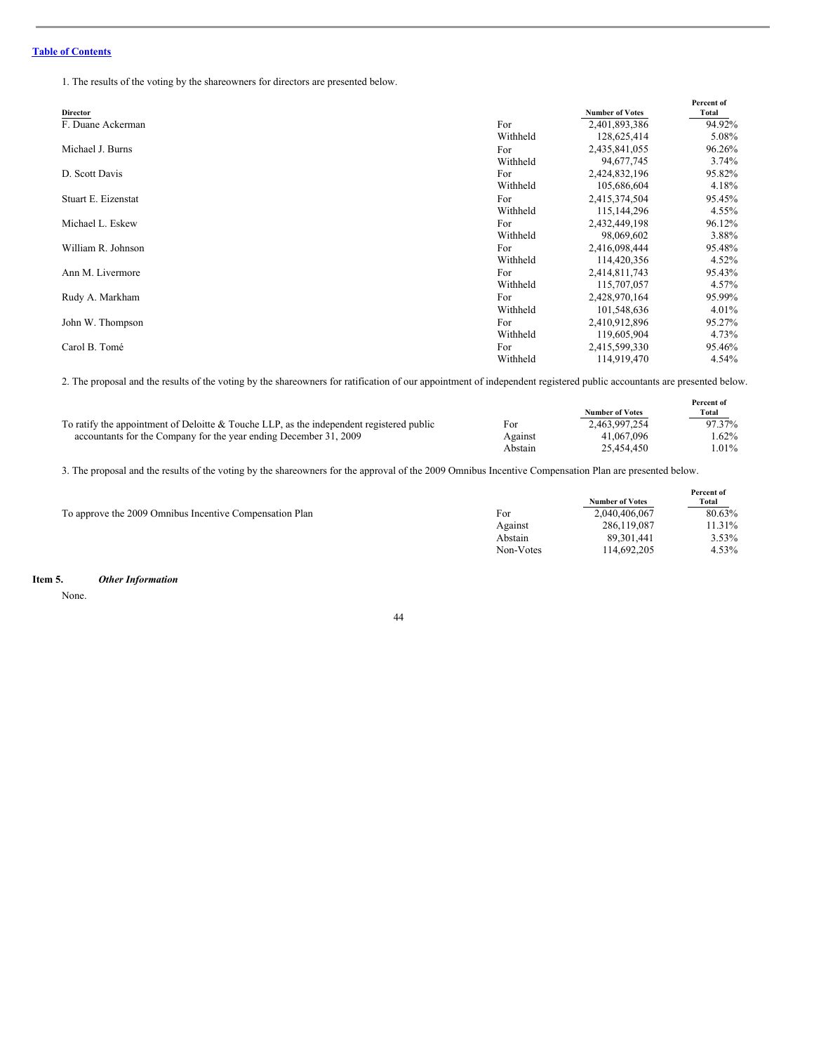# **Table of [Contents](#page-1-0)**

1. The results of the voting by the shareowners for directors are presented below.

| Director            |          | <b>Number of Votes</b> | Percent of<br>Total |
|---------------------|----------|------------------------|---------------------|
|                     | For      | 2,401,893,386          | 94.92%              |
| F. Duane Ackerman   |          |                        |                     |
|                     | Withheld | 128,625,414            | 5.08%               |
| Michael J. Burns    | For      | 2,435,841,055          | 96.26%              |
|                     | Withheld | 94,677,745             | $3.74\%$            |
| D. Scott Davis      | For      | 2,424,832,196          | 95.82%              |
|                     | Withheld | 105,686,604            | 4.18%               |
| Stuart E. Eizenstat | For      | 2,415,374,504          | 95.45%              |
|                     | Withheld | 115, 144, 296          | 4.55%               |
| Michael L. Eskew    | For      | 2,432,449,198          | 96.12%              |
|                     | Withheld | 98,069,602             | 3.88%               |
| William R. Johnson  | For      | 2,416,098,444          | 95.48%              |
|                     | Withheld | 114,420,356            | $4.52\%$            |
| Ann M. Livermore    | For      | 2,414,811,743          | 95.43%              |
|                     | Withheld | 115,707,057            | 4.57%               |
| Rudy A. Markham     | For      | 2,428,970,164          | 95.99%              |
|                     | Withheld | 101,548,636            | $4.01\%$            |
| John W. Thompson    | For      | 2,410,912,896          | 95.27%              |
|                     | Withheld | 119,605,904            | 4.73%               |
| Carol B. Tomé       | For      | 2,415,599,330          | 95.46%              |
|                     | Withheld | 114,919,470            | 4.54%               |

2. The proposal and the results of the voting by the shareowners for ratification of our appointment of independent registered public accountants are presented below.

|                                                                                          |         |                        | Percent of |
|------------------------------------------------------------------------------------------|---------|------------------------|------------|
|                                                                                          |         | <b>Number of Votes</b> | Total      |
| To ratify the appointment of Deloitte & Touche LLP, as the independent registered public | For     | 2.463.997.254          | 97.37%     |
| accountants for the Company for the year ending December 31, 2009                        | Against | 41.067.096             | $1.62\%$   |
|                                                                                          | Abstain | 25.454.450             | $.01\%$    |

3. The proposal and the results of the voting by the shareowners for the approval of the 2009 Omnibus Incentive Compensation Plan are presented below.

|                                                         |           |                        | Percent of |
|---------------------------------------------------------|-----------|------------------------|------------|
|                                                         |           | <b>Number of Votes</b> | Total      |
| To approve the 2009 Omnibus Incentive Compensation Plan | For       | 2.040.406.067          | 80.63%     |
|                                                         | Against   | 286,119,087            | 11.31%     |
|                                                         | Abstain   | 89.301.441             | $3.53\%$   |
|                                                         | Non-Votes | 114,692,205            | 4.53%      |

# **Item 5.** *Other Information*

None.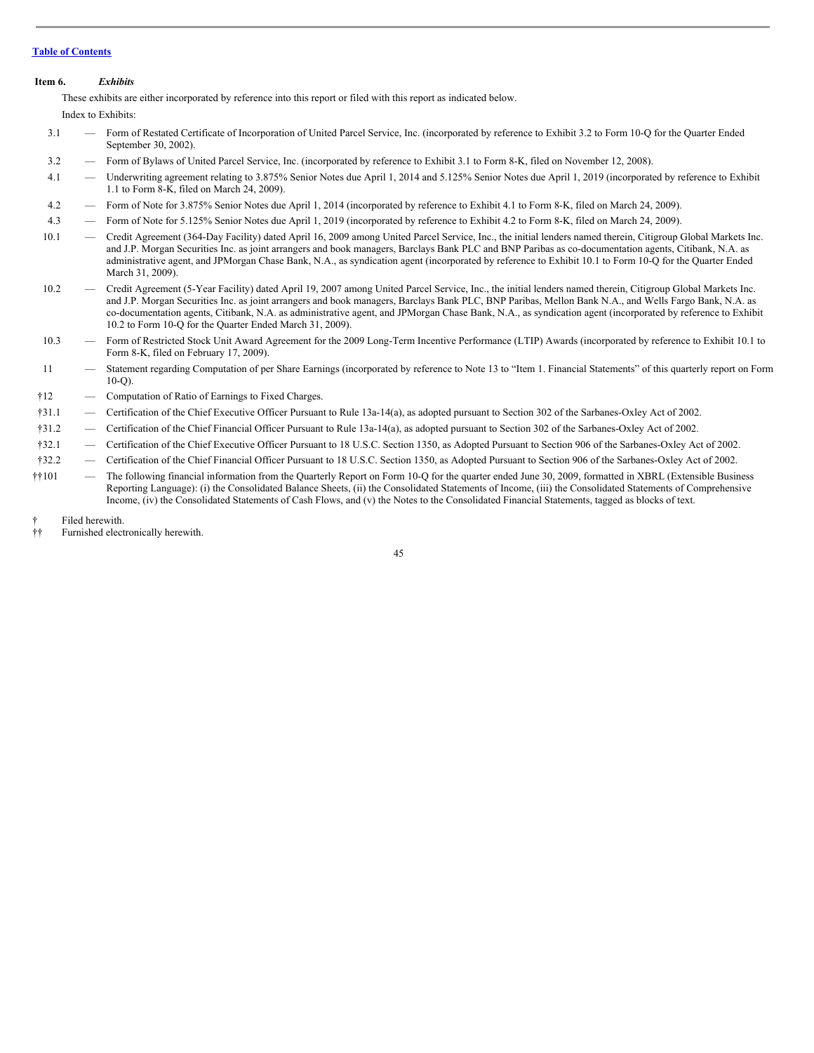# **Table of [Contents](#page-1-0)**

### <span id="page-46-0"></span>**Item 6.** *Exhibits*

These exhibits are either incorporated by reference into this report or filed with this report as indicated below.

Index to Exhibits:

- 3.1 Form of Restated Certificate of Incorporation of United Parcel Service, Inc. (incorporated by reference to Exhibit 3.2 to Form 10-Q for the Quarter Ended September 30, 2002).
- 3.2 Form of Bylaws of United Parcel Service, Inc. (incorporated by reference to Exhibit 3.1 to Form 8-K, filed on November 12, 2008).
- 4.1 Underwriting agreement relating to 3.875% Senior Notes due April 1, 2014 and 5.125% Senior Notes due April 1, 2019 (incorporated by reference to Exhibit 1.1 to Form 8-K, filed on March 24, 2009).
- 4.2 Form of Note for 3.875% Senior Notes due April 1, 2014 (incorporated by reference to Exhibit 4.1 to Form 8-K, filed on March 24, 2009).
- 4.3 Form of Note for 5.125% Senior Notes due April 1, 2019 (incorporated by reference to Exhibit 4.2 to Form 8-K, filed on March 24, 2009).
- 10.1 Credit Agreement (364-Day Facility) dated April 16, 2009 among United Parcel Service, Inc., the initial lenders named therein, Citigroup Global Markets Inc. and J.P. Morgan Securities Inc. as joint arrangers and book managers, Barclays Bank PLC and BNP Paribas as co-documentation agents, Citibank, N.A. as administrative agent, and JPMorgan Chase Bank, N.A., as syndication agent (incorporated by reference to Exhibit 10.1 to Form 10-Q for the Quarter Ended March 31, 2009).
- 10.2 Credit Agreement (5-Year Facility) dated April 19, 2007 among United Parcel Service, Inc., the initial lenders named therein, Citigroup Global Markets Inc. and J.P. Morgan Securities Inc. as joint arrangers and book managers, Barclays Bank PLC, BNP Paribas, Mellon Bank N.A., and Wells Fargo Bank, N.A. as co-documentation agents, Citibank, N.A. as administrative agent, and JPMorgan Chase Bank, N.A., as syndication agent (incorporated by reference to Exhibit 10.2 to Form 10-Q for the Quarter Ended March 31, 2009).
- 10.3 Form of Restricted Stock Unit Award Agreement for the 2009 Long-Term Incentive Performance (LTIP) Awards (incorporated by reference to Exhibit 10.1 to Form 8-K, filed on February 17, 2009).
- 11 Statement regarding Computation of per Share Earnings (incorporated by reference to Note 13 to "Item 1. Financial Statements" of this quarterly report on Form  $10-Q$ ).
- †12 Computation of Ratio of Earnings to Fixed Charges.
- †31.1 Certification of the Chief Executive Officer Pursuant to Rule 13a-14(a), as adopted pursuant to Section 302 of the Sarbanes-Oxley Act of 2002.
- †31.2 Certification of the Chief Financial Officer Pursuant to Rule 13a-14(a), as adopted pursuant to Section 302 of the Sarbanes-Oxley Act of 2002.
- †32.1 Certification of the Chief Executive Officer Pursuant to 18 U.S.C. Section 1350, as Adopted Pursuant to Section 906 of the Sarbanes-Oxley Act of 2002.
- †32.2 Certification of the Chief Financial Officer Pursuant to 18 U.S.C. Section 1350, as Adopted Pursuant to Section 906 of the Sarbanes-Oxley Act of 2002.
- ††101 The following financial information from the Quarterly Report on Form 10-Q for the quarter ended June 30, 2009, formatted in XBRL (Extensible Business Reporting Language): (i) the Consolidated Balance Sheets, (ii) the Consolidated Statements of Income, (iii) the Consolidated Statements of Comprehensive Income, (iv) the Consolidated Statements of Cash Flows, and (v) the Notes to the Consolidated Financial Statements, tagged as blocks of text.
- † Filed herewith.
- †† Furnished electronically herewith.

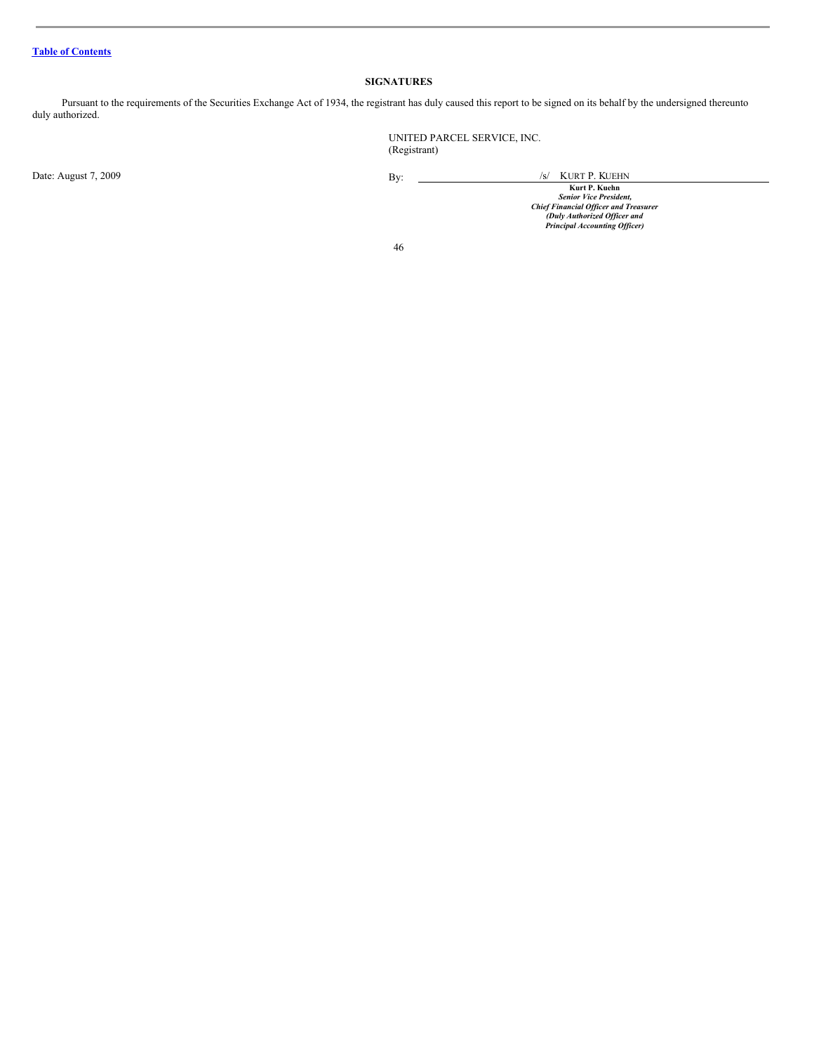# **SIGNATURES**

Pursuant to the requirements of the Securities Exchange Act of 1934, the registrant has duly caused this report to be signed on its behalf by the undersigned thereunto duly authorized.

> UNITED PARCEL SERVICE, INC. (Registrant)

Date: August 7, 2009 By:

/s/ KURT P. KUEHN

Kurt P. Kuehn<br>Senior Vice President,<br>Chief Financial Officer and Treasurer<br>(Duly Authorized Officer and<br>Principal Accounting Officer)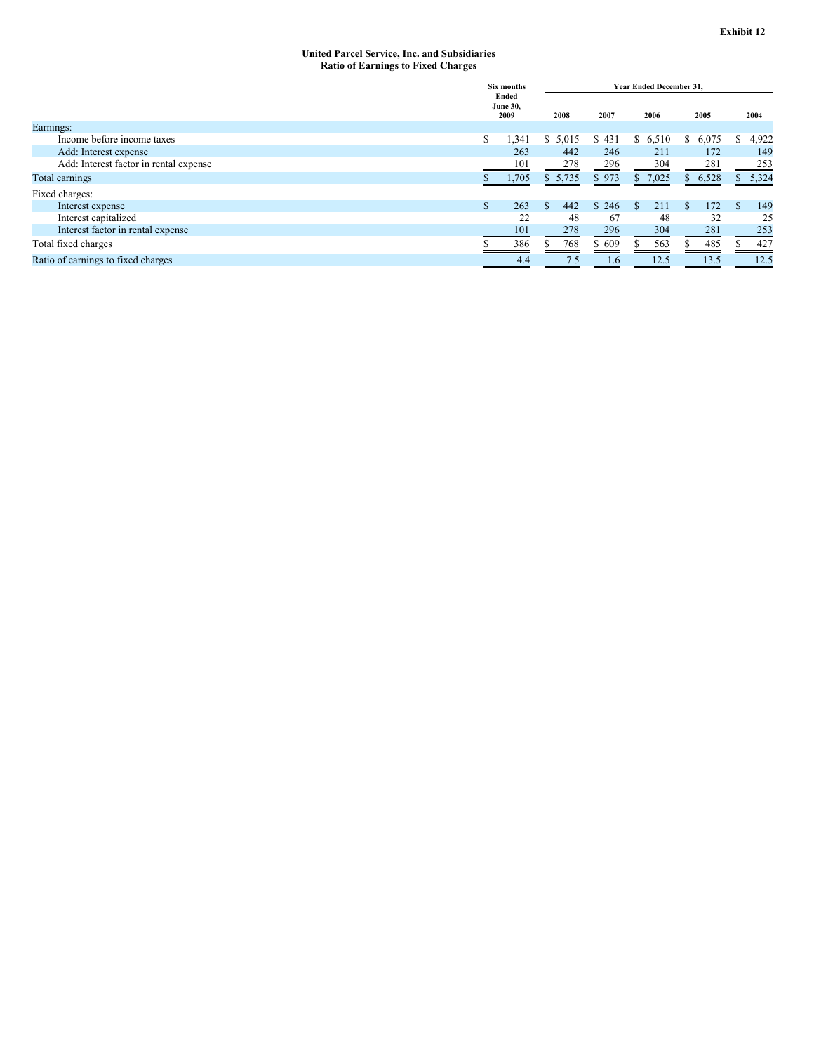#### **United Parcel Service, Inc. and Subsidiaries Ratio of Earnings to Fixed Charges**

| Ended<br><b>June 30,</b><br>2008<br>2007<br>2006<br>2005<br>2009                       | 2004<br>4,922 |
|----------------------------------------------------------------------------------------|---------------|
|                                                                                        |               |
| Earnings:                                                                              |               |
| Income before income taxes<br>\$<br>\$6,510<br>6,075<br>S.<br>.341<br>\$5,015<br>\$431 |               |
| 172<br>Add: Interest expense<br>263<br>442<br>246<br>211                               | 149           |
| Add: Interest factor in rental expense<br>278<br>296<br>304<br>281<br>101              | 253           |
| Total earnings<br>\$973<br>\$7,025<br>\$6,528<br>1,705<br>\$5,735                      | \$5,324       |
| Fixed charges:                                                                         |               |
| 172<br>$\mathbb{S}$<br>263<br>442<br>246<br>S.<br>211<br>Interest expense<br>S.        | 149           |
| Interest capitalized<br>22<br>48<br>67<br>48<br>32                                     | 25            |
| Interest factor in rental expense<br>278<br>281<br>101<br>296<br>304                   | 253           |
| \$609<br>563<br>485<br>386<br>768<br>Total fixed charges                               | 427           |
| 13.5<br>7.5<br>12.5<br>Ratio of earnings to fixed charges<br>4.4<br>1.6                | 12.5          |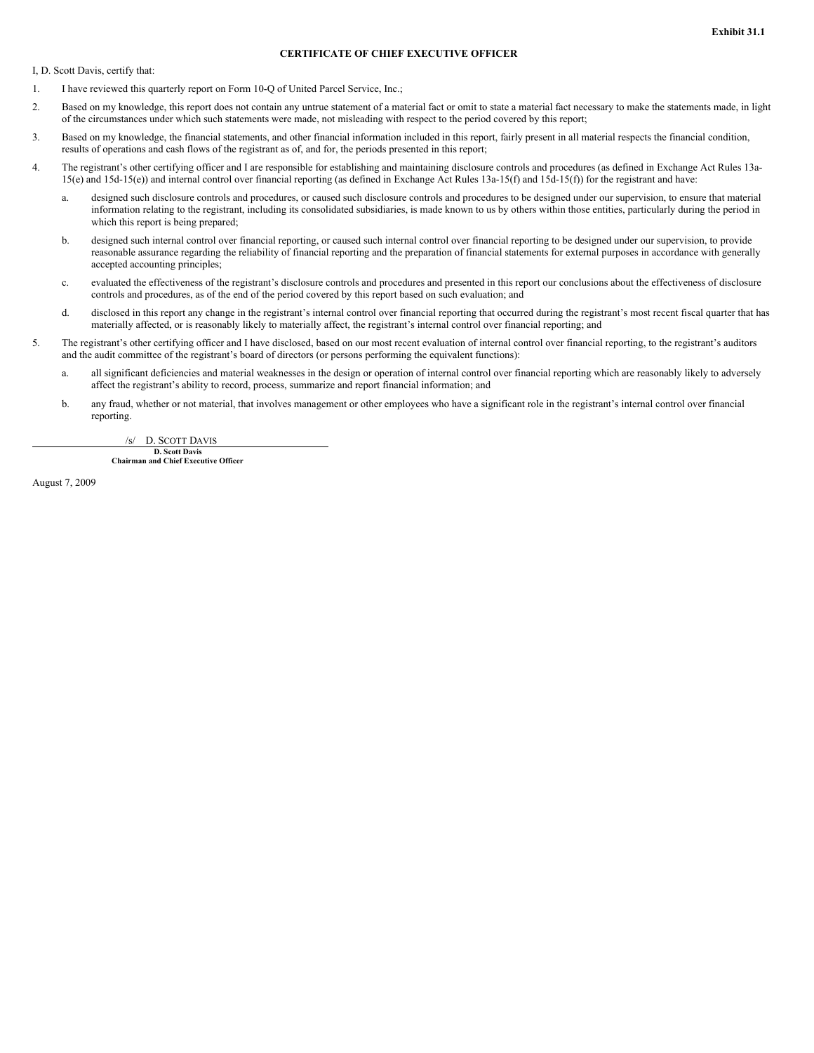# **CERTIFICATE OF CHIEF EXECUTIVE OFFICER**

I, D. Scott Davis, certify that:

- 1. I have reviewed this quarterly report on Form 10-Q of United Parcel Service, Inc.;
- 2. Based on my knowledge, this report does not contain any untrue statement of a material fact or omit to state a material fact necessary to make the statements made, in light of the circumstances under which such statements were made, not misleading with respect to the period covered by this report;
- 3. Based on my knowledge, the financial statements, and other financial information included in this report, fairly present in all material respects the financial condition, results of operations and cash flows of the registrant as of, and for, the periods presented in this report;
- 4. The registrant's other certifying officer and I are responsible for establishing and maintaining disclosure controls and procedures (as defined in Exchange Act Rules 13a-15(e) and 15d-15(e)) and internal control over financial reporting (as defined in Exchange Act Rules 13a-15(f) and 15d-15(f)) for the registrant and have:
	- a. designed such disclosure controls and procedures, or caused such disclosure controls and procedures to be designed under our supervision, to ensure that material information relating to the registrant, including its consolidated subsidiaries, is made known to us by others within those entities, particularly during the period in which this report is being prepared;
	- b. designed such internal control over financial reporting, or caused such internal control over financial reporting to be designed under our supervision, to provide reasonable assurance regarding the reliability of financial reporting and the preparation of financial statements for external purposes in accordance with generally accepted accounting principles:
	- c. evaluated the effectiveness of the registrant's disclosure controls and procedures and presented in this report our conclusions about the effectiveness of disclosure controls and procedures, as of the end of the period covered by this report based on such evaluation; and
	- d. disclosed in this report any change in the registrant's internal control over financial reporting that occurred during the registrant's most recent fiscal quarter that has materially affected, or is reasonably likely to materially affect, the registrant's internal control over financial reporting; and
- 5. The registrant's other certifying officer and I have disclosed, based on our most recent evaluation of internal control over financial reporting, to the registrant's auditors and the audit committee of the registrant's board of directors (or persons performing the equivalent functions):
	- a. all significant deficiencies and material weaknesses in the design or operation of internal control over financial reporting which are reasonably likely to adversely affect the registrant's ability to record, process, summarize and report financial information; and
	- b. any fraud, whether or not material, that involves management or other employees who have a significant role in the registrant's internal control over financial reporting.

/s/ D. SCOTT DAVIS **D. Scott Davis**

**Chairman and Chief Executive Officer**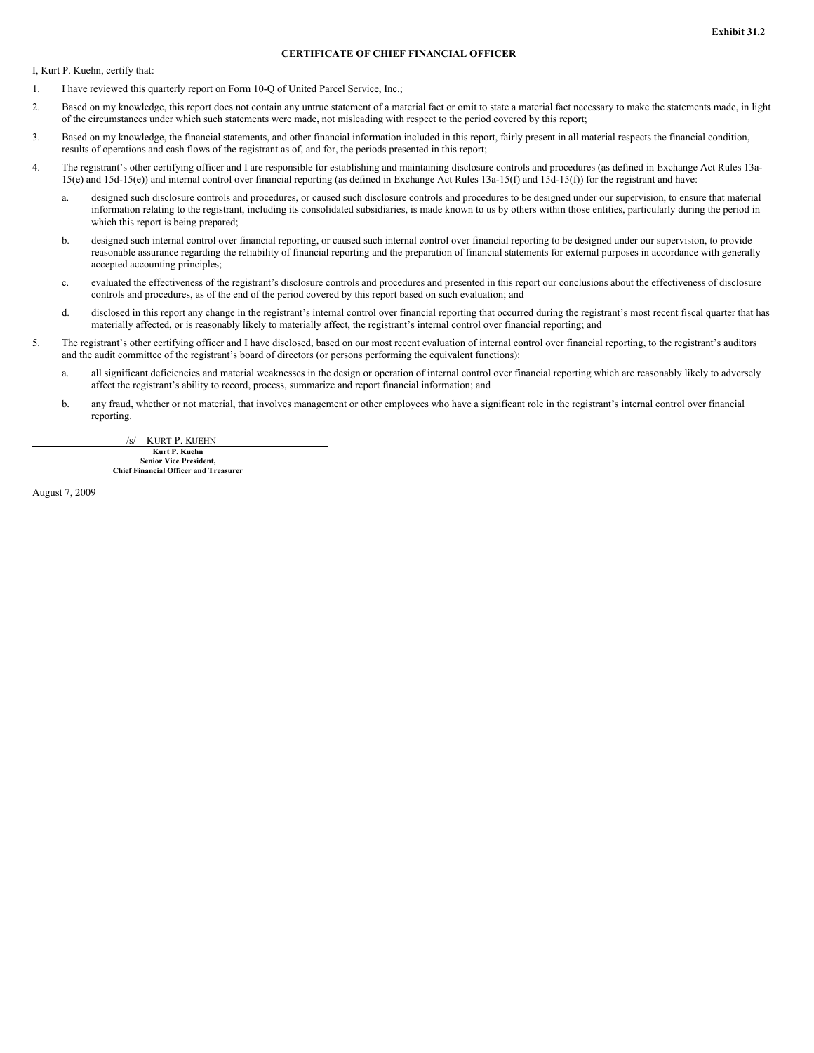# **CERTIFICATE OF CHIEF FINANCIAL OFFICER**

I, Kurt P. Kuehn, certify that:

- 1. I have reviewed this quarterly report on Form 10-Q of United Parcel Service, Inc.;
- 2. Based on my knowledge, this report does not contain any untrue statement of a material fact or omit to state a material fact necessary to make the statements made, in light of the circumstances under which such statements were made, not misleading with respect to the period covered by this report;
- 3. Based on my knowledge, the financial statements, and other financial information included in this report, fairly present in all material respects the financial condition, results of operations and cash flows of the registrant as of, and for, the periods presented in this report;
- 4. The registrant's other certifying officer and I are responsible for establishing and maintaining disclosure controls and procedures (as defined in Exchange Act Rules 13a-15(e) and 15d-15(e)) and internal control over financial reporting (as defined in Exchange Act Rules 13a-15(f) and 15d-15(f)) for the registrant and have:
	- a. designed such disclosure controls and procedures, or caused such disclosure controls and procedures to be designed under our supervision, to ensure that material information relating to the registrant, including its consolidated subsidiaries, is made known to us by others within those entities, particularly during the period in which this report is being prepared;
	- b. designed such internal control over financial reporting, or caused such internal control over financial reporting to be designed under our supervision, to provide reasonable assurance regarding the reliability of financial reporting and the preparation of financial statements for external purposes in accordance with generally accepted accounting principles;
	- c. evaluated the effectiveness of the registrant's disclosure controls and procedures and presented in this report our conclusions about the effectiveness of disclosure controls and procedures, as of the end of the period covered by this report based on such evaluation; and
	- d. disclosed in this report any change in the registrant's internal control over financial reporting that occurred during the registrant's most recent fiscal quarter that has materially affected, or is reasonably likely to materially affect, the registrant's internal control over financial reporting; and
- 5. The registrant's other certifying officer and I have disclosed, based on our most recent evaluation of internal control over financial reporting, to the registrant's auditors and the audit committee of the registrant's board of directors (or persons performing the equivalent functions):
	- a. all significant deficiencies and material weaknesses in the design or operation of internal control over financial reporting which are reasonably likely to adversely affect the registrant's ability to record, process, summarize and report financial information; and
	- b. any fraud, whether or not material, that involves management or other employees who have a significant role in the registrant's internal control over financial reporting.

/s/ KURT P. KUEHN

**Kurt P. Kuehn Senior Vice President, Chief Financial Officer and Treasurer**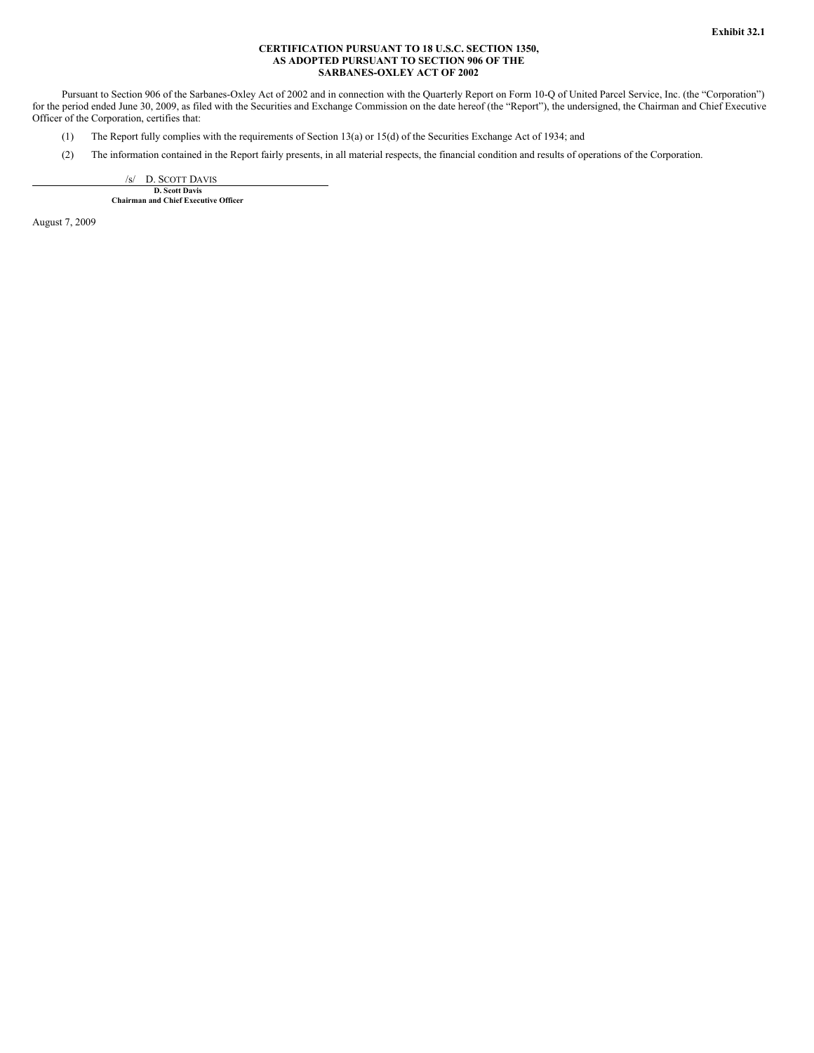### **CERTIFICATION PURSUANT TO 18 U.S.C. SECTION 1350, AS ADOPTED PURSUANT TO SECTION 906 OF THE SARBANES-OXLEY ACT OF 2002**

Pursuant to Section 906 of the Sarbanes-Oxley Act of 2002 and in connection with the Quarterly Report on Form 10-Q of United Parcel Service, Inc. (the "Corporation") for the period ended June 30, 2009, as filed with the Securities and Exchange Commission on the date hereof (the "Report"), the undersigned, the Chairman and Chief Executive Officer of the Corporation, certifies that:

- (1) The Report fully complies with the requirements of Section 13(a) or 15(d) of the Securities Exchange Act of 1934; and
- (2) The information contained in the Report fairly presents, in all material respects, the financial condition and results of operations of the Corporation.

/s/ D. SCOTT DAVIS **D. Scott Davis**

**Chairman and Chief Executive Officer**